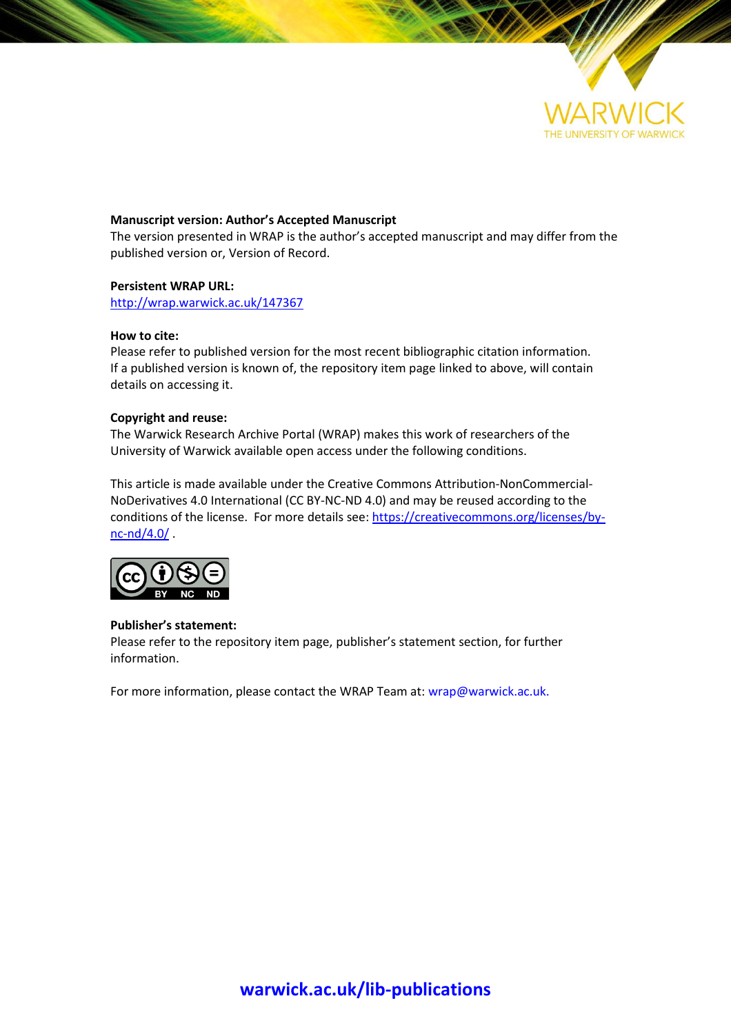

### **Manuscript version: Author's Accepted Manuscript**

The version presented in WRAP is the author's accepted manuscript and may differ from the published version or, Version of Record.

### **Persistent WRAP URL:**

<http://wrap.warwick.ac.uk/147367>

### **How to cite:**

Please refer to published version for the most recent bibliographic citation information. If a published version is known of, the repository item page linked to above, will contain details on accessing it.

### **Copyright and reuse:**

The Warwick Research Archive Portal (WRAP) makes this work of researchers of the University of Warwick available open access under the following conditions.

This article is made available under the Creative Commons Attribution-NonCommercial-NoDerivatives 4.0 International (CC BY-NC-ND 4.0) and may be reused according to the conditions of the license. For more details see: [https://creativecommons.org/licenses/by](https://creativecommons.org/licenses/by-nc-nd/4.0/)[nc-nd/4.0/](https://creativecommons.org/licenses/by-nc-nd/4.0/) .



### **Publisher's statement:**

Please refer to the repository item page, publisher's statement section, for further information.

For more information, please contact the WRAP Team at[: wrap@warwick.ac.uk.](mailto:wrap@warwick.ac.uk)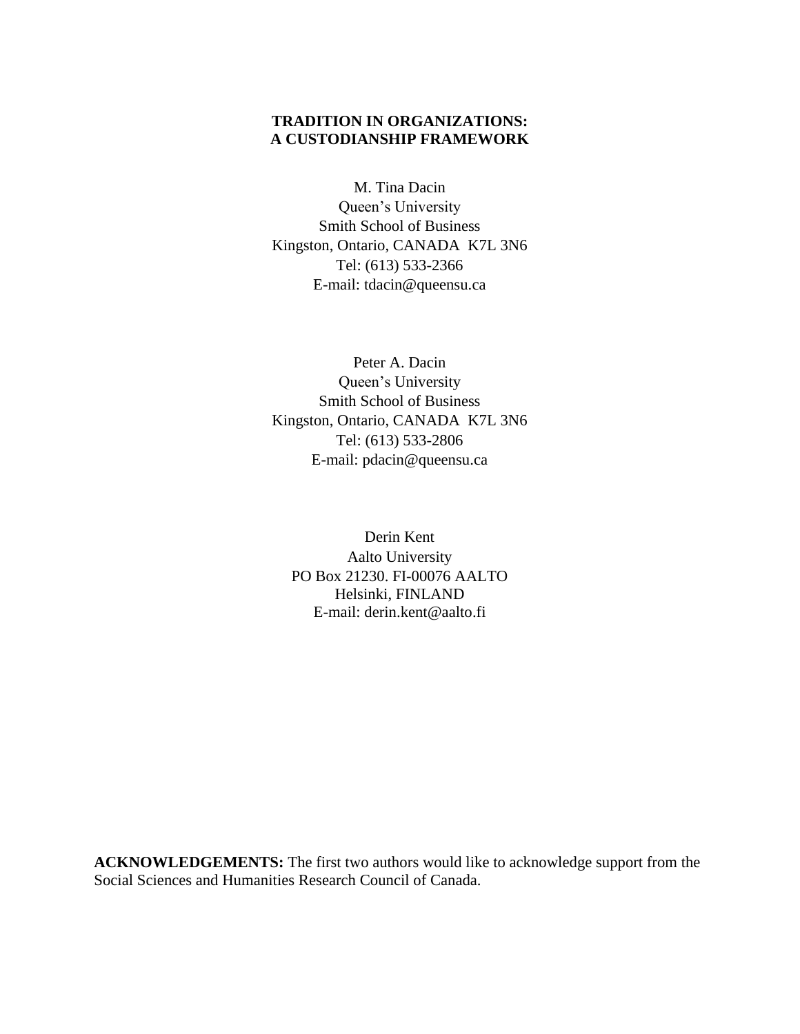# **TRADITION IN ORGANIZATIONS: A CUSTODIANSHIP FRAMEWORK**

M. Tina Dacin

Queen's University Smith School of Business Kingston, Ontario, CANADA K7L 3N6 Tel: (613) 533-2366 E-mail: tdacin@queensu.ca

Peter A. Dacin Queen's University Smith School of Business Kingston, Ontario, CANADA K7L 3N6 Tel: (613) 533-2806 E-mail: pdacin@queensu.ca

Derin Kent Aalto University PO Box 21230. FI-00076 AALTO Helsinki, FINLAND E-mail: derin.kent@aalto.fi

**ACKNOWLEDGEMENTS:** The first two authors would like to acknowledge support from the Social Sciences and Humanities Research Council of Canada.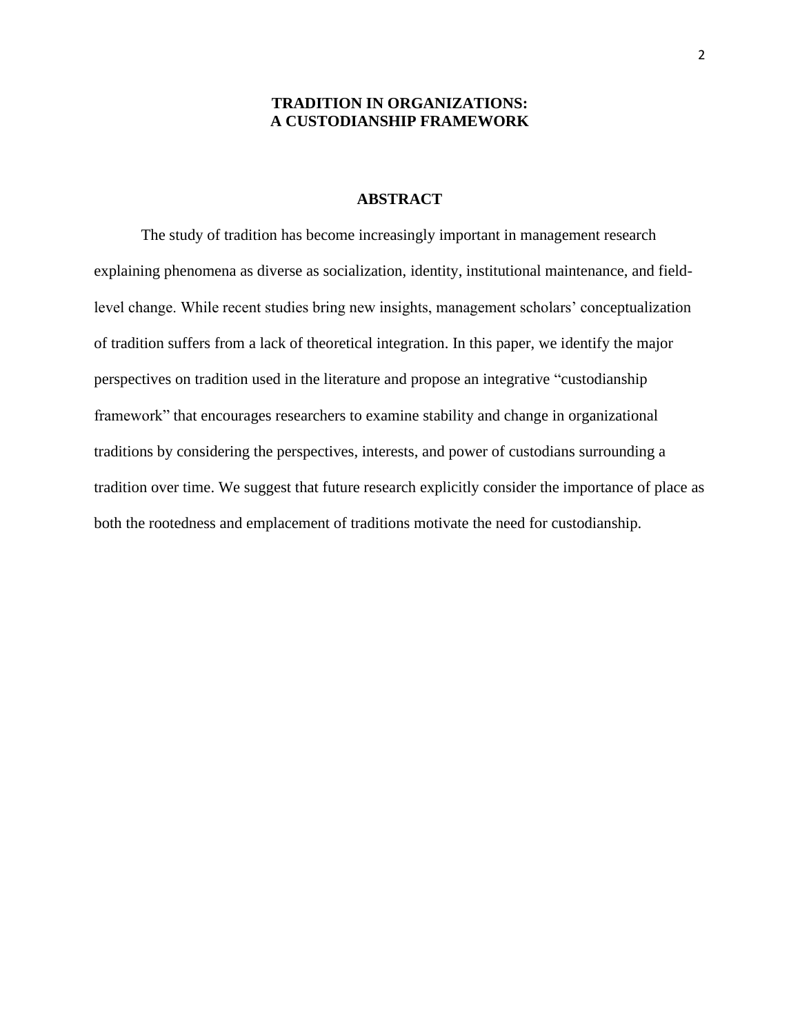## **TRADITION IN ORGANIZATIONS: A CUSTODIANSHIP FRAMEWORK**

## **ABSTRACT**

The study of tradition has become increasingly important in management research explaining phenomena as diverse as socialization, identity, institutional maintenance, and fieldlevel change. While recent studies bring new insights, management scholars' conceptualization of tradition suffers from a lack of theoretical integration. In this paper, we identify the major perspectives on tradition used in the literature and propose an integrative "custodianship framework" that encourages researchers to examine stability and change in organizational traditions by considering the perspectives, interests, and power of custodians surrounding a tradition over time. We suggest that future research explicitly consider the importance of place as both the rootedness and emplacement of traditions motivate the need for custodianship.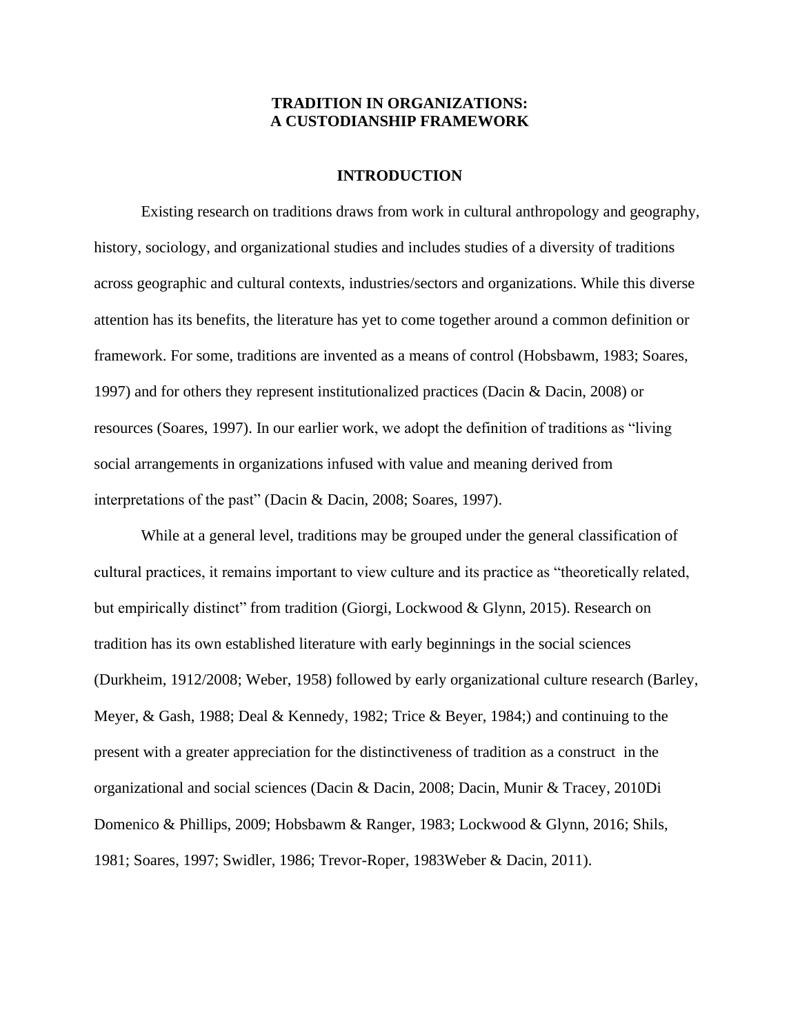## **TRADITION IN ORGANIZATIONS: A CUSTODIANSHIP FRAMEWORK**

### **INTRODUCTION**

Existing research on traditions draws from work in cultural anthropology and geography, history, sociology, and organizational studies and includes studies of a diversity of traditions across geographic and cultural contexts, industries/sectors and organizations. While this diverse attention has its benefits, the literature has yet to come together around a common definition or framework. For some, traditions are invented as a means of control (Hobsbawm, 1983; Soares, 1997) and for others they represent institutionalized practices (Dacin & Dacin, 2008) or resources (Soares, 1997). In our earlier work, we adopt the definition of traditions as "living social arrangements in organizations infused with value and meaning derived from interpretations of the past" (Dacin & Dacin, 2008; Soares, 1997).

While at a general level, traditions may be grouped under the general classification of cultural practices, it remains important to view culture and its practice as "theoretically related, but empirically distinct" from tradition (Giorgi, Lockwood & Glynn, 2015). Research on tradition has its own established literature with early beginnings in the social sciences (Durkheim, 1912/2008; Weber, 1958) followed by early organizational culture research (Barley, Meyer, & Gash, 1988; Deal & Kennedy, 1982; Trice & Beyer, 1984;) and continuing to the present with a greater appreciation for the distinctiveness of tradition as a construct in the organizational and social sciences (Dacin & Dacin, 2008; Dacin, Munir & Tracey, 2010Di Domenico & Phillips, 2009; Hobsbawm & Ranger, 1983; Lockwood & Glynn, 2016; Shils, 1981; Soares, 1997; Swidler, 1986; Trevor-Roper, 1983Weber & Dacin, 2011).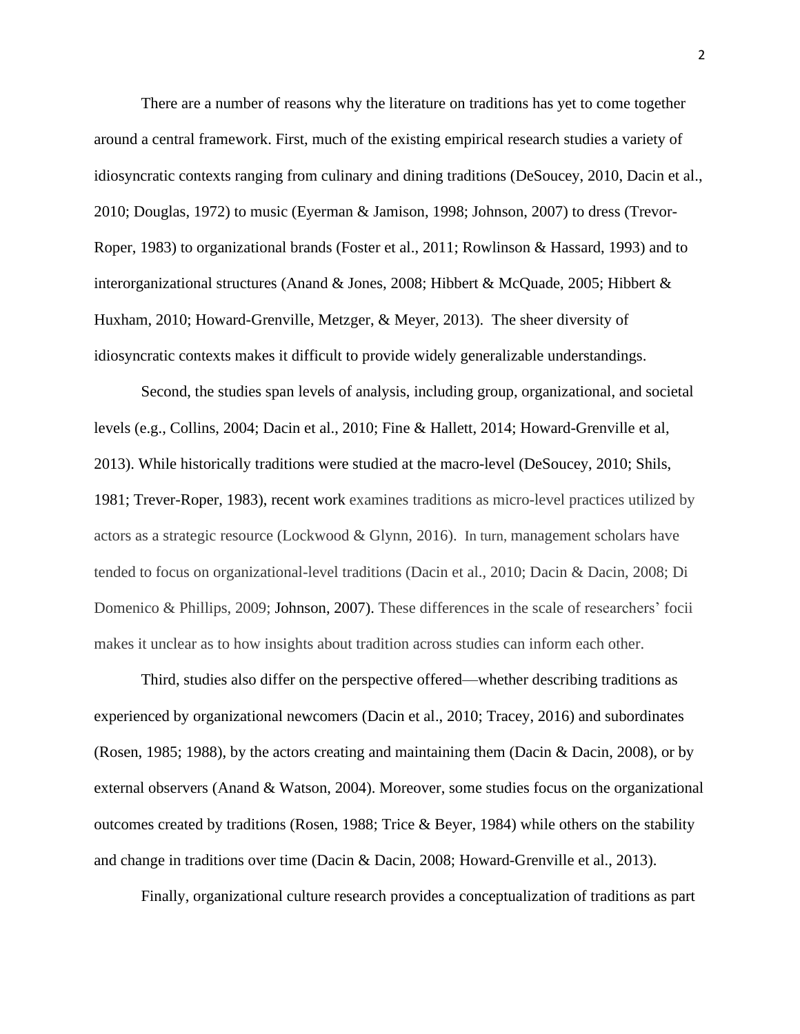There are a number of reasons why the literature on traditions has yet to come together around a central framework. First, much of the existing empirical research studies a variety of idiosyncratic contexts ranging from culinary and dining traditions (DeSoucey, 2010, Dacin et al., 2010; Douglas, 1972) to music (Eyerman & Jamison, 1998; Johnson, 2007) to dress (Trevor-Roper, 1983) to organizational brands (Foster et al., 2011; Rowlinson & Hassard, 1993) and to interorganizational structures (Anand & Jones, 2008; Hibbert & McQuade, 2005; Hibbert & Huxham, 2010; Howard-Grenville, Metzger, & Meyer, 2013). The sheer diversity of idiosyncratic contexts makes it difficult to provide widely generalizable understandings.

Second, the studies span levels of analysis, including group, organizational, and societal levels (e.g., Collins, 2004; Dacin et al., 2010; Fine & Hallett, 2014; Howard-Grenville et al, 2013). While historically traditions were studied at the macro-level (DeSoucey, 2010; Shils, 1981; Trever-Roper, 1983), recent work examines traditions as micro-level practices utilized by actors as a strategic resource (Lockwood & Glynn, 2016). In turn, management scholars have tended to focus on organizational-level traditions (Dacin et al., 2010; Dacin & Dacin, 2008; Di Domenico & Phillips, 2009; Johnson, 2007). These differences in the scale of researchers' focii makes it unclear as to how insights about tradition across studies can inform each other.

Third, studies also differ on the perspective offered—whether describing traditions as experienced by organizational newcomers (Dacin et al., 2010; Tracey, 2016) and subordinates (Rosen, 1985; 1988), by the actors creating and maintaining them (Dacin & Dacin, 2008), or by external observers (Anand & Watson, 2004). Moreover, some studies focus on the organizational outcomes created by traditions (Rosen, 1988; Trice & Beyer, 1984) while others on the stability and change in traditions over time (Dacin & Dacin, 2008; Howard-Grenville et al., 2013).

Finally, organizational culture research provides a conceptualization of traditions as part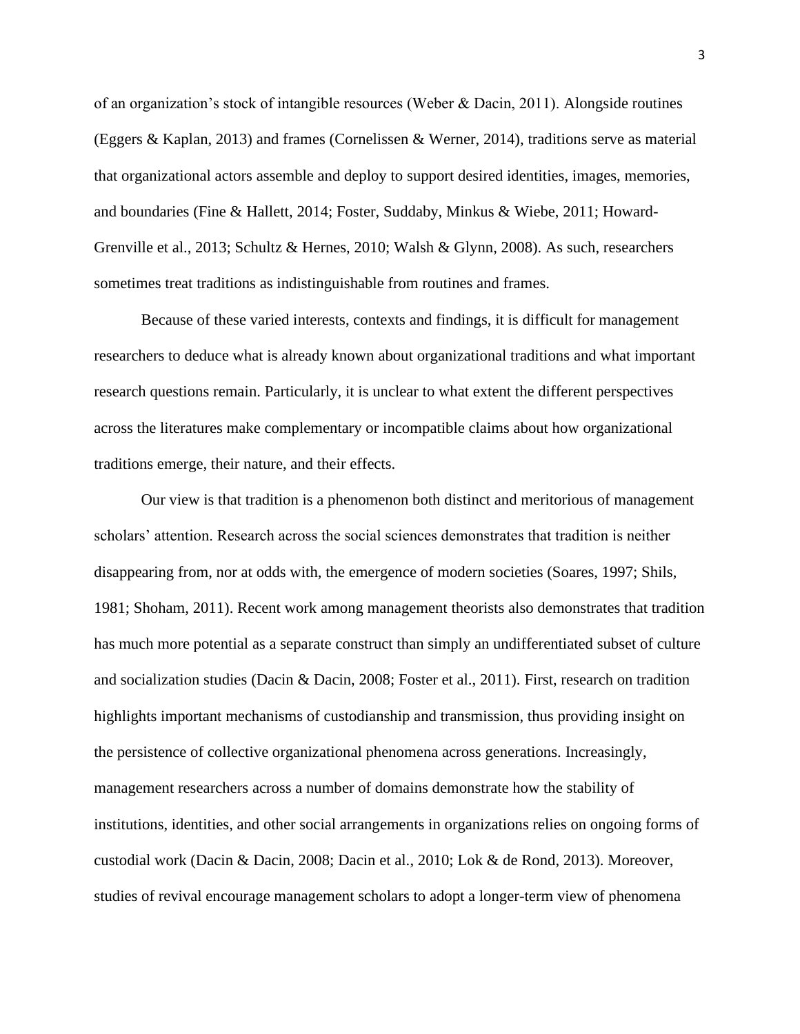of an organization's stock of intangible resources (Weber & Dacin, 2011). Alongside routines (Eggers & Kaplan, 2013) and frames (Cornelissen & Werner, 2014), traditions serve as material that organizational actors assemble and deploy to support desired identities, images, memories, and boundaries (Fine & Hallett, 2014; Foster, Suddaby, Minkus & Wiebe, 2011; Howard-Grenville et al., 2013; Schultz & Hernes, 2010; Walsh & Glynn, 2008). As such, researchers sometimes treat traditions as indistinguishable from routines and frames.

Because of these varied interests, contexts and findings, it is difficult for management researchers to deduce what is already known about organizational traditions and what important research questions remain. Particularly, it is unclear to what extent the different perspectives across the literatures make complementary or incompatible claims about how organizational traditions emerge, their nature, and their effects.

Our view is that tradition is a phenomenon both distinct and meritorious of management scholars' attention. Research across the social sciences demonstrates that tradition is neither disappearing from, nor at odds with, the emergence of modern societies (Soares, 1997; Shils, 1981; Shoham, 2011). Recent work among management theorists also demonstrates that tradition has much more potential as a separate construct than simply an undifferentiated subset of culture and socialization studies (Dacin & Dacin, 2008; Foster et al., 2011). First, research on tradition highlights important mechanisms of custodianship and transmission, thus providing insight on the persistence of collective organizational phenomena across generations. Increasingly, management researchers across a number of domains demonstrate how the stability of institutions, identities, and other social arrangements in organizations relies on ongoing forms of custodial work (Dacin & Dacin, 2008; Dacin et al., 2010; Lok & de Rond, 2013). Moreover, studies of revival encourage management scholars to adopt a longer-term view of phenomena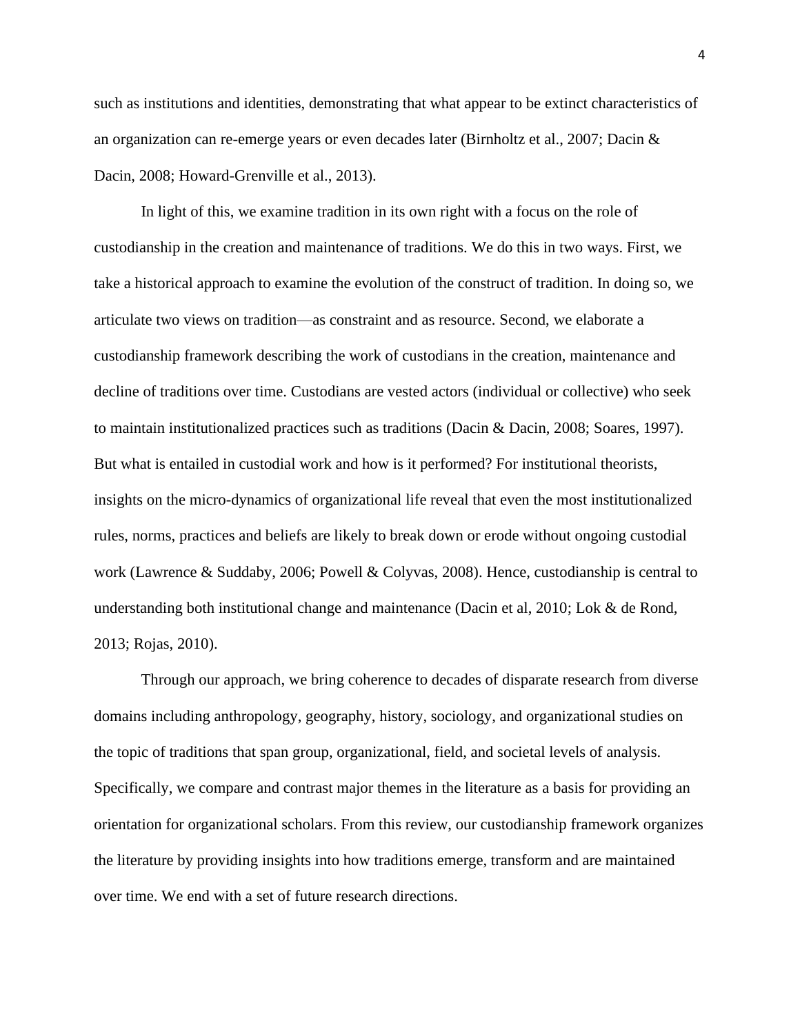such as institutions and identities, demonstrating that what appear to be extinct characteristics of an organization can re-emerge years or even decades later (Birnholtz et al., 2007; Dacin & Dacin, 2008; Howard-Grenville et al., 2013).

In light of this, we examine tradition in its own right with a focus on the role of custodianship in the creation and maintenance of traditions. We do this in two ways. First, we take a historical approach to examine the evolution of the construct of tradition. In doing so, we articulate two views on tradition—as constraint and as resource. Second, we elaborate a custodianship framework describing the work of custodians in the creation, maintenance and decline of traditions over time. Custodians are vested actors (individual or collective) who seek to maintain institutionalized practices such as traditions (Dacin & Dacin, 2008; Soares, 1997). But what is entailed in custodial work and how is it performed? For institutional theorists, insights on the micro-dynamics of organizational life reveal that even the most institutionalized rules, norms, practices and beliefs are likely to break down or erode without ongoing custodial work (Lawrence & Suddaby, 2006; Powell & Colyvas, 2008). Hence, custodianship is central to understanding both institutional change and maintenance (Dacin et al, 2010; Lok & de Rond, 2013; Rojas, 2010).

Through our approach, we bring coherence to decades of disparate research from diverse domains including anthropology, geography, history, sociology, and organizational studies on the topic of traditions that span group, organizational, field, and societal levels of analysis. Specifically, we compare and contrast major themes in the literature as a basis for providing an orientation for organizational scholars. From this review, our custodianship framework organizes the literature by providing insights into how traditions emerge, transform and are maintained over time. We end with a set of future research directions.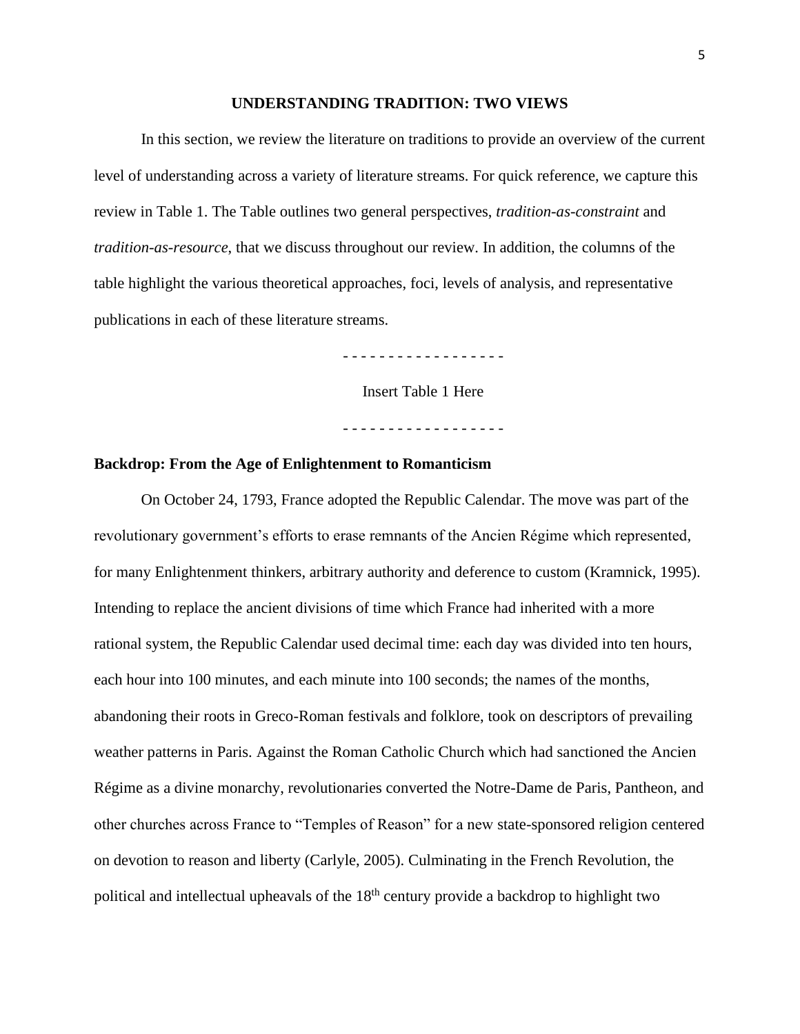#### **UNDERSTANDING TRADITION: TWO VIEWS**

In this section, we review the literature on traditions to provide an overview of the current level of understanding across a variety of literature streams. For quick reference, we capture this review in Table 1. The Table outlines two general perspectives, *tradition-as-constraint* and *tradition-as-resource*, that we discuss throughout our review. In addition, the columns of the table highlight the various theoretical approaches, foci, levels of analysis, and representative publications in each of these literature streams.

- - - - - - - - - - - - - - - - - -

Insert Table 1 Here

- - - - - - - - - - - - - - - - - -

### **Backdrop: From the Age of Enlightenment to Romanticism**

On October 24, 1793, France adopted the Republic Calendar. The move was part of the revolutionary government's efforts to erase remnants of the Ancien Régime which represented, for many Enlightenment thinkers, arbitrary authority and deference to custom (Kramnick, 1995). Intending to replace the ancient divisions of time which France had inherited with a more rational system, the Republic Calendar used decimal time: each day was divided into ten hours, each hour into 100 minutes, and each minute into 100 seconds; the names of the months, abandoning their roots in Greco-Roman festivals and folklore, took on descriptors of prevailing weather patterns in Paris. Against the Roman Catholic Church which had sanctioned the Ancien Régime as a divine monarchy, revolutionaries converted the Notre-Dame de Paris, Pantheon, and other churches across France to "Temples of Reason" for a new state-sponsored religion centered on devotion to reason and liberty (Carlyle, 2005). Culminating in the French Revolution, the political and intellectual upheavals of the  $18<sup>th</sup>$  century provide a backdrop to highlight two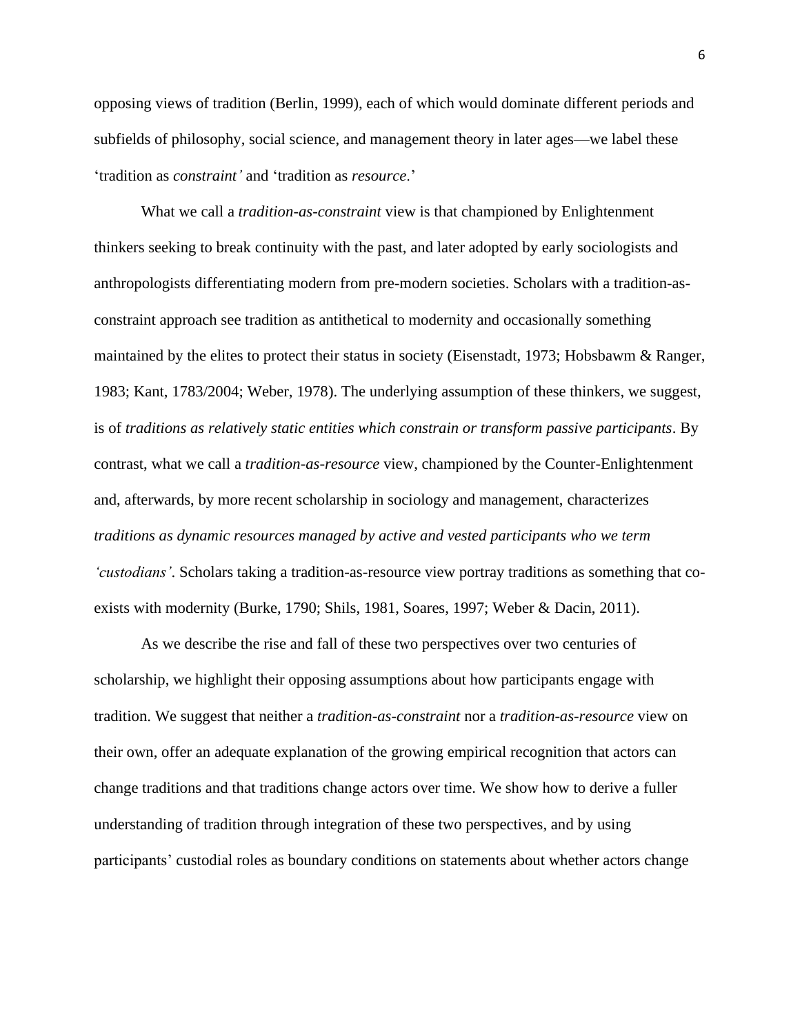opposing views of tradition (Berlin, 1999), each of which would dominate different periods and subfields of philosophy, social science, and management theory in later ages—we label these 'tradition as *constraint'* and 'tradition as *resource*.'

What we call a *tradition-as-constraint* view is that championed by Enlightenment thinkers seeking to break continuity with the past, and later adopted by early sociologists and anthropologists differentiating modern from pre-modern societies. Scholars with a tradition-asconstraint approach see tradition as antithetical to modernity and occasionally something maintained by the elites to protect their status in society (Eisenstadt, 1973; Hobsbawm & Ranger, 1983; Kant, 1783/2004; Weber, 1978). The underlying assumption of these thinkers, we suggest, is of *traditions as relatively static entities which constrain or transform passive participants*. By contrast, what we call a *tradition-as-resource* view, championed by the Counter-Enlightenment and, afterwards, by more recent scholarship in sociology and management, characterizes *traditions as dynamic resources managed by active and vested participants who we term 'custodians'*. Scholars taking a tradition-as-resource view portray traditions as something that coexists with modernity (Burke, 1790; Shils, 1981, Soares, 1997; Weber & Dacin, 2011).

As we describe the rise and fall of these two perspectives over two centuries of scholarship, we highlight their opposing assumptions about how participants engage with tradition. We suggest that neither a *tradition-as-constraint* nor a *tradition-as-resource* view on their own, offer an adequate explanation of the growing empirical recognition that actors can change traditions and that traditions change actors over time. We show how to derive a fuller understanding of tradition through integration of these two perspectives, and by using participants' custodial roles as boundary conditions on statements about whether actors change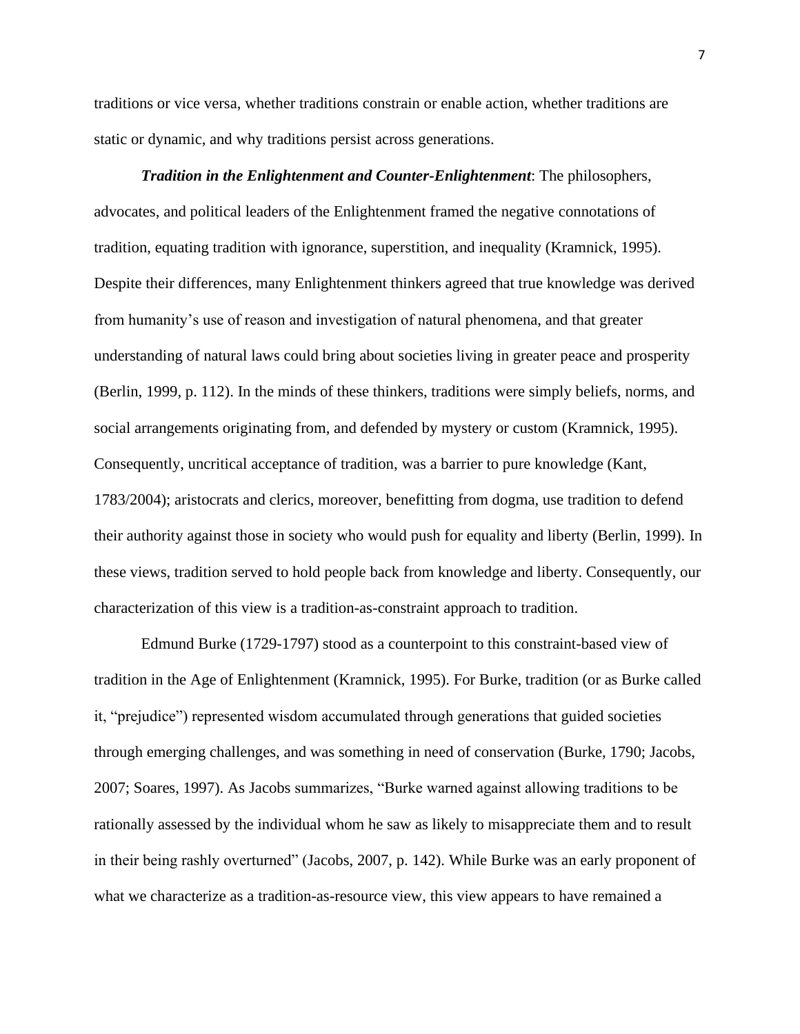traditions or vice versa, whether traditions constrain or enable action, whether traditions are static or dynamic, and why traditions persist across generations.

*Tradition in the Enlightenment and Counter-Enlightenment*: The philosophers, advocates, and political leaders of the Enlightenment framed the negative connotations of tradition, equating tradition with ignorance, superstition, and inequality (Kramnick, 1995). Despite their differences, many Enlightenment thinkers agreed that true knowledge was derived from humanity's use of reason and investigation of natural phenomena, and that greater understanding of natural laws could bring about societies living in greater peace and prosperity (Berlin, 1999, p. 112). In the minds of these thinkers, traditions were simply beliefs, norms, and social arrangements originating from, and defended by mystery or custom (Kramnick, 1995). Consequently, uncritical acceptance of tradition, was a barrier to pure knowledge (Kant, 1783/2004); aristocrats and clerics, moreover, benefitting from dogma, use tradition to defend their authority against those in society who would push for equality and liberty (Berlin, 1999). In these views, tradition served to hold people back from knowledge and liberty. Consequently, our characterization of this view is a tradition-as-constraint approach to tradition.

Edmund Burke (1729-1797) stood as a counterpoint to this constraint-based view of tradition in the Age of Enlightenment (Kramnick, 1995). For Burke, tradition (or as Burke called it, "prejudice") represented wisdom accumulated through generations that guided societies through emerging challenges, and was something in need of conservation (Burke, 1790; Jacobs, 2007; Soares, 1997). As Jacobs summarizes, "Burke warned against allowing traditions to be rationally assessed by the individual whom he saw as likely to misappreciate them and to result in their being rashly overturned" (Jacobs, 2007, p. 142). While Burke was an early proponent of what we characterize as a tradition-as-resource view, this view appears to have remained a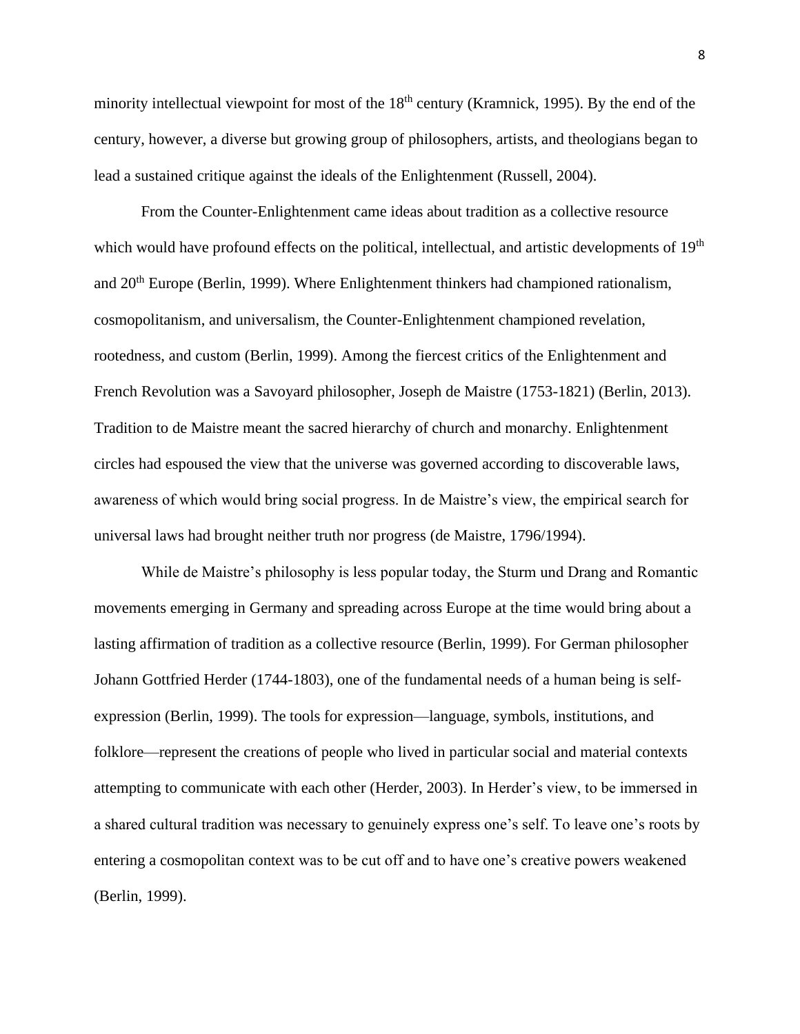minority intellectual viewpoint for most of the  $18<sup>th</sup>$  century (Kramnick, 1995). By the end of the century, however, a diverse but growing group of philosophers, artists, and theologians began to lead a sustained critique against the ideals of the Enlightenment (Russell, 2004).

From the Counter-Enlightenment came ideas about tradition as a collective resource which would have profound effects on the political, intellectual, and artistic developments of 19<sup>th</sup> and 20<sup>th</sup> Europe (Berlin, 1999). Where Enlightenment thinkers had championed rationalism, cosmopolitanism, and universalism, the Counter-Enlightenment championed revelation, rootedness, and custom (Berlin, 1999). Among the fiercest critics of the Enlightenment and French Revolution was a Savoyard philosopher, Joseph de Maistre (1753-1821) (Berlin, 2013). Tradition to de Maistre meant the sacred hierarchy of church and monarchy. Enlightenment circles had espoused the view that the universe was governed according to discoverable laws, awareness of which would bring social progress. In de Maistre's view, the empirical search for universal laws had brought neither truth nor progress (de Maistre, 1796/1994).

While de Maistre's philosophy is less popular today, the Sturm und Drang and Romantic movements emerging in Germany and spreading across Europe at the time would bring about a lasting affirmation of tradition as a collective resource (Berlin, 1999). For German philosopher Johann Gottfried Herder (1744-1803), one of the fundamental needs of a human being is selfexpression (Berlin, 1999). The tools for expression—language, symbols, institutions, and folklore—represent the creations of people who lived in particular social and material contexts attempting to communicate with each other (Herder, 2003). In Herder's view, to be immersed in a shared cultural tradition was necessary to genuinely express one's self. To leave one's roots by entering a cosmopolitan context was to be cut off and to have one's creative powers weakened (Berlin, 1999).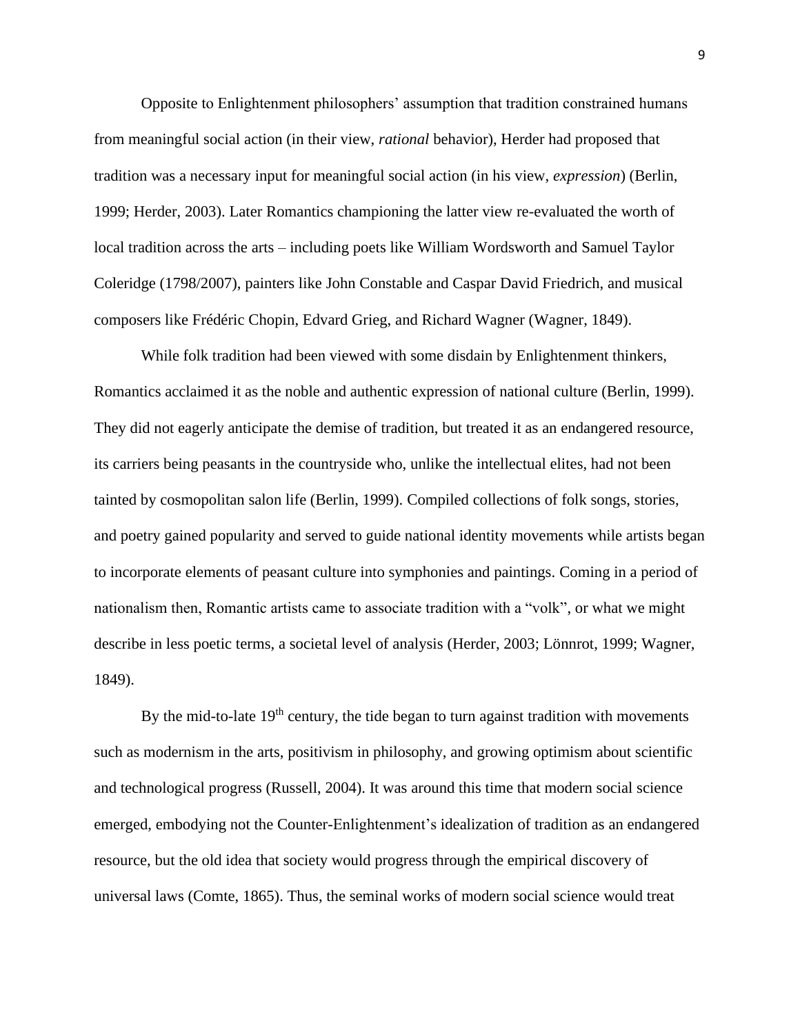Opposite to Enlightenment philosophers' assumption that tradition constrained humans from meaningful social action (in their view, *rational* behavior), Herder had proposed that tradition was a necessary input for meaningful social action (in his view, *expression*) (Berlin, 1999; Herder, 2003). Later Romantics championing the latter view re-evaluated the worth of local tradition across the arts – including poets like William Wordsworth and Samuel Taylor Coleridge (1798/2007), painters like John Constable and Caspar David Friedrich, and musical composers like Frédéric Chopin, Edvard Grieg, and Richard Wagner (Wagner, 1849).

While folk tradition had been viewed with some disdain by Enlightenment thinkers, Romantics acclaimed it as the noble and authentic expression of national culture (Berlin, 1999). They did not eagerly anticipate the demise of tradition, but treated it as an endangered resource, its carriers being peasants in the countryside who, unlike the intellectual elites, had not been tainted by cosmopolitan salon life (Berlin, 1999). Compiled collections of folk songs, stories, and poetry gained popularity and served to guide national identity movements while artists began to incorporate elements of peasant culture into symphonies and paintings. Coming in a period of nationalism then, Romantic artists came to associate tradition with a "volk", or what we might describe in less poetic terms, a societal level of analysis (Herder, 2003; Lönnrot, 1999; Wagner, 1849).

By the mid-to-late  $19<sup>th</sup>$  century, the tide began to turn against tradition with movements such as modernism in the arts, positivism in philosophy, and growing optimism about scientific and technological progress (Russell, 2004). It was around this time that modern social science emerged, embodying not the Counter-Enlightenment's idealization of tradition as an endangered resource, but the old idea that society would progress through the empirical discovery of universal laws (Comte, 1865). Thus, the seminal works of modern social science would treat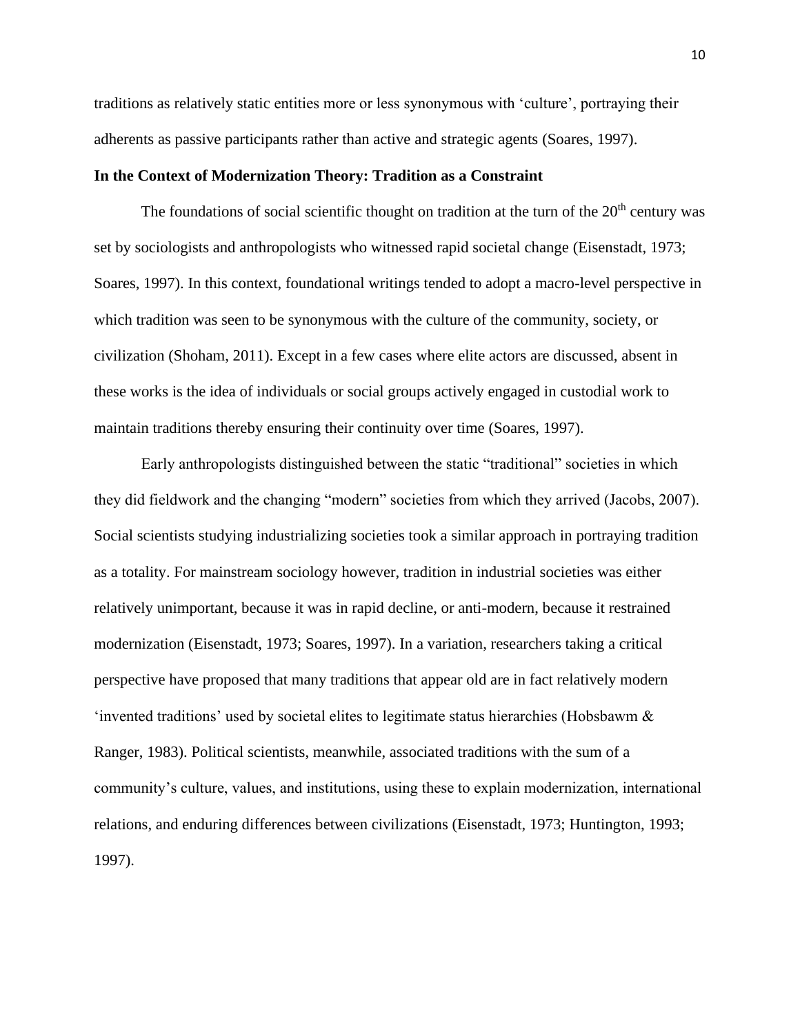traditions as relatively static entities more or less synonymous with 'culture', portraying their adherents as passive participants rather than active and strategic agents (Soares, 1997).

### **In the Context of Modernization Theory: Tradition as a Constraint**

The foundations of social scientific thought on tradition at the turn of the  $20<sup>th</sup>$  century was set by sociologists and anthropologists who witnessed rapid societal change (Eisenstadt, 1973; Soares, 1997). In this context, foundational writings tended to adopt a macro-level perspective in which tradition was seen to be synonymous with the culture of the community, society, or civilization (Shoham, 2011). Except in a few cases where elite actors are discussed, absent in these works is the idea of individuals or social groups actively engaged in custodial work to maintain traditions thereby ensuring their continuity over time (Soares, 1997).

Early anthropologists distinguished between the static "traditional" societies in which they did fieldwork and the changing "modern" societies from which they arrived (Jacobs, 2007). Social scientists studying industrializing societies took a similar approach in portraying tradition as a totality. For mainstream sociology however, tradition in industrial societies was either relatively unimportant, because it was in rapid decline, or anti-modern, because it restrained modernization (Eisenstadt, 1973; Soares, 1997). In a variation, researchers taking a critical perspective have proposed that many traditions that appear old are in fact relatively modern 'invented traditions' used by societal elites to legitimate status hierarchies (Hobsbawm  $\&$ Ranger, 1983). Political scientists, meanwhile, associated traditions with the sum of a community's culture, values, and institutions, using these to explain modernization, international relations, and enduring differences between civilizations (Eisenstadt, 1973; Huntington, 1993; 1997).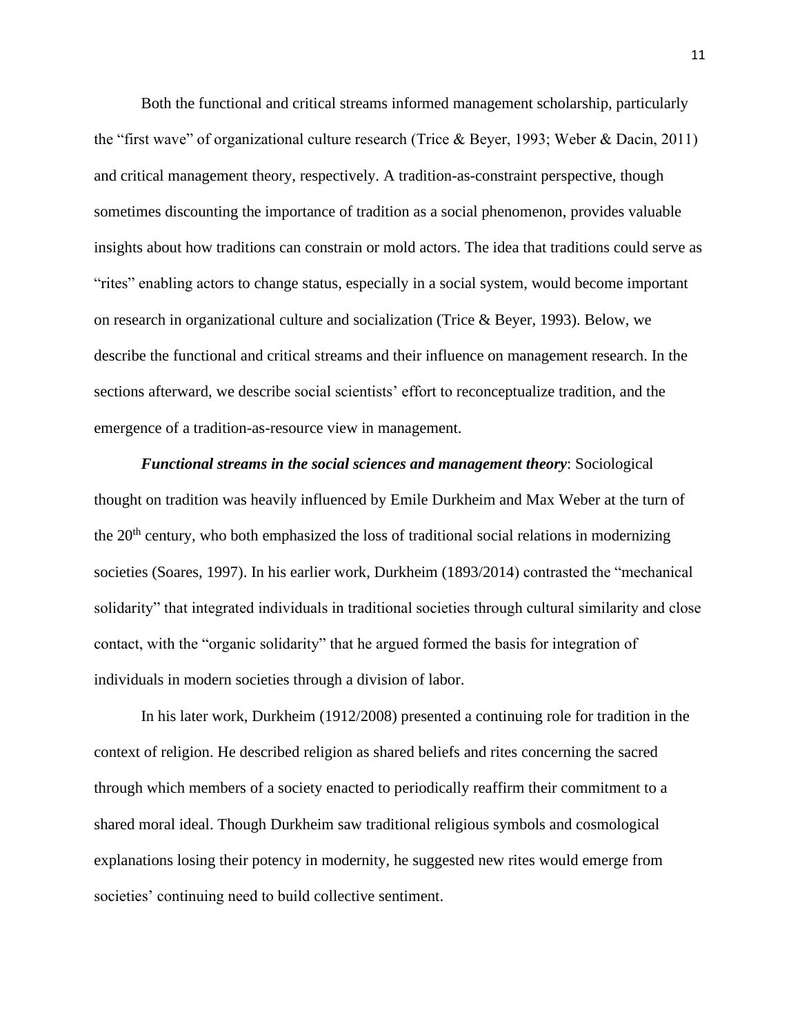Both the functional and critical streams informed management scholarship, particularly the "first wave" of organizational culture research (Trice & Beyer, 1993; Weber & Dacin, 2011) and critical management theory, respectively. A tradition-as-constraint perspective, though sometimes discounting the importance of tradition as a social phenomenon, provides valuable insights about how traditions can constrain or mold actors. The idea that traditions could serve as "rites" enabling actors to change status, especially in a social system, would become important on research in organizational culture and socialization (Trice & Beyer, 1993). Below, we describe the functional and critical streams and their influence on management research. In the sections afterward, we describe social scientists' effort to reconceptualize tradition, and the emergence of a tradition-as-resource view in management.

*Functional streams in the social sciences and management theory*: Sociological thought on tradition was heavily influenced by Emile Durkheim and Max Weber at the turn of the  $20<sup>th</sup>$  century, who both emphasized the loss of traditional social relations in modernizing societies (Soares, 1997). In his earlier work, Durkheim (1893/2014) contrasted the "mechanical solidarity" that integrated individuals in traditional societies through cultural similarity and close contact, with the "organic solidarity" that he argued formed the basis for integration of individuals in modern societies through a division of labor.

In his later work, Durkheim (1912/2008) presented a continuing role for tradition in the context of religion. He described religion as shared beliefs and rites concerning the sacred through which members of a society enacted to periodically reaffirm their commitment to a shared moral ideal. Though Durkheim saw traditional religious symbols and cosmological explanations losing their potency in modernity, he suggested new rites would emerge from societies' continuing need to build collective sentiment.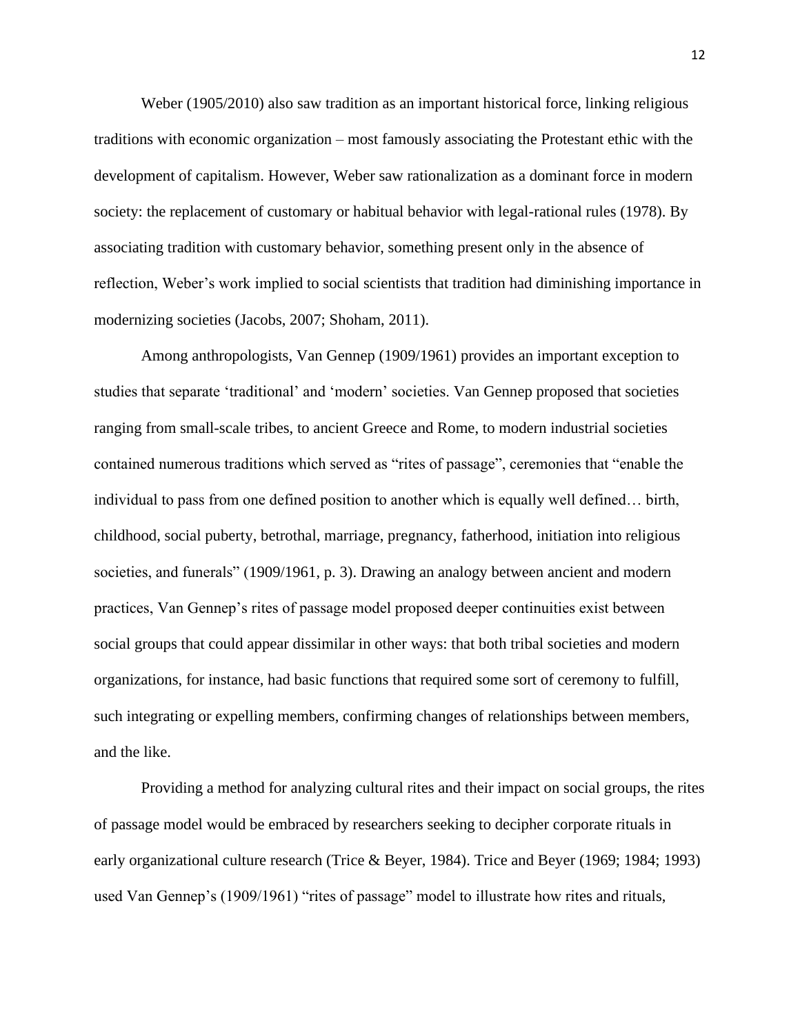Weber (1905/2010) also saw tradition as an important historical force, linking religious traditions with economic organization – most famously associating the Protestant ethic with the development of capitalism. However, Weber saw rationalization as a dominant force in modern society: the replacement of customary or habitual behavior with legal-rational rules (1978). By associating tradition with customary behavior, something present only in the absence of reflection, Weber's work implied to social scientists that tradition had diminishing importance in modernizing societies (Jacobs, 2007; Shoham, 2011).

Among anthropologists, Van Gennep (1909/1961) provides an important exception to studies that separate 'traditional' and 'modern' societies. Van Gennep proposed that societies ranging from small-scale tribes, to ancient Greece and Rome, to modern industrial societies contained numerous traditions which served as "rites of passage", ceremonies that "enable the individual to pass from one defined position to another which is equally well defined… birth, childhood, social puberty, betrothal, marriage, pregnancy, fatherhood, initiation into religious societies, and funerals" (1909/1961, p. 3). Drawing an analogy between ancient and modern practices, Van Gennep's rites of passage model proposed deeper continuities exist between social groups that could appear dissimilar in other ways: that both tribal societies and modern organizations, for instance, had basic functions that required some sort of ceremony to fulfill, such integrating or expelling members, confirming changes of relationships between members, and the like.

Providing a method for analyzing cultural rites and their impact on social groups, the rites of passage model would be embraced by researchers seeking to decipher corporate rituals in early organizational culture research (Trice & Beyer, 1984). Trice and Beyer (1969; 1984; 1993) used Van Gennep's (1909/1961) "rites of passage" model to illustrate how rites and rituals,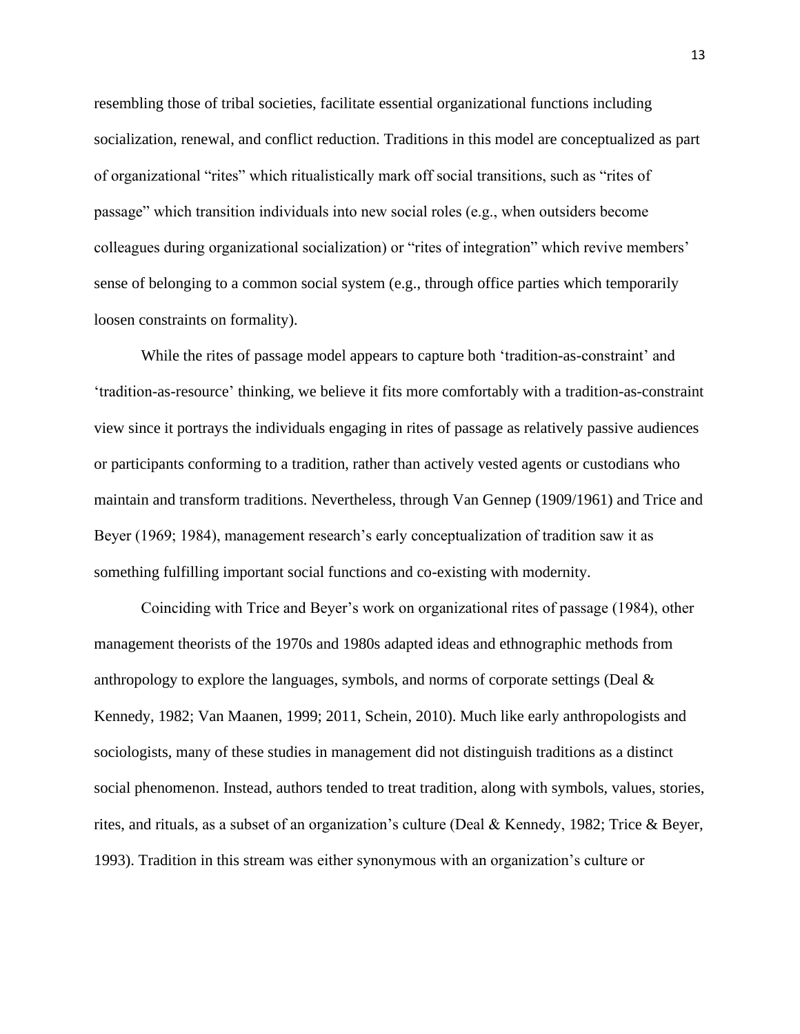resembling those of tribal societies, facilitate essential organizational functions including socialization, renewal, and conflict reduction. Traditions in this model are conceptualized as part of organizational "rites" which ritualistically mark off social transitions, such as "rites of passage" which transition individuals into new social roles (e.g., when outsiders become colleagues during organizational socialization) or "rites of integration" which revive members' sense of belonging to a common social system (e.g., through office parties which temporarily loosen constraints on formality).

While the rites of passage model appears to capture both 'tradition-as-constraint' and 'tradition-as-resource' thinking, we believe it fits more comfortably with a tradition-as-constraint view since it portrays the individuals engaging in rites of passage as relatively passive audiences or participants conforming to a tradition, rather than actively vested agents or custodians who maintain and transform traditions. Nevertheless, through Van Gennep (1909/1961) and Trice and Beyer (1969; 1984), management research's early conceptualization of tradition saw it as something fulfilling important social functions and co-existing with modernity.

Coinciding with Trice and Beyer's work on organizational rites of passage (1984), other management theorists of the 1970s and 1980s adapted ideas and ethnographic methods from anthropology to explore the languages, symbols, and norms of corporate settings (Deal & Kennedy, 1982; Van Maanen, 1999; 2011, Schein, 2010). Much like early anthropologists and sociologists, many of these studies in management did not distinguish traditions as a distinct social phenomenon. Instead, authors tended to treat tradition, along with symbols, values, stories, rites, and rituals, as a subset of an organization's culture (Deal & Kennedy, 1982; Trice & Beyer, 1993). Tradition in this stream was either synonymous with an organization's culture or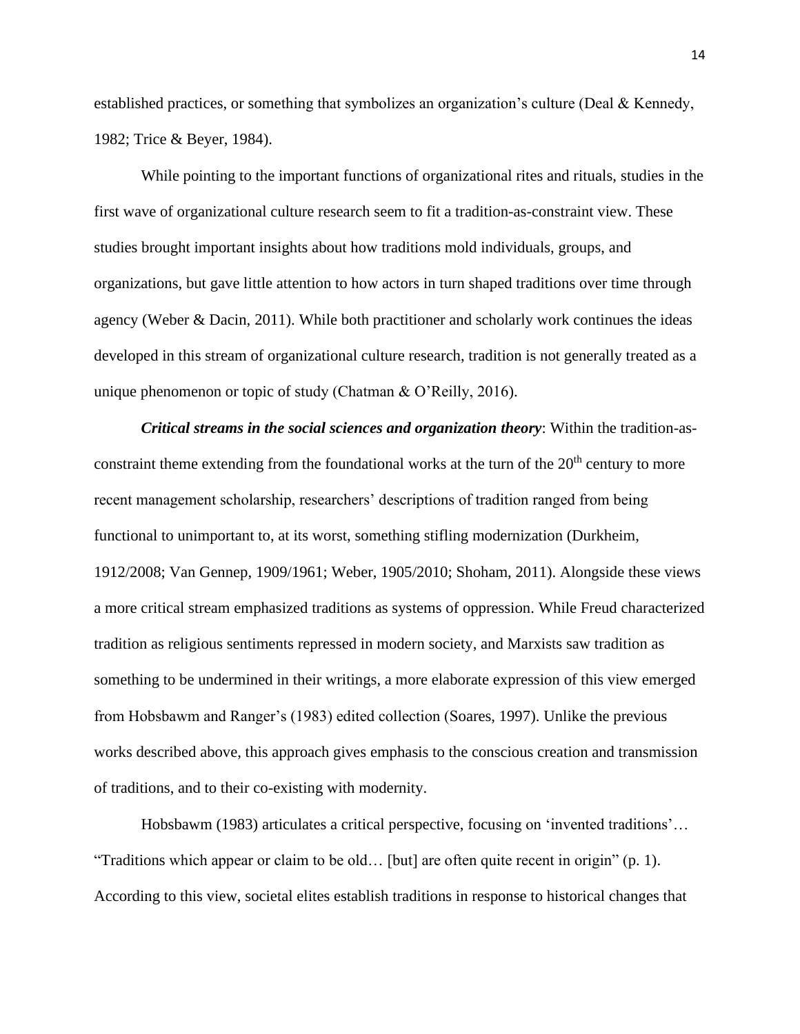established practices, or something that symbolizes an organization's culture (Deal & Kennedy, 1982; Trice & Beyer, 1984).

While pointing to the important functions of organizational rites and rituals, studies in the first wave of organizational culture research seem to fit a tradition-as-constraint view. These studies brought important insights about how traditions mold individuals, groups, and organizations, but gave little attention to how actors in turn shaped traditions over time through agency (Weber & Dacin, 2011). While both practitioner and scholarly work continues the ideas developed in this stream of organizational culture research, tradition is not generally treated as a unique phenomenon or topic of study (Chatman & O'Reilly, 2016).

*Critical streams in the social sciences and organization theory*: Within the tradition-asconstraint theme extending from the foundational works at the turn of the  $20<sup>th</sup>$  century to more recent management scholarship, researchers' descriptions of tradition ranged from being functional to unimportant to, at its worst, something stifling modernization (Durkheim, 1912/2008; Van Gennep, 1909/1961; Weber, 1905/2010; Shoham, 2011). Alongside these views a more critical stream emphasized traditions as systems of oppression. While Freud characterized tradition as religious sentiments repressed in modern society, and Marxists saw tradition as something to be undermined in their writings, a more elaborate expression of this view emerged from Hobsbawm and Ranger's (1983) edited collection (Soares, 1997). Unlike the previous works described above, this approach gives emphasis to the conscious creation and transmission of traditions, and to their co-existing with modernity.

Hobsbawm (1983) articulates a critical perspective, focusing on 'invented traditions'… "Traditions which appear or claim to be old… [but] are often quite recent in origin" (p. 1). According to this view, societal elites establish traditions in response to historical changes that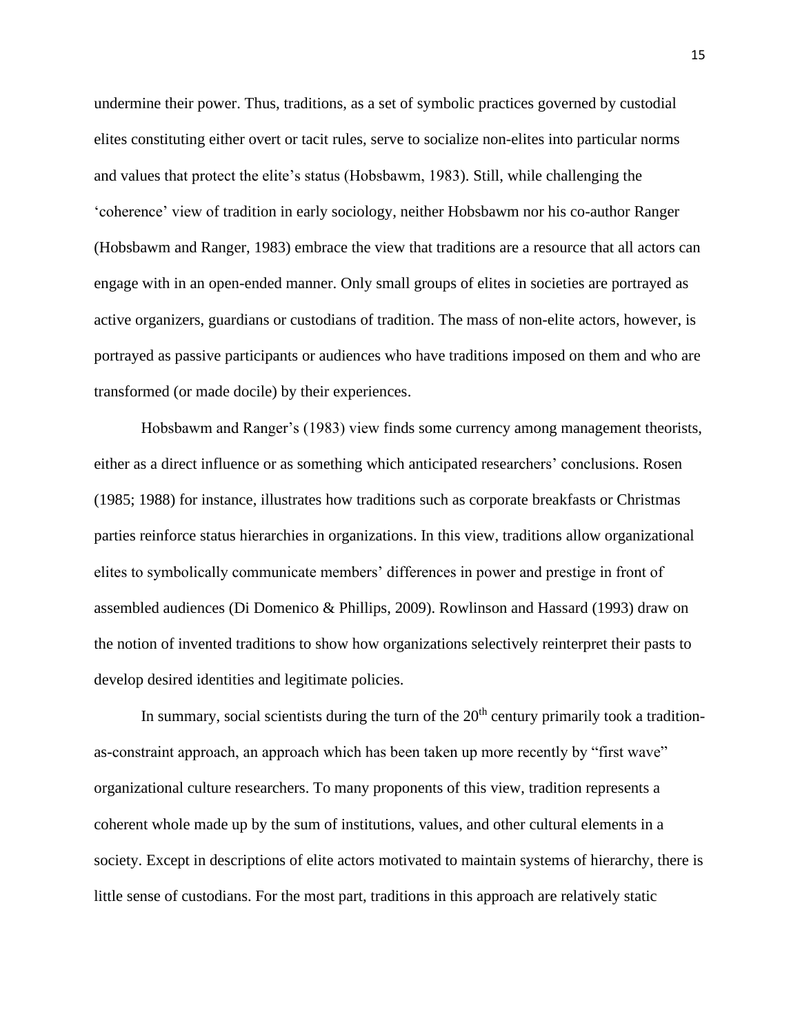undermine their power. Thus, traditions, as a set of symbolic practices governed by custodial elites constituting either overt or tacit rules, serve to socialize non-elites into particular norms and values that protect the elite's status (Hobsbawm, 1983). Still, while challenging the 'coherence' view of tradition in early sociology, neither Hobsbawm nor his co-author Ranger (Hobsbawm and Ranger, 1983) embrace the view that traditions are a resource that all actors can engage with in an open-ended manner. Only small groups of elites in societies are portrayed as active organizers, guardians or custodians of tradition. The mass of non-elite actors, however, is portrayed as passive participants or audiences who have traditions imposed on them and who are transformed (or made docile) by their experiences.

Hobsbawm and Ranger's (1983) view finds some currency among management theorists, either as a direct influence or as something which anticipated researchers' conclusions. Rosen (1985; 1988) for instance, illustrates how traditions such as corporate breakfasts or Christmas parties reinforce status hierarchies in organizations. In this view, traditions allow organizational elites to symbolically communicate members' differences in power and prestige in front of assembled audiences (Di Domenico & Phillips, 2009). Rowlinson and Hassard (1993) draw on the notion of invented traditions to show how organizations selectively reinterpret their pasts to develop desired identities and legitimate policies.

In summary, social scientists during the turn of the  $20<sup>th</sup>$  century primarily took a traditionas-constraint approach, an approach which has been taken up more recently by "first wave" organizational culture researchers. To many proponents of this view, tradition represents a coherent whole made up by the sum of institutions, values, and other cultural elements in a society. Except in descriptions of elite actors motivated to maintain systems of hierarchy, there is little sense of custodians. For the most part, traditions in this approach are relatively static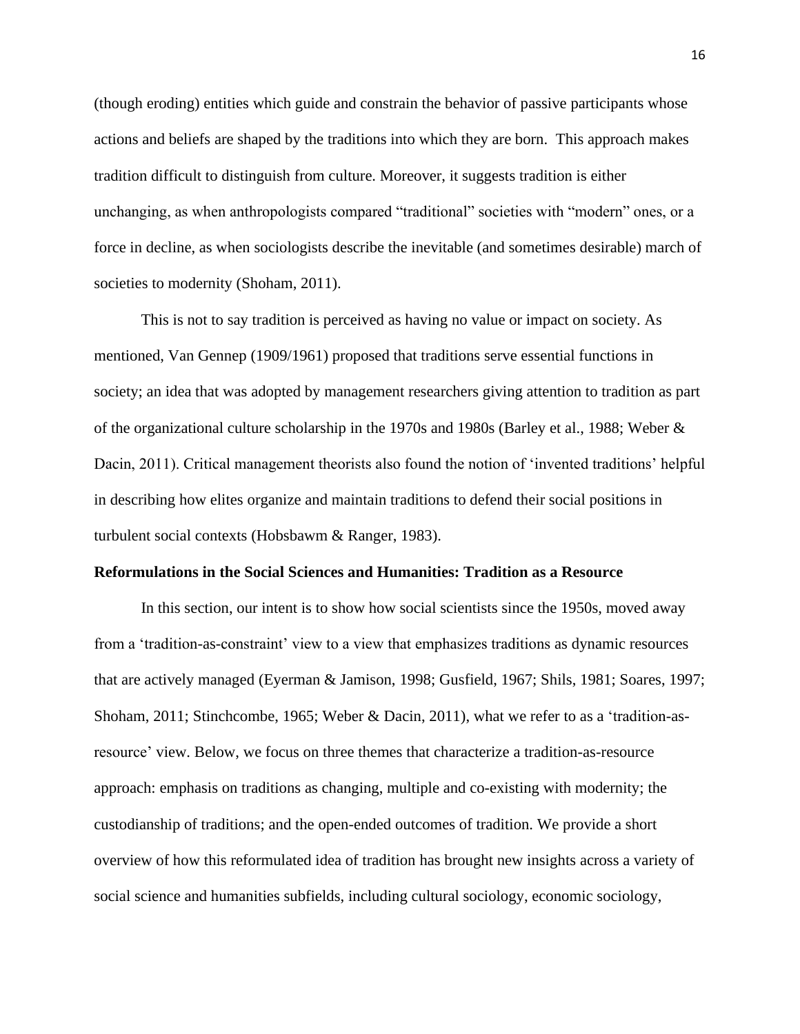(though eroding) entities which guide and constrain the behavior of passive participants whose actions and beliefs are shaped by the traditions into which they are born. This approach makes tradition difficult to distinguish from culture. Moreover, it suggests tradition is either unchanging, as when anthropologists compared "traditional" societies with "modern" ones, or a force in decline, as when sociologists describe the inevitable (and sometimes desirable) march of societies to modernity (Shoham, 2011).

This is not to say tradition is perceived as having no value or impact on society. As mentioned, Van Gennep (1909/1961) proposed that traditions serve essential functions in society; an idea that was adopted by management researchers giving attention to tradition as part of the organizational culture scholarship in the 1970s and 1980s (Barley et al., 1988; Weber & Dacin, 2011). Critical management theorists also found the notion of 'invented traditions' helpful in describing how elites organize and maintain traditions to defend their social positions in turbulent social contexts (Hobsbawm & Ranger, 1983).

#### **Reformulations in the Social Sciences and Humanities: Tradition as a Resource**

In this section, our intent is to show how social scientists since the 1950s, moved away from a 'tradition-as-constraint' view to a view that emphasizes traditions as dynamic resources that are actively managed (Eyerman & Jamison, 1998; Gusfield, 1967; Shils, 1981; Soares, 1997; Shoham, 2011; Stinchcombe, 1965; Weber & Dacin, 2011), what we refer to as a 'tradition-asresource' view. Below, we focus on three themes that characterize a tradition-as-resource approach: emphasis on traditions as changing, multiple and co-existing with modernity; the custodianship of traditions; and the open-ended outcomes of tradition. We provide a short overview of how this reformulated idea of tradition has brought new insights across a variety of social science and humanities subfields, including cultural sociology, economic sociology,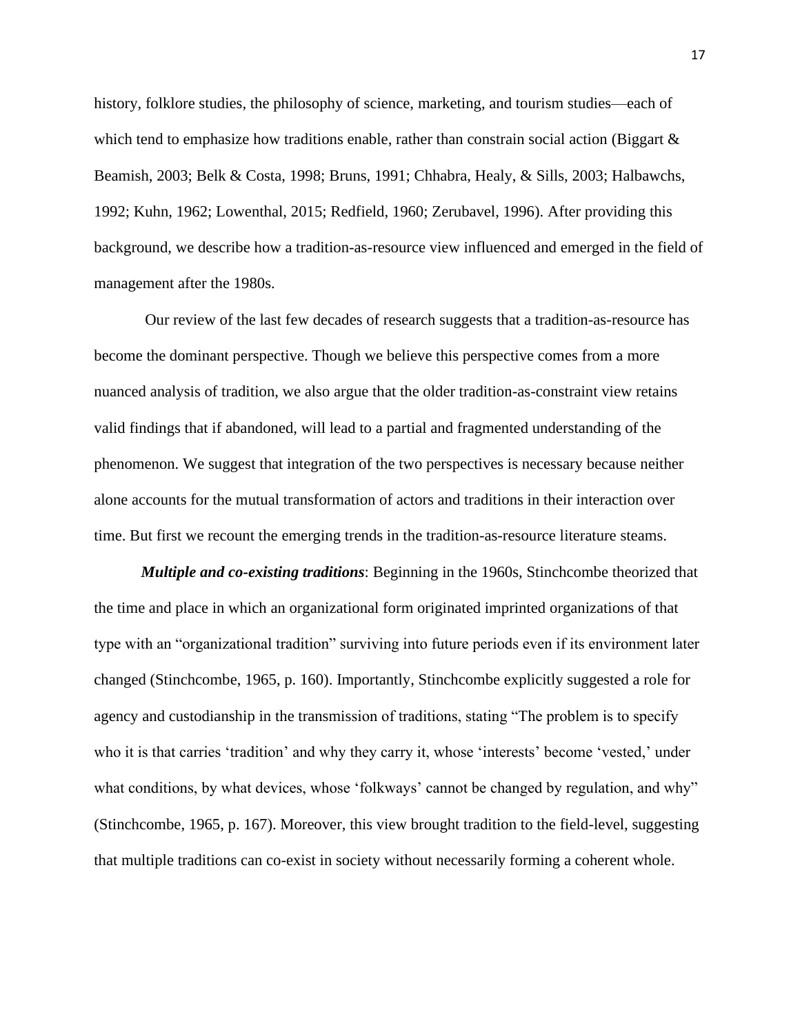history, folklore studies, the philosophy of science, marketing, and tourism studies—each of which tend to emphasize how traditions enable, rather than constrain social action (Biggart  $\&$ Beamish, 2003; Belk & Costa, 1998; Bruns, 1991; Chhabra, Healy, & Sills, 2003; Halbawchs, 1992; Kuhn, 1962; Lowenthal, 2015; Redfield, 1960; Zerubavel, 1996). After providing this background, we describe how a tradition-as-resource view influenced and emerged in the field of management after the 1980s.

Our review of the last few decades of research suggests that a tradition-as-resource has become the dominant perspective. Though we believe this perspective comes from a more nuanced analysis of tradition, we also argue that the older tradition-as-constraint view retains valid findings that if abandoned, will lead to a partial and fragmented understanding of the phenomenon. We suggest that integration of the two perspectives is necessary because neither alone accounts for the mutual transformation of actors and traditions in their interaction over time. But first we recount the emerging trends in the tradition-as-resource literature steams.

*Multiple and co-existing traditions*: Beginning in the 1960s, Stinchcombe theorized that the time and place in which an organizational form originated imprinted organizations of that type with an "organizational tradition" surviving into future periods even if its environment later changed (Stinchcombe, 1965, p. 160). Importantly, Stinchcombe explicitly suggested a role for agency and custodianship in the transmission of traditions, stating "The problem is to specify who it is that carries 'tradition' and why they carry it, whose 'interests' become 'vested,' under what conditions, by what devices, whose 'folkways' cannot be changed by regulation, and why" (Stinchcombe, 1965, p. 167). Moreover, this view brought tradition to the field-level, suggesting that multiple traditions can co-exist in society without necessarily forming a coherent whole.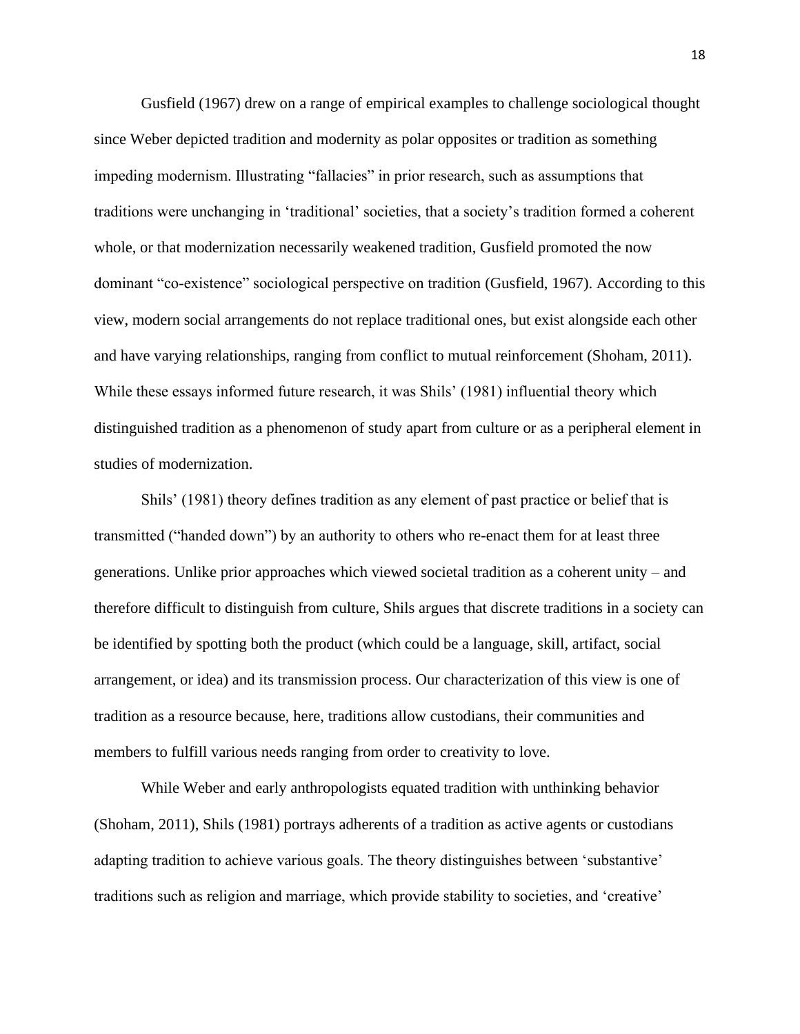Gusfield (1967) drew on a range of empirical examples to challenge sociological thought since Weber depicted tradition and modernity as polar opposites or tradition as something impeding modernism. Illustrating "fallacies" in prior research, such as assumptions that traditions were unchanging in 'traditional' societies, that a society's tradition formed a coherent whole, or that modernization necessarily weakened tradition, Gusfield promoted the now dominant "co-existence" sociological perspective on tradition (Gusfield, 1967). According to this view, modern social arrangements do not replace traditional ones, but exist alongside each other and have varying relationships, ranging from conflict to mutual reinforcement (Shoham, 2011). While these essays informed future research, it was Shils' (1981) influential theory which distinguished tradition as a phenomenon of study apart from culture or as a peripheral element in studies of modernization.

Shils' (1981) theory defines tradition as any element of past practice or belief that is transmitted ("handed down") by an authority to others who re-enact them for at least three generations. Unlike prior approaches which viewed societal tradition as a coherent unity – and therefore difficult to distinguish from culture, Shils argues that discrete traditions in a society can be identified by spotting both the product (which could be a language, skill, artifact, social arrangement, or idea) and its transmission process. Our characterization of this view is one of tradition as a resource because, here, traditions allow custodians, their communities and members to fulfill various needs ranging from order to creativity to love.

While Weber and early anthropologists equated tradition with unthinking behavior (Shoham, 2011), Shils (1981) portrays adherents of a tradition as active agents or custodians adapting tradition to achieve various goals. The theory distinguishes between 'substantive' traditions such as religion and marriage, which provide stability to societies, and 'creative'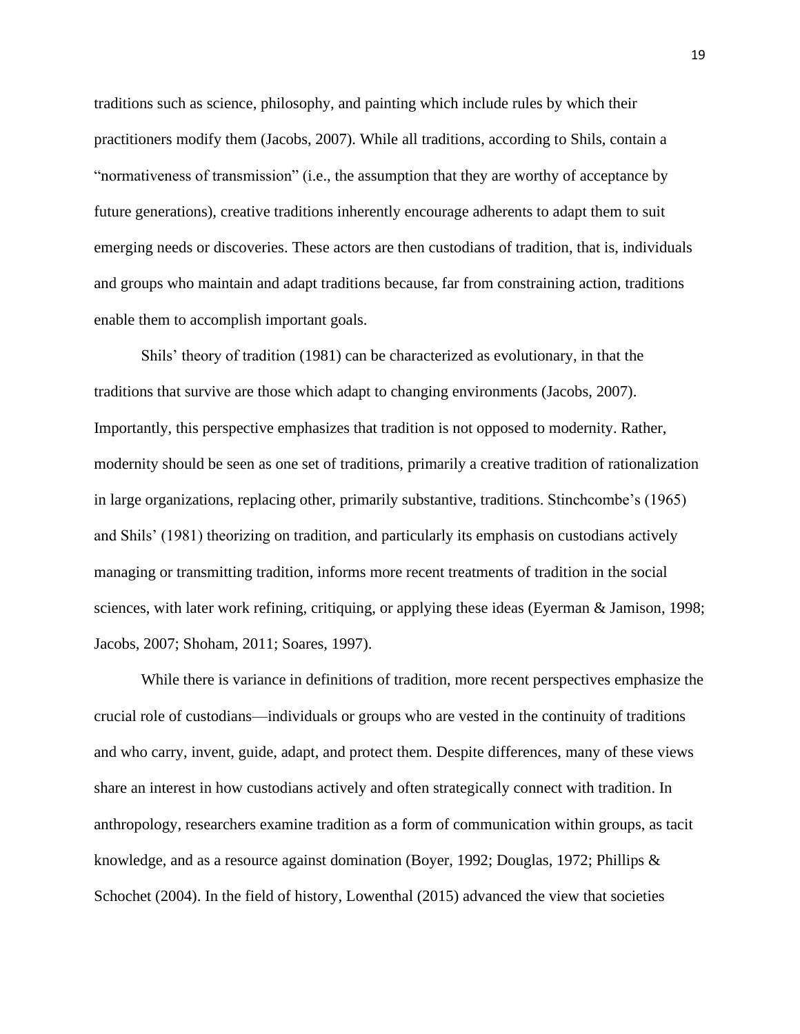traditions such as science, philosophy, and painting which include rules by which their practitioners modify them (Jacobs, 2007). While all traditions, according to Shils, contain a "normativeness of transmission" (i.e., the assumption that they are worthy of acceptance by future generations), creative traditions inherently encourage adherents to adapt them to suit emerging needs or discoveries. These actors are then custodians of tradition, that is, individuals and groups who maintain and adapt traditions because, far from constraining action, traditions enable them to accomplish important goals.

Shils' theory of tradition (1981) can be characterized as evolutionary, in that the traditions that survive are those which adapt to changing environments (Jacobs, 2007). Importantly, this perspective emphasizes that tradition is not opposed to modernity. Rather, modernity should be seen as one set of traditions, primarily a creative tradition of rationalization in large organizations, replacing other, primarily substantive, traditions. Stinchcombe's (1965) and Shils' (1981) theorizing on tradition, and particularly its emphasis on custodians actively managing or transmitting tradition, informs more recent treatments of tradition in the social sciences, with later work refining, critiquing, or applying these ideas (Eyerman & Jamison, 1998; Jacobs, 2007; Shoham, 2011; Soares, 1997).

While there is variance in definitions of tradition, more recent perspectives emphasize the crucial role of custodians—individuals or groups who are vested in the continuity of traditions and who carry, invent, guide, adapt, and protect them. Despite differences, many of these views share an interest in how custodians actively and often strategically connect with tradition. In anthropology, researchers examine tradition as a form of communication within groups, as tacit knowledge, and as a resource against domination (Boyer, 1992; Douglas, 1972; Phillips & Schochet (2004). In the field of history, Lowenthal (2015) advanced the view that societies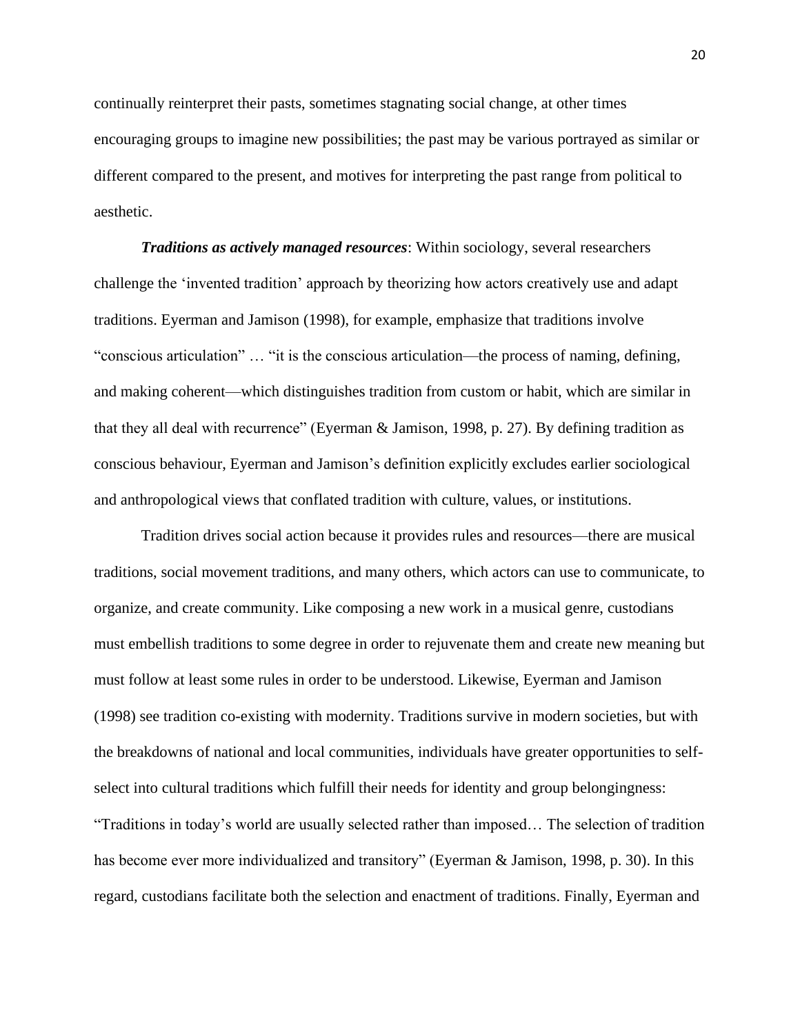continually reinterpret their pasts, sometimes stagnating social change, at other times encouraging groups to imagine new possibilities; the past may be various portrayed as similar or different compared to the present, and motives for interpreting the past range from political to aesthetic.

*Traditions as actively managed resources*: Within sociology, several researchers challenge the 'invented tradition' approach by theorizing how actors creatively use and adapt traditions. Eyerman and Jamison (1998), for example, emphasize that traditions involve "conscious articulation" … "it is the conscious articulation—the process of naming, defining, and making coherent—which distinguishes tradition from custom or habit, which are similar in that they all deal with recurrence" (Eyerman & Jamison, 1998, p. 27). By defining tradition as conscious behaviour, Eyerman and Jamison's definition explicitly excludes earlier sociological and anthropological views that conflated tradition with culture, values, or institutions.

Tradition drives social action because it provides rules and resources—there are musical traditions, social movement traditions, and many others, which actors can use to communicate, to organize, and create community. Like composing a new work in a musical genre, custodians must embellish traditions to some degree in order to rejuvenate them and create new meaning but must follow at least some rules in order to be understood. Likewise, Eyerman and Jamison (1998) see tradition co-existing with modernity. Traditions survive in modern societies, but with the breakdowns of national and local communities, individuals have greater opportunities to selfselect into cultural traditions which fulfill their needs for identity and group belongingness: "Traditions in today's world are usually selected rather than imposed… The selection of tradition has become ever more individualized and transitory" (Eyerman & Jamison, 1998, p. 30). In this regard, custodians facilitate both the selection and enactment of traditions. Finally, Eyerman and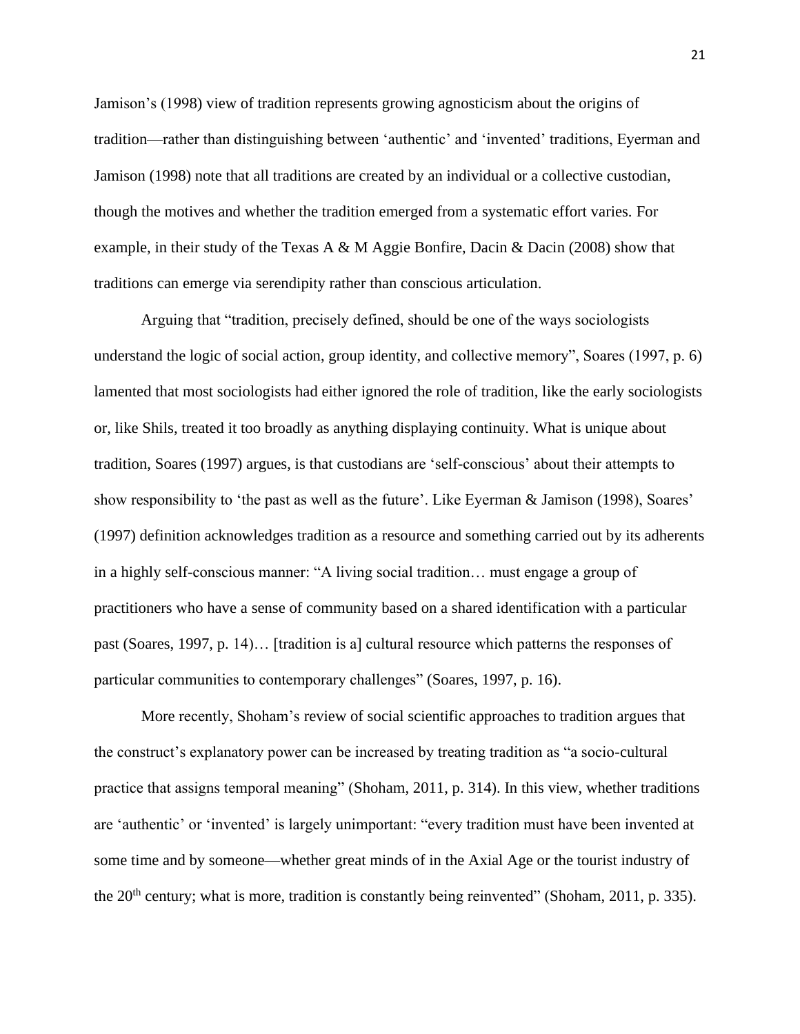Jamison's (1998) view of tradition represents growing agnosticism about the origins of tradition—rather than distinguishing between 'authentic' and 'invented' traditions, Eyerman and Jamison (1998) note that all traditions are created by an individual or a collective custodian, though the motives and whether the tradition emerged from a systematic effort varies. For example, in their study of the Texas A & M Aggie Bonfire, Dacin & Dacin (2008) show that traditions can emerge via serendipity rather than conscious articulation.

Arguing that "tradition, precisely defined, should be one of the ways sociologists understand the logic of social action, group identity, and collective memory", Soares (1997, p. 6) lamented that most sociologists had either ignored the role of tradition, like the early sociologists or, like Shils, treated it too broadly as anything displaying continuity. What is unique about tradition, Soares (1997) argues, is that custodians are 'self-conscious' about their attempts to show responsibility to 'the past as well as the future'. Like Eyerman & Jamison (1998), Soares' (1997) definition acknowledges tradition as a resource and something carried out by its adherents in a highly self-conscious manner: "A living social tradition… must engage a group of practitioners who have a sense of community based on a shared identification with a particular past (Soares, 1997, p. 14)… [tradition is a] cultural resource which patterns the responses of particular communities to contemporary challenges" (Soares, 1997, p. 16).

More recently, Shoham's review of social scientific approaches to tradition argues that the construct's explanatory power can be increased by treating tradition as "a socio-cultural practice that assigns temporal meaning" (Shoham, 2011, p. 314). In this view, whether traditions are 'authentic' or 'invented' is largely unimportant: "every tradition must have been invented at some time and by someone—whether great minds of in the Axial Age or the tourist industry of the 20<sup>th</sup> century; what is more, tradition is constantly being reinvented" (Shoham, 2011, p. 335).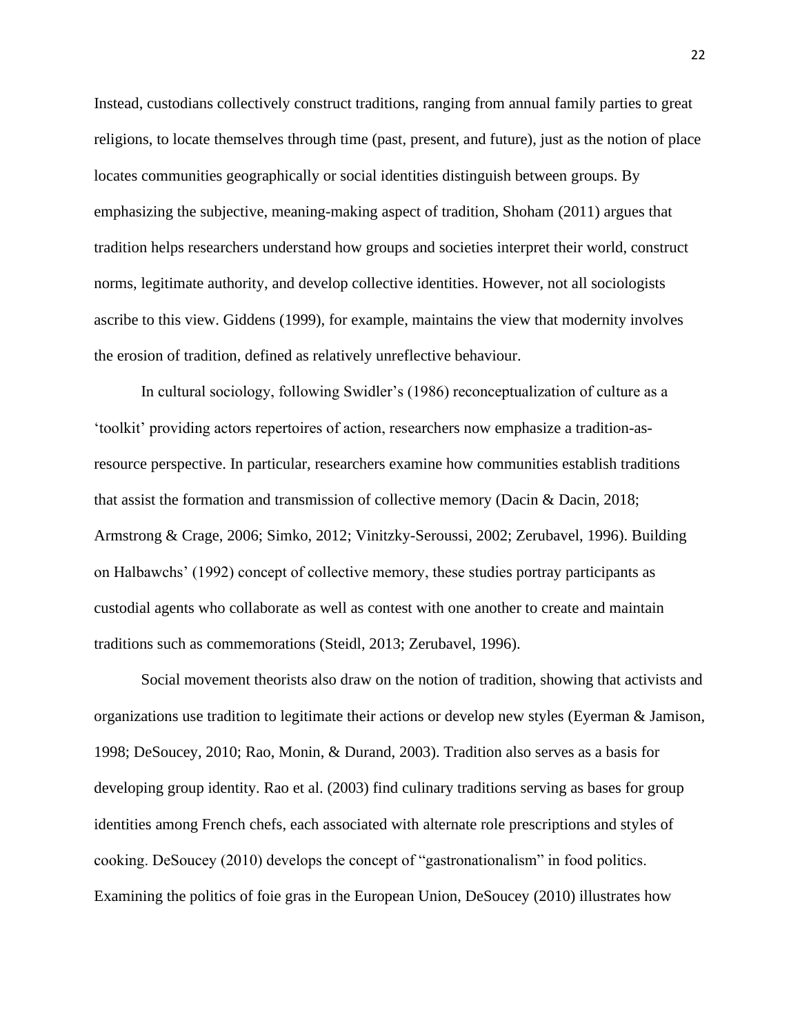Instead, custodians collectively construct traditions, ranging from annual family parties to great religions, to locate themselves through time (past, present, and future), just as the notion of place locates communities geographically or social identities distinguish between groups. By emphasizing the subjective, meaning-making aspect of tradition, Shoham (2011) argues that tradition helps researchers understand how groups and societies interpret their world, construct norms, legitimate authority, and develop collective identities. However, not all sociologists ascribe to this view. Giddens (1999), for example, maintains the view that modernity involves the erosion of tradition, defined as relatively unreflective behaviour.

In cultural sociology, following Swidler's (1986) reconceptualization of culture as a 'toolkit' providing actors repertoires of action, researchers now emphasize a tradition-asresource perspective. In particular, researchers examine how communities establish traditions that assist the formation and transmission of collective memory (Dacin & Dacin, 2018; Armstrong & Crage, 2006; Simko, 2012; Vinitzky-Seroussi, 2002; Zerubavel, 1996). Building on Halbawchs' (1992) concept of collective memory, these studies portray participants as custodial agents who collaborate as well as contest with one another to create and maintain traditions such as commemorations (Steidl, 2013; Zerubavel, 1996).

Social movement theorists also draw on the notion of tradition, showing that activists and organizations use tradition to legitimate their actions or develop new styles (Eyerman & Jamison, 1998; DeSoucey, 2010; Rao, Monin, & Durand, 2003). Tradition also serves as a basis for developing group identity. Rao et al. (2003) find culinary traditions serving as bases for group identities among French chefs, each associated with alternate role prescriptions and styles of cooking. DeSoucey (2010) develops the concept of "gastronationalism" in food politics. Examining the politics of foie gras in the European Union, DeSoucey (2010) illustrates how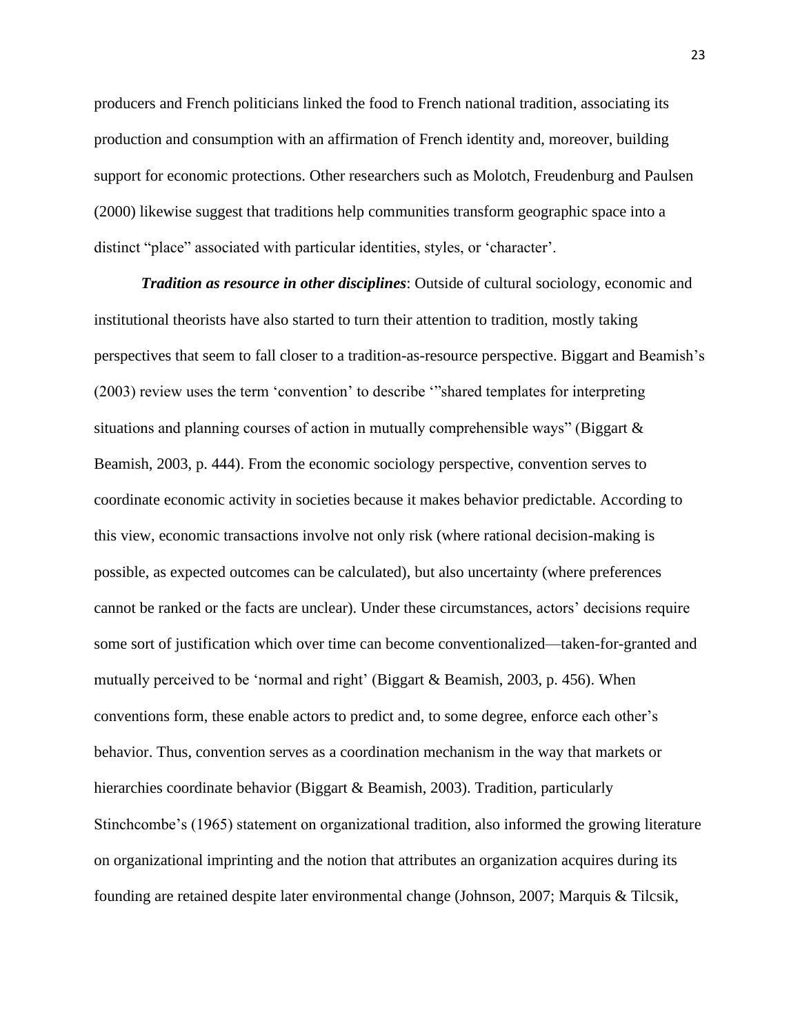producers and French politicians linked the food to French national tradition, associating its production and consumption with an affirmation of French identity and, moreover, building support for economic protections. Other researchers such as Molotch, Freudenburg and Paulsen (2000) likewise suggest that traditions help communities transform geographic space into a distinct "place" associated with particular identities, styles, or 'character'.

*Tradition as resource in other disciplines*: Outside of cultural sociology, economic and institutional theorists have also started to turn their attention to tradition, mostly taking perspectives that seem to fall closer to a tradition-as-resource perspective. Biggart and Beamish's (2003) review uses the term 'convention' to describe '"shared templates for interpreting situations and planning courses of action in mutually comprehensible ways" (Biggart  $\&$ Beamish, 2003, p. 444). From the economic sociology perspective, convention serves to coordinate economic activity in societies because it makes behavior predictable. According to this view, economic transactions involve not only risk (where rational decision-making is possible, as expected outcomes can be calculated), but also uncertainty (where preferences cannot be ranked or the facts are unclear). Under these circumstances, actors' decisions require some sort of justification which over time can become conventionalized—taken-for-granted and mutually perceived to be 'normal and right' (Biggart & Beamish, 2003, p. 456). When conventions form, these enable actors to predict and, to some degree, enforce each other's behavior. Thus, convention serves as a coordination mechanism in the way that markets or hierarchies coordinate behavior (Biggart & Beamish, 2003). Tradition, particularly Stinchcombe's (1965) statement on organizational tradition, also informed the growing literature on organizational imprinting and the notion that attributes an organization acquires during its founding are retained despite later environmental change (Johnson, 2007; Marquis & Tilcsik,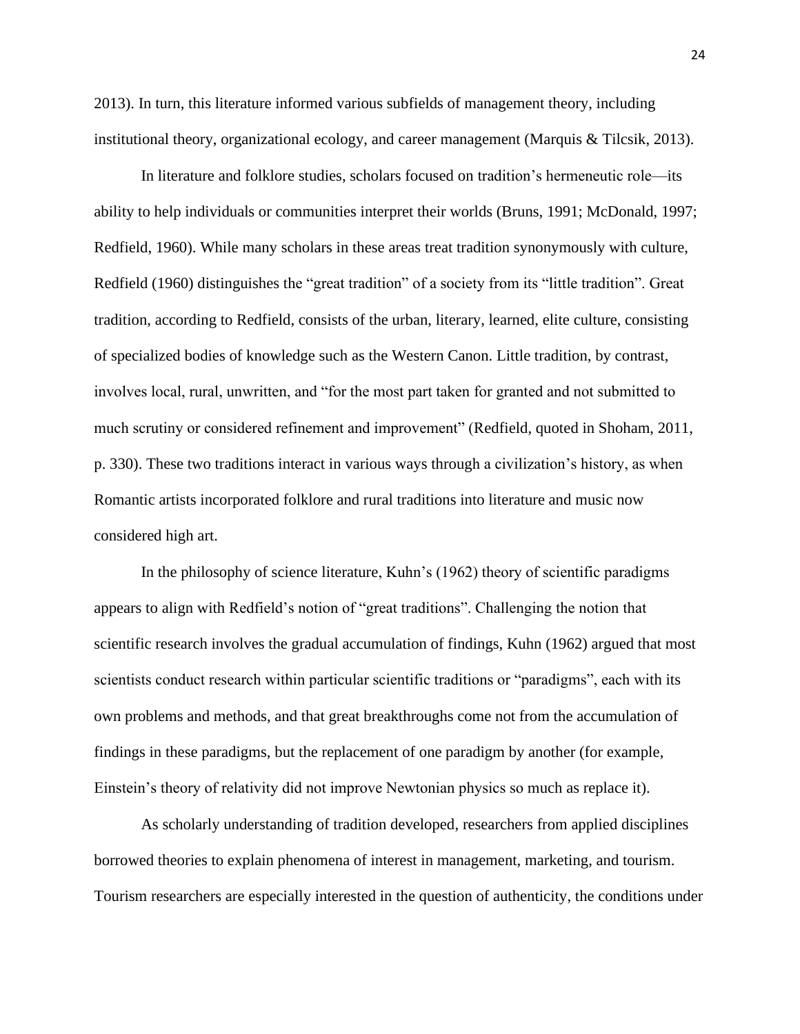2013). In turn, this literature informed various subfields of management theory, including institutional theory, organizational ecology, and career management (Marquis & Tilcsik, 2013).

In literature and folklore studies, scholars focused on tradition's hermeneutic role—its ability to help individuals or communities interpret their worlds (Bruns, 1991; McDonald, 1997; Redfield, 1960). While many scholars in these areas treat tradition synonymously with culture, Redfield (1960) distinguishes the "great tradition" of a society from its "little tradition". Great tradition, according to Redfield, consists of the urban, literary, learned, elite culture, consisting of specialized bodies of knowledge such as the Western Canon. Little tradition, by contrast, involves local, rural, unwritten, and "for the most part taken for granted and not submitted to much scrutiny or considered refinement and improvement" (Redfield, quoted in Shoham, 2011, p. 330). These two traditions interact in various ways through a civilization's history, as when Romantic artists incorporated folklore and rural traditions into literature and music now considered high art.

In the philosophy of science literature, Kuhn's (1962) theory of scientific paradigms appears to align with Redfield's notion of "great traditions". Challenging the notion that scientific research involves the gradual accumulation of findings, Kuhn (1962) argued that most scientists conduct research within particular scientific traditions or "paradigms", each with its own problems and methods, and that great breakthroughs come not from the accumulation of findings in these paradigms, but the replacement of one paradigm by another (for example, Einstein's theory of relativity did not improve Newtonian physics so much as replace it).

As scholarly understanding of tradition developed, researchers from applied disciplines borrowed theories to explain phenomena of interest in management, marketing, and tourism. Tourism researchers are especially interested in the question of authenticity, the conditions under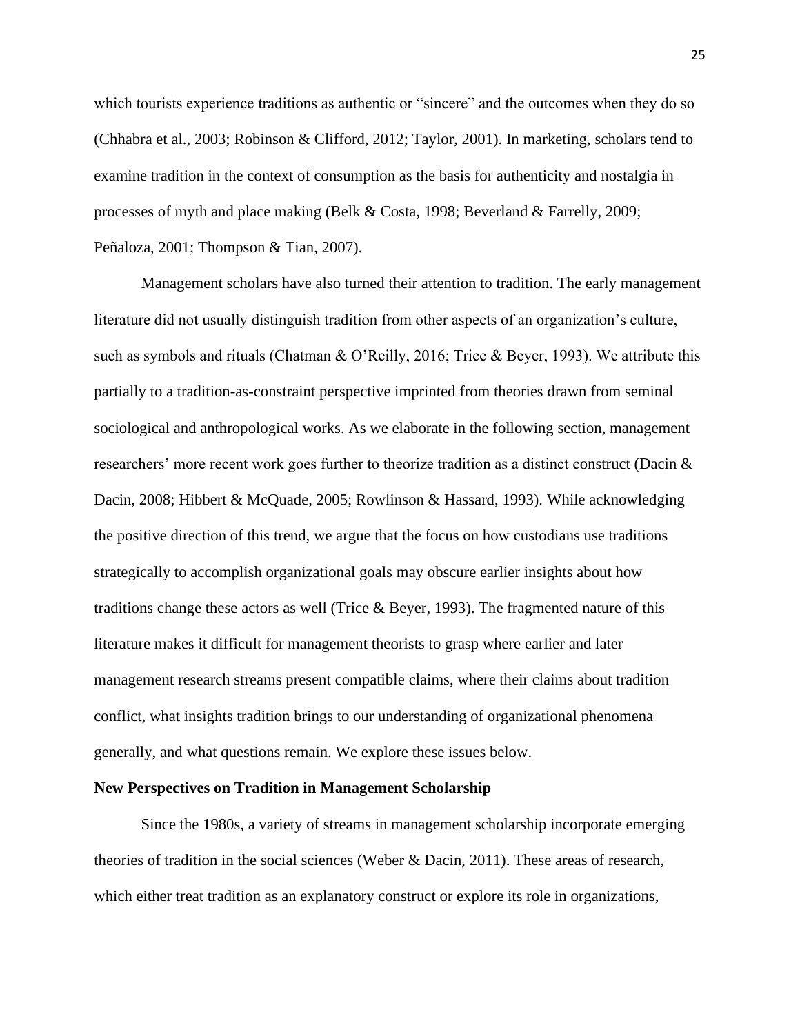which tourists experience traditions as authentic or "sincere" and the outcomes when they do so (Chhabra et al., 2003; Robinson & Clifford, 2012; Taylor, 2001). In marketing, scholars tend to examine tradition in the context of consumption as the basis for authenticity and nostalgia in processes of myth and place making (Belk & Costa, 1998; Beverland & Farrelly, 2009; Peñaloza, 2001; Thompson & Tian, 2007).

Management scholars have also turned their attention to tradition. The early management literature did not usually distinguish tradition from other aspects of an organization's culture, such as symbols and rituals (Chatman & O'Reilly, 2016; Trice & Beyer, 1993). We attribute this partially to a tradition-as-constraint perspective imprinted from theories drawn from seminal sociological and anthropological works. As we elaborate in the following section, management researchers' more recent work goes further to theorize tradition as a distinct construct (Dacin & Dacin, 2008; Hibbert & McQuade, 2005; Rowlinson & Hassard, 1993). While acknowledging the positive direction of this trend, we argue that the focus on how custodians use traditions strategically to accomplish organizational goals may obscure earlier insights about how traditions change these actors as well (Trice  $\&$  Beyer, 1993). The fragmented nature of this literature makes it difficult for management theorists to grasp where earlier and later management research streams present compatible claims, where their claims about tradition conflict, what insights tradition brings to our understanding of organizational phenomena generally, and what questions remain. We explore these issues below.

#### **New Perspectives on Tradition in Management Scholarship**

Since the 1980s, a variety of streams in management scholarship incorporate emerging theories of tradition in the social sciences (Weber & Dacin, 2011). These areas of research, which either treat tradition as an explanatory construct or explore its role in organizations,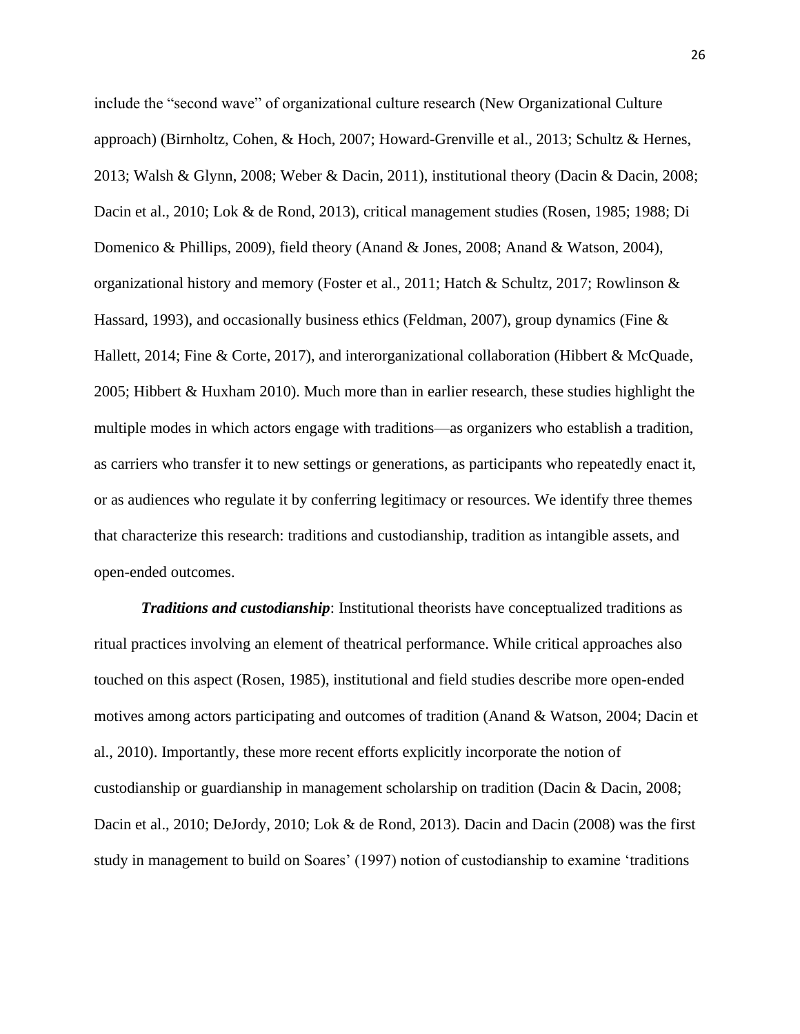include the "second wave" of organizational culture research (New Organizational Culture approach) (Birnholtz, Cohen, & Hoch, 2007; Howard-Grenville et al., 2013; Schultz & Hernes, 2013; Walsh & Glynn, 2008; Weber & Dacin, 2011), institutional theory (Dacin & Dacin, 2008; Dacin et al., 2010; Lok & de Rond, 2013), critical management studies (Rosen, 1985; 1988; Di Domenico & Phillips, 2009), field theory (Anand & Jones, 2008; Anand & Watson, 2004), organizational history and memory (Foster et al., 2011; Hatch & Schultz, 2017; Rowlinson & Hassard, 1993), and occasionally business ethics (Feldman, 2007), group dynamics (Fine  $\&$ Hallett, 2014; Fine & Corte, 2017), and interorganizational collaboration (Hibbert & McQuade, 2005; Hibbert & Huxham 2010). Much more than in earlier research, these studies highlight the multiple modes in which actors engage with traditions—as organizers who establish a tradition, as carriers who transfer it to new settings or generations, as participants who repeatedly enact it, or as audiences who regulate it by conferring legitimacy or resources. We identify three themes that characterize this research: traditions and custodianship, tradition as intangible assets, and open-ended outcomes.

*Traditions and custodianship*: Institutional theorists have conceptualized traditions as ritual practices involving an element of theatrical performance. While critical approaches also touched on this aspect (Rosen, 1985), institutional and field studies describe more open-ended motives among actors participating and outcomes of tradition (Anand & Watson, 2004; Dacin et al., 2010). Importantly, these more recent efforts explicitly incorporate the notion of custodianship or guardianship in management scholarship on tradition (Dacin & Dacin, 2008; Dacin et al., 2010; DeJordy, 2010; Lok & de Rond, 2013). Dacin and Dacin (2008) was the first study in management to build on Soares' (1997) notion of custodianship to examine 'traditions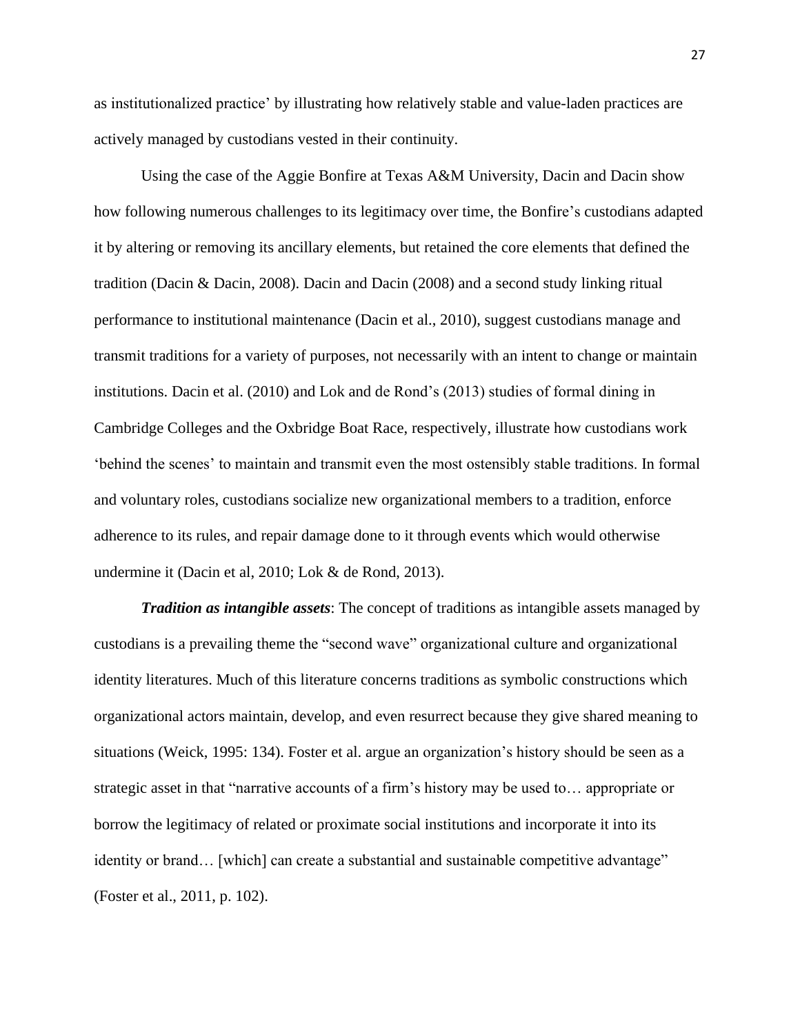as institutionalized practice' by illustrating how relatively stable and value-laden practices are actively managed by custodians vested in their continuity.

Using the case of the Aggie Bonfire at Texas A&M University, Dacin and Dacin show how following numerous challenges to its legitimacy over time, the Bonfire's custodians adapted it by altering or removing its ancillary elements, but retained the core elements that defined the tradition (Dacin & Dacin, 2008). Dacin and Dacin (2008) and a second study linking ritual performance to institutional maintenance (Dacin et al., 2010), suggest custodians manage and transmit traditions for a variety of purposes, not necessarily with an intent to change or maintain institutions. Dacin et al. (2010) and Lok and de Rond's (2013) studies of formal dining in Cambridge Colleges and the Oxbridge Boat Race, respectively, illustrate how custodians work 'behind the scenes' to maintain and transmit even the most ostensibly stable traditions. In formal and voluntary roles, custodians socialize new organizational members to a tradition, enforce adherence to its rules, and repair damage done to it through events which would otherwise undermine it (Dacin et al, 2010; Lok & de Rond, 2013).

*Tradition as intangible assets*: The concept of traditions as intangible assets managed by custodians is a prevailing theme the "second wave" organizational culture and organizational identity literatures. Much of this literature concerns traditions as symbolic constructions which organizational actors maintain, develop, and even resurrect because they give shared meaning to situations (Weick, 1995: 134). Foster et al. argue an organization's history should be seen as a strategic asset in that "narrative accounts of a firm's history may be used to… appropriate or borrow the legitimacy of related or proximate social institutions and incorporate it into its identity or brand... [which] can create a substantial and sustainable competitive advantage" (Foster et al., 2011, p. 102).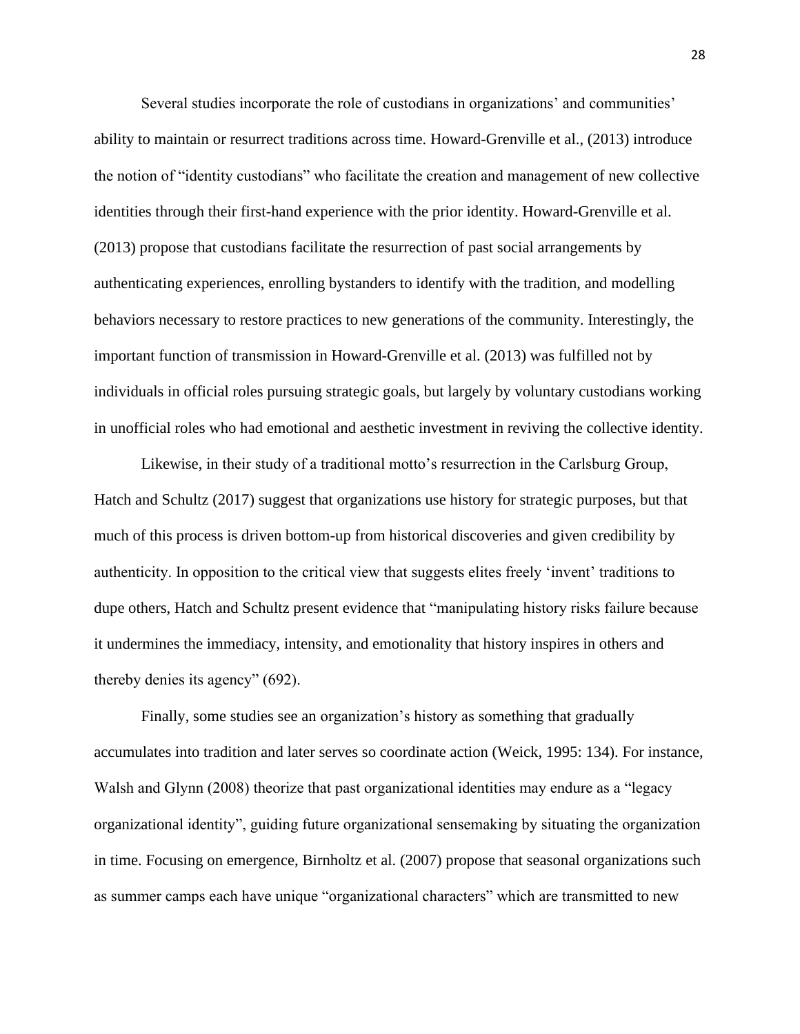Several studies incorporate the role of custodians in organizations' and communities' ability to maintain or resurrect traditions across time. Howard-Grenville et al., (2013) introduce the notion of "identity custodians" who facilitate the creation and management of new collective identities through their first-hand experience with the prior identity. Howard-Grenville et al. (2013) propose that custodians facilitate the resurrection of past social arrangements by authenticating experiences, enrolling bystanders to identify with the tradition, and modelling behaviors necessary to restore practices to new generations of the community. Interestingly, the important function of transmission in Howard-Grenville et al. (2013) was fulfilled not by individuals in official roles pursuing strategic goals, but largely by voluntary custodians working in unofficial roles who had emotional and aesthetic investment in reviving the collective identity.

Likewise, in their study of a traditional motto's resurrection in the Carlsburg Group, Hatch and Schultz (2017) suggest that organizations use history for strategic purposes, but that much of this process is driven bottom-up from historical discoveries and given credibility by authenticity. In opposition to the critical view that suggests elites freely 'invent' traditions to dupe others, Hatch and Schultz present evidence that "manipulating history risks failure because it undermines the immediacy, intensity, and emotionality that history inspires in others and thereby denies its agency" (692).

Finally, some studies see an organization's history as something that gradually accumulates into tradition and later serves so coordinate action (Weick, 1995: 134). For instance, Walsh and Glynn (2008) theorize that past organizational identities may endure as a "legacy organizational identity", guiding future organizational sensemaking by situating the organization in time. Focusing on emergence, Birnholtz et al. (2007) propose that seasonal organizations such as summer camps each have unique "organizational characters" which are transmitted to new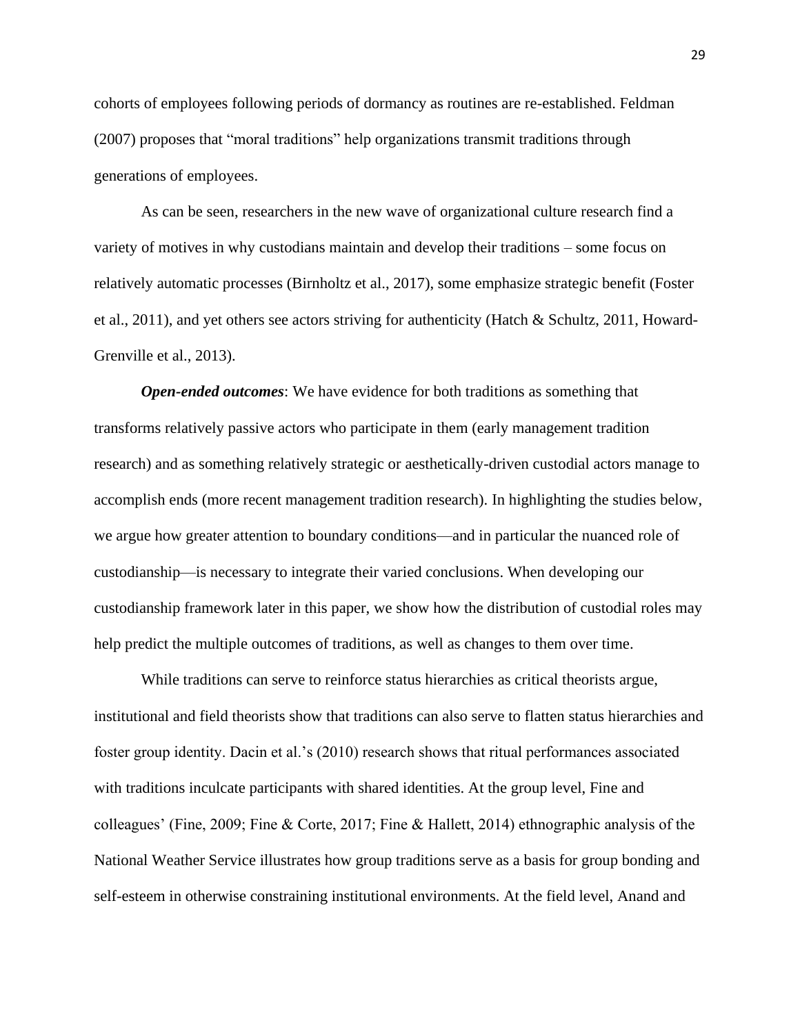cohorts of employees following periods of dormancy as routines are re-established. Feldman (2007) proposes that "moral traditions" help organizations transmit traditions through generations of employees.

As can be seen, researchers in the new wave of organizational culture research find a variety of motives in why custodians maintain and develop their traditions – some focus on relatively automatic processes (Birnholtz et al., 2017), some emphasize strategic benefit (Foster et al., 2011), and yet others see actors striving for authenticity (Hatch & Schultz, 2011, Howard-Grenville et al., 2013).

*Open-ended outcomes*: We have evidence for both traditions as something that transforms relatively passive actors who participate in them (early management tradition research) and as something relatively strategic or aesthetically-driven custodial actors manage to accomplish ends (more recent management tradition research). In highlighting the studies below, we argue how greater attention to boundary conditions—and in particular the nuanced role of custodianship—is necessary to integrate their varied conclusions. When developing our custodianship framework later in this paper, we show how the distribution of custodial roles may help predict the multiple outcomes of traditions, as well as changes to them over time.

While traditions can serve to reinforce status hierarchies as critical theorists argue, institutional and field theorists show that traditions can also serve to flatten status hierarchies and foster group identity. Dacin et al.'s (2010) research shows that ritual performances associated with traditions inculcate participants with shared identities. At the group level, Fine and colleagues' (Fine, 2009; Fine & Corte, 2017; Fine & Hallett, 2014) ethnographic analysis of the National Weather Service illustrates how group traditions serve as a basis for group bonding and self-esteem in otherwise constraining institutional environments. At the field level, Anand and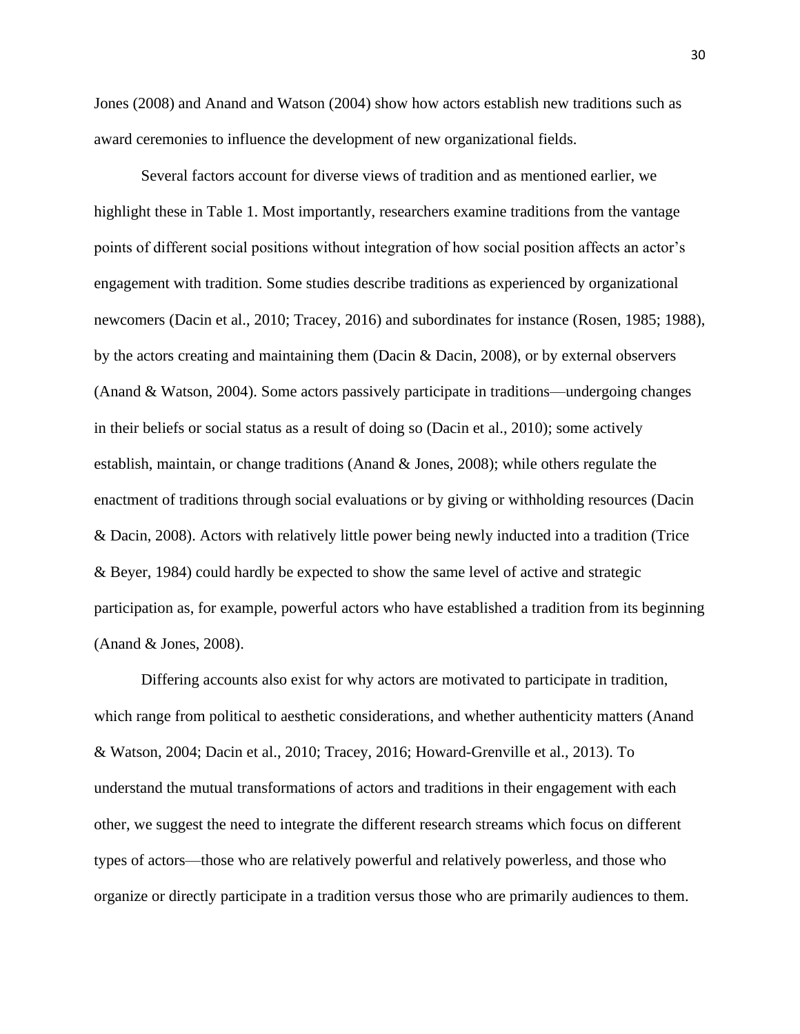Jones (2008) and Anand and Watson (2004) show how actors establish new traditions such as award ceremonies to influence the development of new organizational fields.

Several factors account for diverse views of tradition and as mentioned earlier, we highlight these in Table 1. Most importantly, researchers examine traditions from the vantage points of different social positions without integration of how social position affects an actor's engagement with tradition. Some studies describe traditions as experienced by organizational newcomers (Dacin et al., 2010; Tracey, 2016) and subordinates for instance (Rosen, 1985; 1988), by the actors creating and maintaining them (Dacin & Dacin, 2008), or by external observers (Anand & Watson, 2004). Some actors passively participate in traditions—undergoing changes in their beliefs or social status as a result of doing so (Dacin et al., 2010); some actively establish, maintain, or change traditions (Anand & Jones, 2008); while others regulate the enactment of traditions through social evaluations or by giving or withholding resources (Dacin & Dacin, 2008). Actors with relatively little power being newly inducted into a tradition (Trice & Beyer, 1984) could hardly be expected to show the same level of active and strategic participation as, for example, powerful actors who have established a tradition from its beginning (Anand & Jones, 2008).

Differing accounts also exist for why actors are motivated to participate in tradition, which range from political to aesthetic considerations, and whether authenticity matters (Anand & Watson, 2004; Dacin et al., 2010; Tracey, 2016; Howard-Grenville et al., 2013). To understand the mutual transformations of actors and traditions in their engagement with each other, we suggest the need to integrate the different research streams which focus on different types of actors—those who are relatively powerful and relatively powerless, and those who organize or directly participate in a tradition versus those who are primarily audiences to them.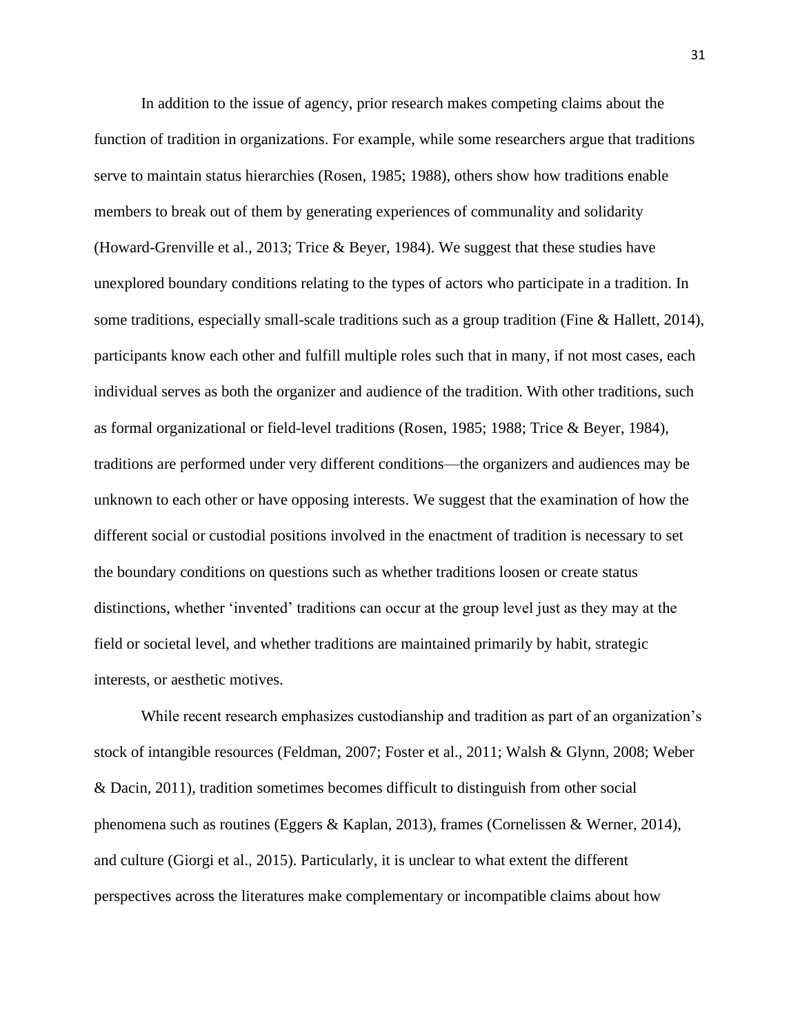In addition to the issue of agency, prior research makes competing claims about the function of tradition in organizations. For example, while some researchers argue that traditions serve to maintain status hierarchies (Rosen, 1985; 1988), others show how traditions enable members to break out of them by generating experiences of communality and solidarity (Howard-Grenville et al., 2013; Trice & Beyer, 1984). We suggest that these studies have unexplored boundary conditions relating to the types of actors who participate in a tradition. In some traditions, especially small-scale traditions such as a group tradition (Fine & Hallett, 2014), participants know each other and fulfill multiple roles such that in many, if not most cases, each individual serves as both the organizer and audience of the tradition. With other traditions, such as formal organizational or field-level traditions (Rosen, 1985; 1988; Trice & Beyer, 1984), traditions are performed under very different conditions—the organizers and audiences may be unknown to each other or have opposing interests. We suggest that the examination of how the different social or custodial positions involved in the enactment of tradition is necessary to set the boundary conditions on questions such as whether traditions loosen or create status distinctions, whether 'invented' traditions can occur at the group level just as they may at the field or societal level, and whether traditions are maintained primarily by habit, strategic interests, or aesthetic motives.

While recent research emphasizes custodianship and tradition as part of an organization's stock of intangible resources (Feldman, 2007; Foster et al., 2011; Walsh & Glynn, 2008; Weber & Dacin, 2011), tradition sometimes becomes difficult to distinguish from other social phenomena such as routines (Eggers & Kaplan, 2013), frames (Cornelissen & Werner, 2014), and culture (Giorgi et al., 2015). Particularly, it is unclear to what extent the different perspectives across the literatures make complementary or incompatible claims about how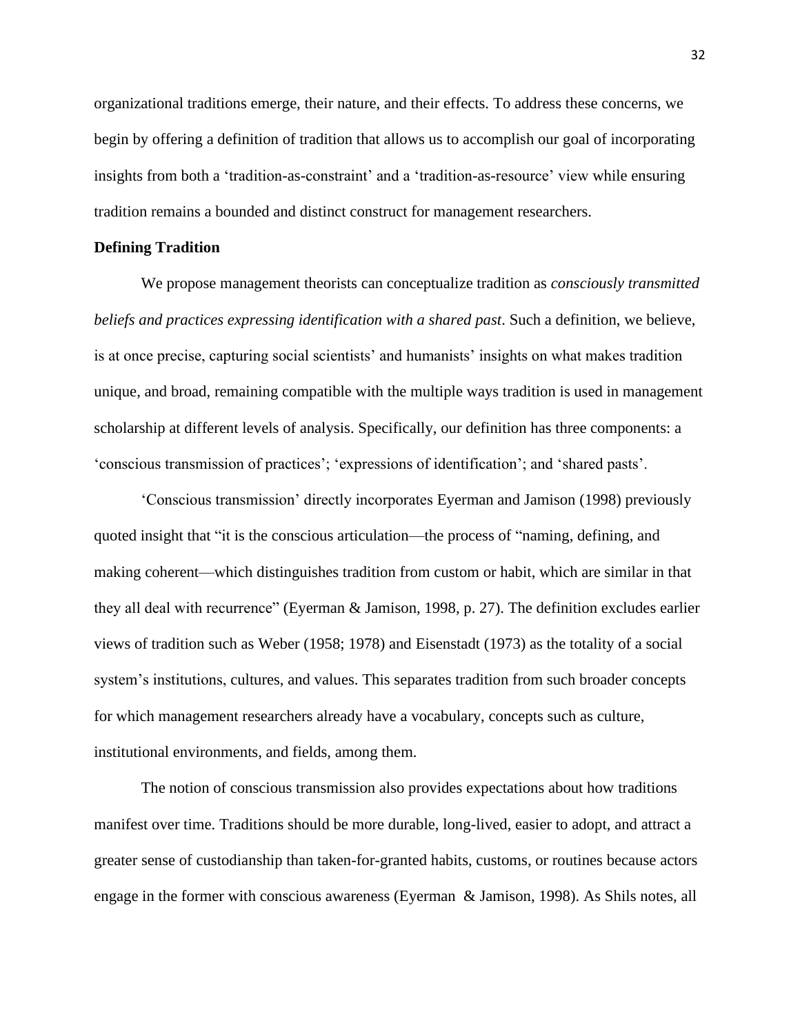organizational traditions emerge, their nature, and their effects. To address these concerns, we begin by offering a definition of tradition that allows us to accomplish our goal of incorporating insights from both a 'tradition-as-constraint' and a 'tradition-as-resource' view while ensuring tradition remains a bounded and distinct construct for management researchers.

## **Defining Tradition**

We propose management theorists can conceptualize tradition as *consciously transmitted beliefs and practices expressing identification with a shared past*. Such a definition, we believe, is at once precise, capturing social scientists' and humanists' insights on what makes tradition unique, and broad, remaining compatible with the multiple ways tradition is used in management scholarship at different levels of analysis. Specifically, our definition has three components: a 'conscious transmission of practices'; 'expressions of identification'; and 'shared pasts'.

'Conscious transmission' directly incorporates Eyerman and Jamison (1998) previously quoted insight that "it is the conscious articulation—the process of "naming, defining, and making coherent—which distinguishes tradition from custom or habit, which are similar in that they all deal with recurrence" (Eyerman & Jamison, 1998, p. 27). The definition excludes earlier views of tradition such as Weber (1958; 1978) and Eisenstadt (1973) as the totality of a social system's institutions, cultures, and values. This separates tradition from such broader concepts for which management researchers already have a vocabulary, concepts such as culture, institutional environments, and fields, among them.

The notion of conscious transmission also provides expectations about how traditions manifest over time. Traditions should be more durable, long-lived, easier to adopt, and attract a greater sense of custodianship than taken-for-granted habits, customs, or routines because actors engage in the former with conscious awareness (Eyerman & Jamison, 1998). As Shils notes, all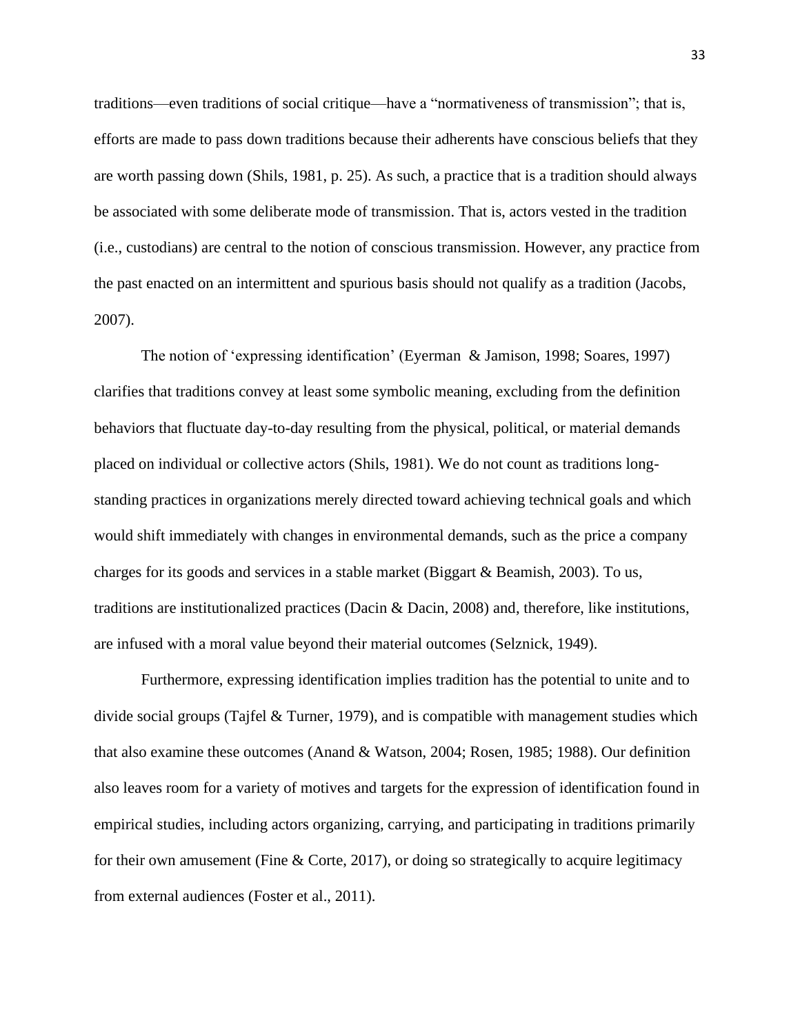traditions—even traditions of social critique—have a "normativeness of transmission"; that is, efforts are made to pass down traditions because their adherents have conscious beliefs that they are worth passing down (Shils, 1981, p. 25). As such, a practice that is a tradition should always be associated with some deliberate mode of transmission. That is, actors vested in the tradition (i.e., custodians) are central to the notion of conscious transmission. However, any practice from the past enacted on an intermittent and spurious basis should not qualify as a tradition (Jacobs, 2007).

The notion of 'expressing identification' (Eyerman & Jamison, 1998; Soares, 1997) clarifies that traditions convey at least some symbolic meaning, excluding from the definition behaviors that fluctuate day-to-day resulting from the physical, political, or material demands placed on individual or collective actors (Shils, 1981). We do not count as traditions longstanding practices in organizations merely directed toward achieving technical goals and which would shift immediately with changes in environmental demands, such as the price a company charges for its goods and services in a stable market (Biggart & Beamish, 2003). To us, traditions are institutionalized practices (Dacin & Dacin, 2008) and, therefore, like institutions, are infused with a moral value beyond their material outcomes (Selznick, 1949).

Furthermore, expressing identification implies tradition has the potential to unite and to divide social groups (Tajfel  $&$  Turner, 1979), and is compatible with management studies which that also examine these outcomes (Anand & Watson, 2004; Rosen, 1985; 1988). Our definition also leaves room for a variety of motives and targets for the expression of identification found in empirical studies, including actors organizing, carrying, and participating in traditions primarily for their own amusement (Fine & Corte, 2017), or doing so strategically to acquire legitimacy from external audiences (Foster et al., 2011).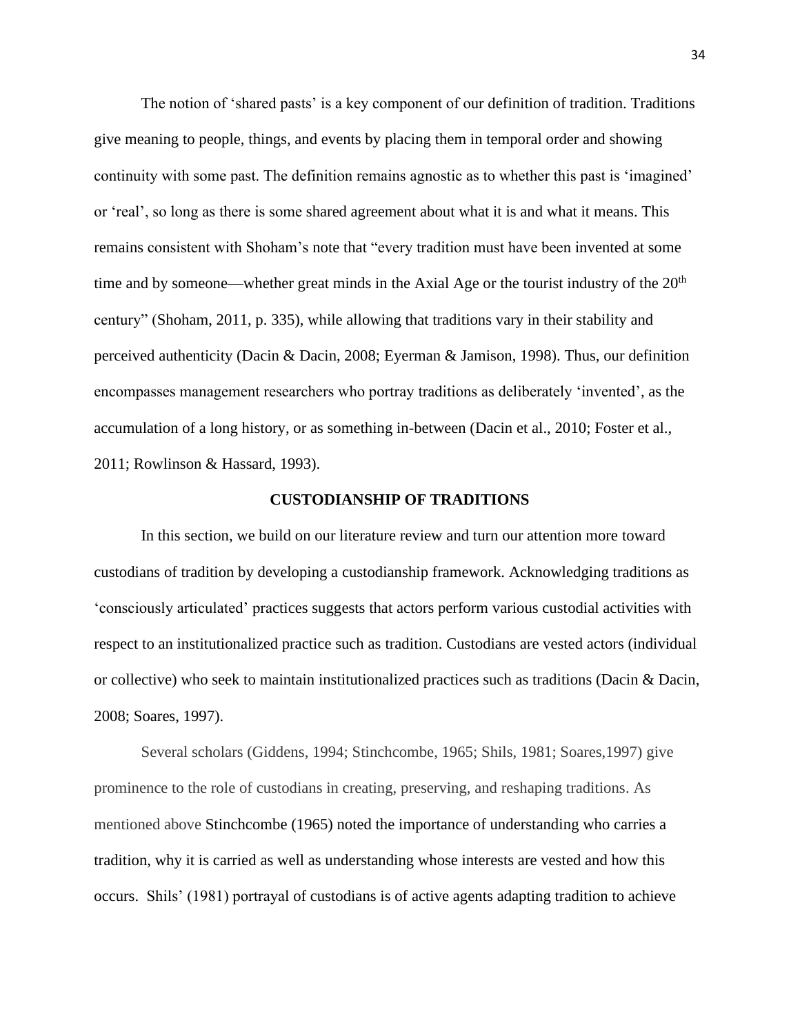The notion of 'shared pasts' is a key component of our definition of tradition. Traditions give meaning to people, things, and events by placing them in temporal order and showing continuity with some past. The definition remains agnostic as to whether this past is 'imagined' or 'real', so long as there is some shared agreement about what it is and what it means. This remains consistent with Shoham's note that "every tradition must have been invented at some time and by someone—whether great minds in the Axial Age or the tourist industry of the  $20<sup>th</sup>$ century" (Shoham, 2011, p. 335), while allowing that traditions vary in their stability and perceived authenticity (Dacin & Dacin, 2008; Eyerman & Jamison, 1998). Thus, our definition encompasses management researchers who portray traditions as deliberately 'invented', as the accumulation of a long history, or as something in-between (Dacin et al., 2010; Foster et al., 2011; Rowlinson & Hassard, 1993).

### **CUSTODIANSHIP OF TRADITIONS**

In this section, we build on our literature review and turn our attention more toward custodians of tradition by developing a custodianship framework. Acknowledging traditions as 'consciously articulated' practices suggests that actors perform various custodial activities with respect to an institutionalized practice such as tradition. Custodians are vested actors (individual or collective) who seek to maintain institutionalized practices such as traditions (Dacin & Dacin, 2008; Soares, 1997).

Several scholars (Giddens, 1994; Stinchcombe, 1965; Shils, 1981; Soares,1997) give prominence to the role of custodians in creating, preserving, and reshaping traditions. As mentioned above Stinchcombe (1965) noted the importance of understanding who carries a tradition, why it is carried as well as understanding whose interests are vested and how this occurs. Shils' (1981) portrayal of custodians is of active agents adapting tradition to achieve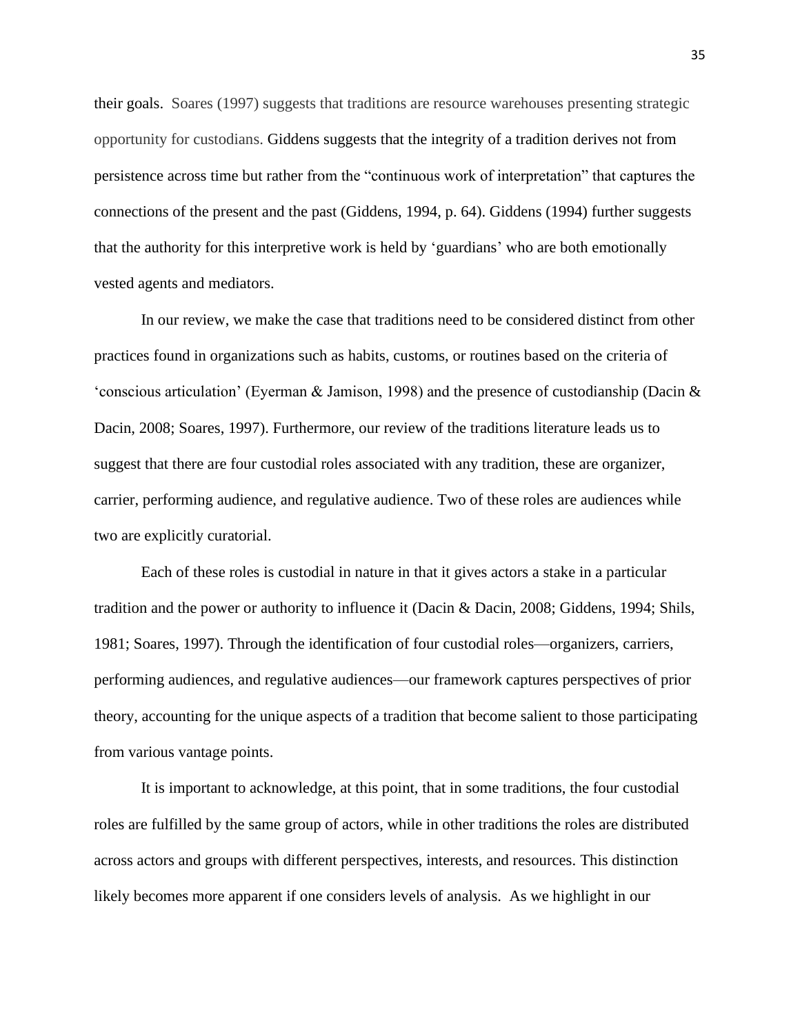their goals. Soares (1997) suggests that traditions are resource warehouses presenting strategic opportunity for custodians. Giddens suggests that the integrity of a tradition derives not from persistence across time but rather from the "continuous work of interpretation" that captures the connections of the present and the past (Giddens, 1994, p. 64). Giddens (1994) further suggests that the authority for this interpretive work is held by 'guardians' who are both emotionally vested agents and mediators.

In our review, we make the case that traditions need to be considered distinct from other practices found in organizations such as habits, customs, or routines based on the criteria of 'conscious articulation' (Eyerman & Jamison, 1998) and the presence of custodianship (Dacin & Dacin, 2008; Soares, 1997). Furthermore, our review of the traditions literature leads us to suggest that there are four custodial roles associated with any tradition, these are organizer, carrier, performing audience, and regulative audience. Two of these roles are audiences while two are explicitly curatorial.

Each of these roles is custodial in nature in that it gives actors a stake in a particular tradition and the power or authority to influence it (Dacin & Dacin, 2008; Giddens, 1994; Shils, 1981; Soares, 1997). Through the identification of four custodial roles—organizers, carriers, performing audiences, and regulative audiences—our framework captures perspectives of prior theory, accounting for the unique aspects of a tradition that become salient to those participating from various vantage points.

It is important to acknowledge, at this point, that in some traditions, the four custodial roles are fulfilled by the same group of actors, while in other traditions the roles are distributed across actors and groups with different perspectives, interests, and resources. This distinction likely becomes more apparent if one considers levels of analysis. As we highlight in our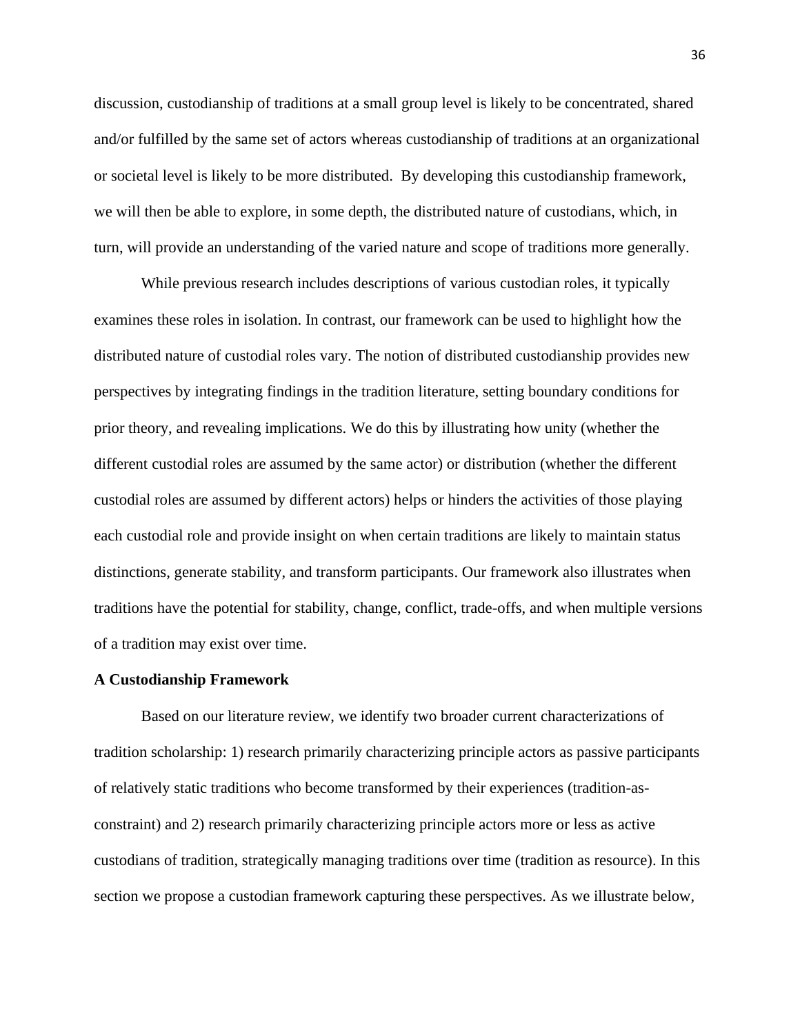discussion, custodianship of traditions at a small group level is likely to be concentrated, shared and/or fulfilled by the same set of actors whereas custodianship of traditions at an organizational or societal level is likely to be more distributed. By developing this custodianship framework, we will then be able to explore, in some depth, the distributed nature of custodians, which, in turn, will provide an understanding of the varied nature and scope of traditions more generally.

While previous research includes descriptions of various custodian roles, it typically examines these roles in isolation. In contrast, our framework can be used to highlight how the distributed nature of custodial roles vary. The notion of distributed custodianship provides new perspectives by integrating findings in the tradition literature, setting boundary conditions for prior theory, and revealing implications. We do this by illustrating how unity (whether the different custodial roles are assumed by the same actor) or distribution (whether the different custodial roles are assumed by different actors) helps or hinders the activities of those playing each custodial role and provide insight on when certain traditions are likely to maintain status distinctions, generate stability, and transform participants. Our framework also illustrates when traditions have the potential for stability, change, conflict, trade-offs, and when multiple versions of a tradition may exist over time.

#### **A Custodianship Framework**

Based on our literature review, we identify two broader current characterizations of tradition scholarship: 1) research primarily characterizing principle actors as passive participants of relatively static traditions who become transformed by their experiences (tradition-asconstraint) and 2) research primarily characterizing principle actors more or less as active custodians of tradition, strategically managing traditions over time (tradition as resource). In this section we propose a custodian framework capturing these perspectives. As we illustrate below,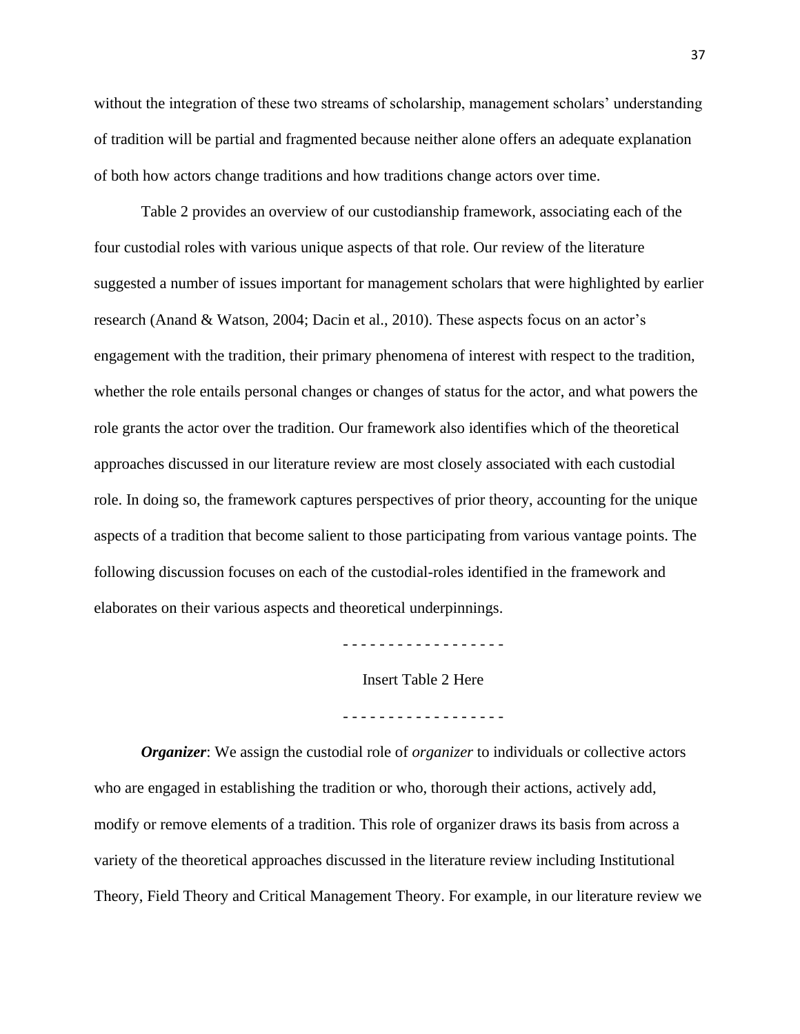without the integration of these two streams of scholarship, management scholars' understanding of tradition will be partial and fragmented because neither alone offers an adequate explanation of both how actors change traditions and how traditions change actors over time.

Table 2 provides an overview of our custodianship framework, associating each of the four custodial roles with various unique aspects of that role. Our review of the literature suggested a number of issues important for management scholars that were highlighted by earlier research (Anand & Watson, 2004; Dacin et al., 2010). These aspects focus on an actor's engagement with the tradition, their primary phenomena of interest with respect to the tradition, whether the role entails personal changes or changes of status for the actor, and what powers the role grants the actor over the tradition. Our framework also identifies which of the theoretical approaches discussed in our literature review are most closely associated with each custodial role. In doing so, the framework captures perspectives of prior theory, accounting for the unique aspects of a tradition that become salient to those participating from various vantage points. The following discussion focuses on each of the custodial-roles identified in the framework and elaborates on their various aspects and theoretical underpinnings.

. <u>- - - - - - - - - - - - - - - -</u> -

Insert Table 2 Here

- - - - - - - - - - - - - - - - - -

*Organizer*: We assign the custodial role of *organizer* to individuals or collective actors who are engaged in establishing the tradition or who, thorough their actions, actively add, modify or remove elements of a tradition. This role of organizer draws its basis from across a variety of the theoretical approaches discussed in the literature review including Institutional Theory, Field Theory and Critical Management Theory. For example, in our literature review we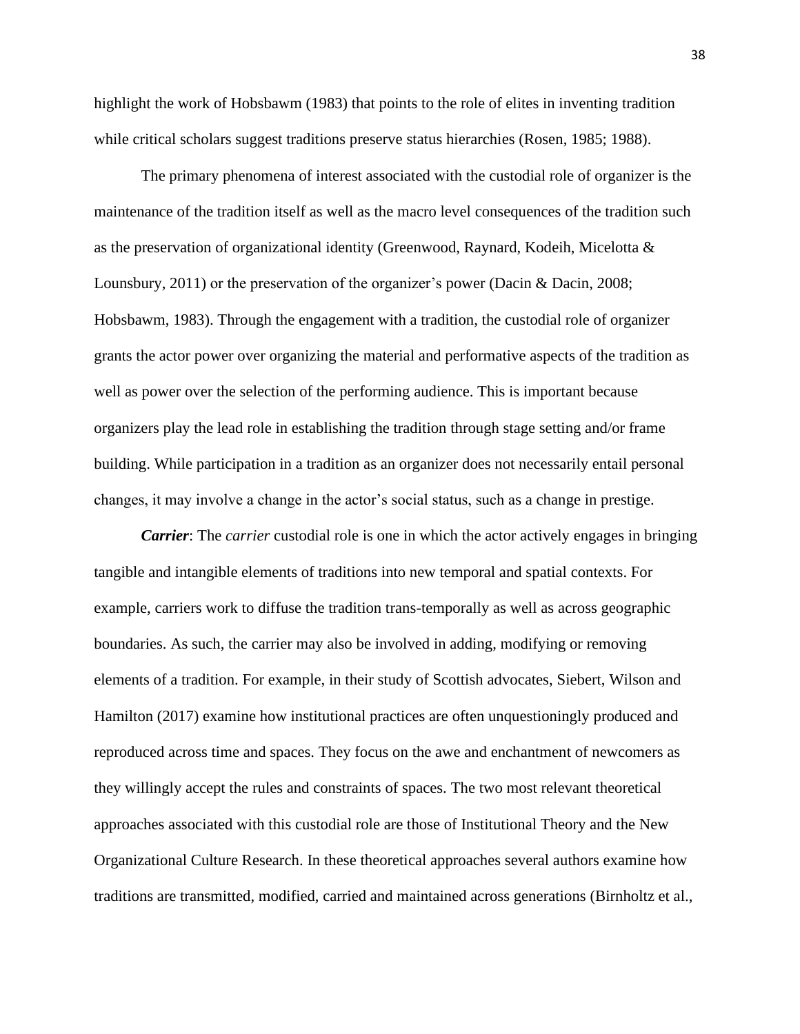highlight the work of Hobsbawm (1983) that points to the role of elites in inventing tradition while critical scholars suggest traditions preserve status hierarchies (Rosen, 1985; 1988).

The primary phenomena of interest associated with the custodial role of organizer is the maintenance of the tradition itself as well as the macro level consequences of the tradition such as the preservation of organizational identity (Greenwood, Raynard, Kodeih, Micelotta & Lounsbury, 2011) or the preservation of the organizer's power (Dacin & Dacin, 2008; Hobsbawm, 1983). Through the engagement with a tradition, the custodial role of organizer grants the actor power over organizing the material and performative aspects of the tradition as well as power over the selection of the performing audience. This is important because organizers play the lead role in establishing the tradition through stage setting and/or frame building. While participation in a tradition as an organizer does not necessarily entail personal changes, it may involve a change in the actor's social status, such as a change in prestige.

*Carrier*: The *carrier* custodial role is one in which the actor actively engages in bringing tangible and intangible elements of traditions into new temporal and spatial contexts. For example, carriers work to diffuse the tradition trans-temporally as well as across geographic boundaries. As such, the carrier may also be involved in adding, modifying or removing elements of a tradition. For example, in their study of Scottish advocates, Siebert, Wilson and Hamilton (2017) examine how institutional practices are often unquestioningly produced and reproduced across time and spaces. They focus on the awe and enchantment of newcomers as they willingly accept the rules and constraints of spaces. The two most relevant theoretical approaches associated with this custodial role are those of Institutional Theory and the New Organizational Culture Research. In these theoretical approaches several authors examine how traditions are transmitted, modified, carried and maintained across generations (Birnholtz et al.,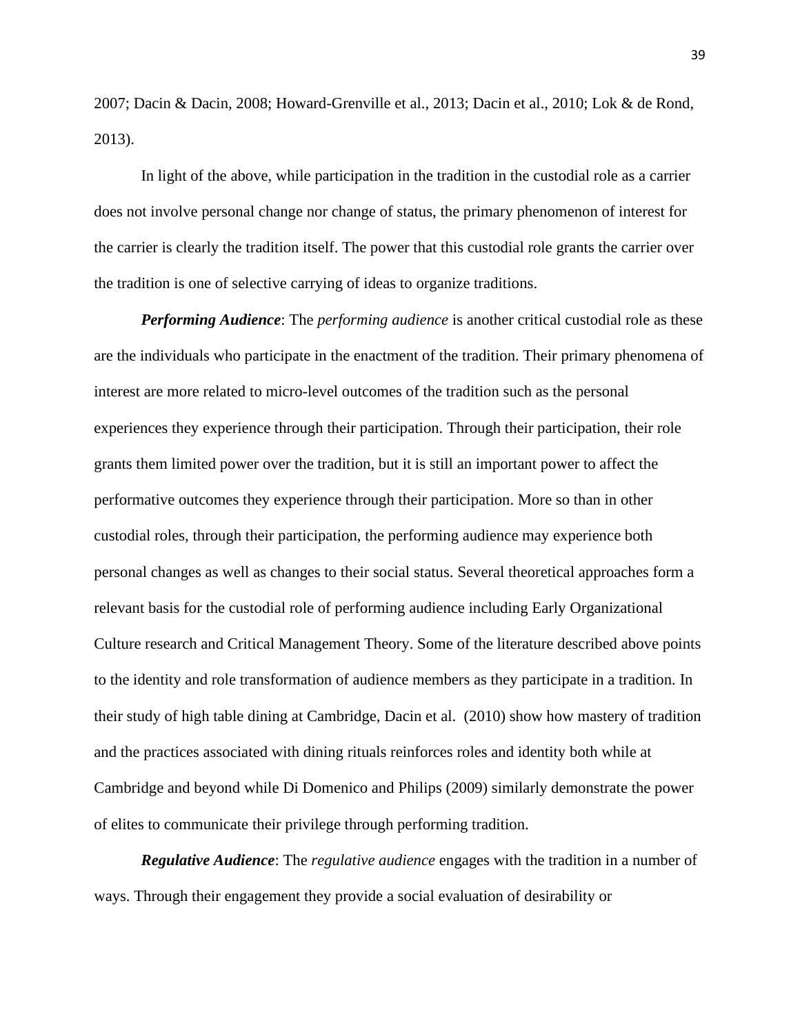2007; Dacin & Dacin, 2008; Howard-Grenville et al., 2013; Dacin et al., 2010; Lok & de Rond, 2013).

In light of the above, while participation in the tradition in the custodial role as a carrier does not involve personal change nor change of status, the primary phenomenon of interest for the carrier is clearly the tradition itself. The power that this custodial role grants the carrier over the tradition is one of selective carrying of ideas to organize traditions.

*Performing Audience*: The *performing audience* is another critical custodial role as these are the individuals who participate in the enactment of the tradition. Their primary phenomena of interest are more related to micro-level outcomes of the tradition such as the personal experiences they experience through their participation. Through their participation, their role grants them limited power over the tradition, but it is still an important power to affect the performative outcomes they experience through their participation. More so than in other custodial roles, through their participation, the performing audience may experience both personal changes as well as changes to their social status. Several theoretical approaches form a relevant basis for the custodial role of performing audience including Early Organizational Culture research and Critical Management Theory. Some of the literature described above points to the identity and role transformation of audience members as they participate in a tradition. In their study of high table dining at Cambridge, Dacin et al. (2010) show how mastery of tradition and the practices associated with dining rituals reinforces roles and identity both while at Cambridge and beyond while Di Domenico and Philips (2009) similarly demonstrate the power of elites to communicate their privilege through performing tradition.

*Regulative Audience*: The *regulative audience* engages with the tradition in a number of ways. Through their engagement they provide a social evaluation of desirability or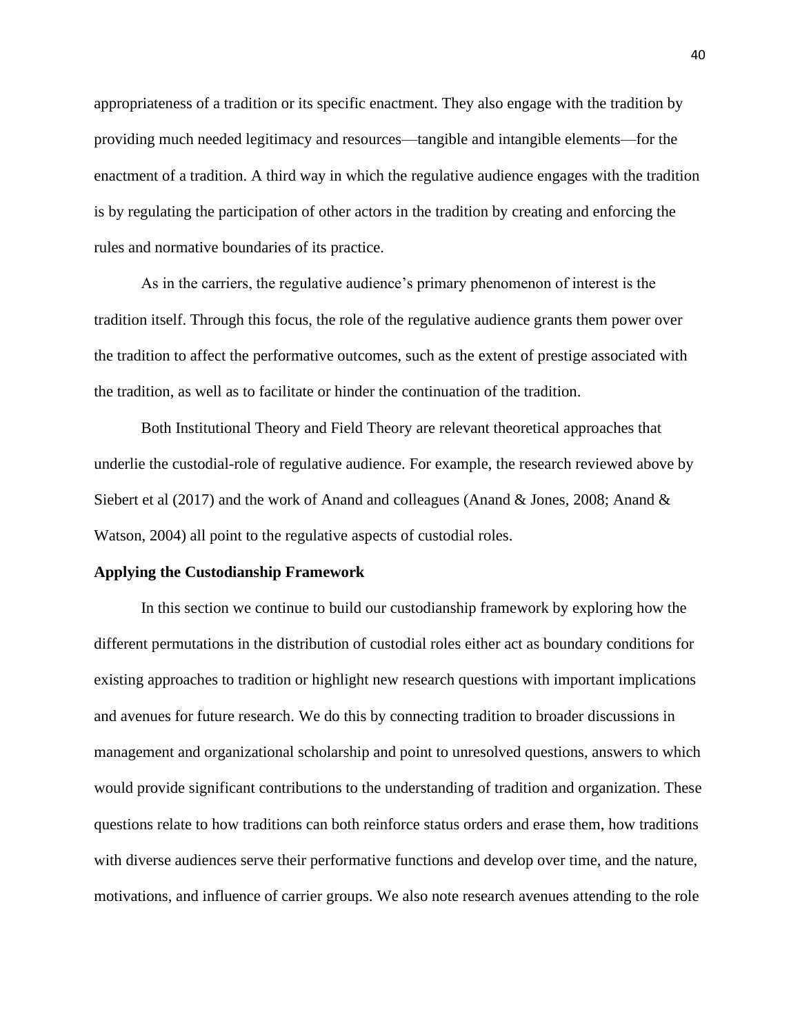appropriateness of a tradition or its specific enactment. They also engage with the tradition by providing much needed legitimacy and resources—tangible and intangible elements—for the enactment of a tradition. A third way in which the regulative audience engages with the tradition is by regulating the participation of other actors in the tradition by creating and enforcing the rules and normative boundaries of its practice.

As in the carriers, the regulative audience's primary phenomenon of interest is the tradition itself. Through this focus, the role of the regulative audience grants them power over the tradition to affect the performative outcomes, such as the extent of prestige associated with the tradition, as well as to facilitate or hinder the continuation of the tradition.

Both Institutional Theory and Field Theory are relevant theoretical approaches that underlie the custodial-role of regulative audience. For example, the research reviewed above by Siebert et al (2017) and the work of Anand and colleagues (Anand & Jones, 2008; Anand & Watson, 2004) all point to the regulative aspects of custodial roles.

#### **Applying the Custodianship Framework**

In this section we continue to build our custodianship framework by exploring how the different permutations in the distribution of custodial roles either act as boundary conditions for existing approaches to tradition or highlight new research questions with important implications and avenues for future research. We do this by connecting tradition to broader discussions in management and organizational scholarship and point to unresolved questions, answers to which would provide significant contributions to the understanding of tradition and organization. These questions relate to how traditions can both reinforce status orders and erase them, how traditions with diverse audiences serve their performative functions and develop over time, and the nature, motivations, and influence of carrier groups. We also note research avenues attending to the role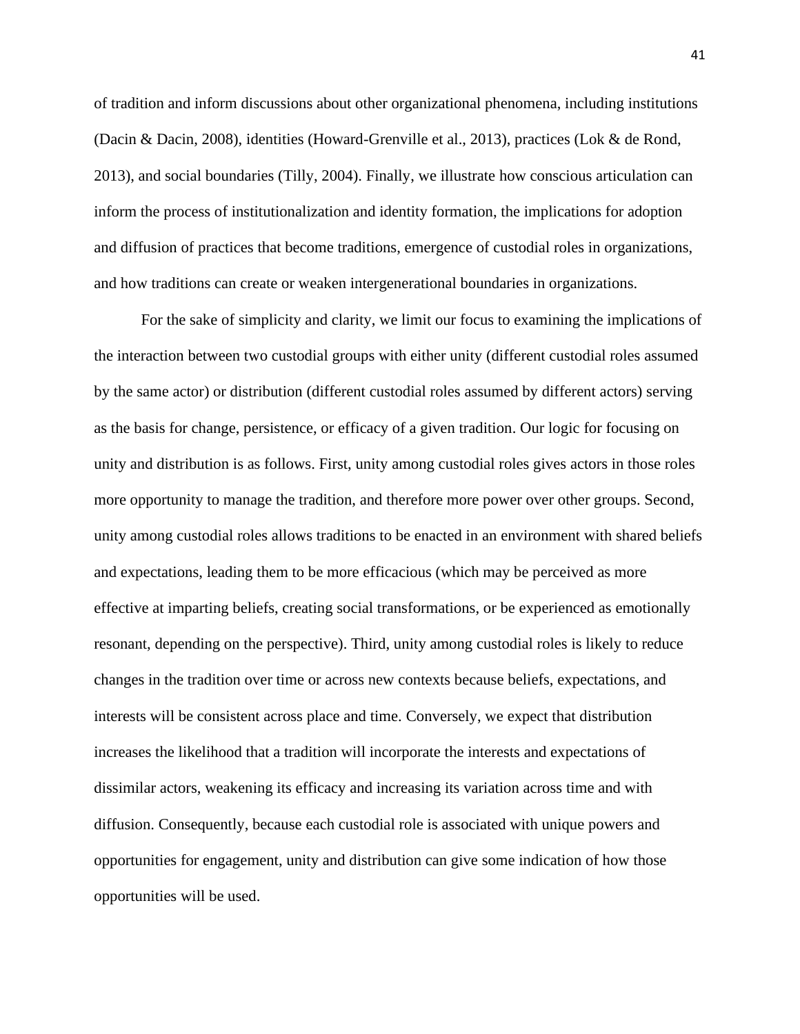of tradition and inform discussions about other organizational phenomena, including institutions (Dacin & Dacin, 2008), identities (Howard-Grenville et al., 2013), practices (Lok & de Rond, 2013), and social boundaries (Tilly, 2004). Finally, we illustrate how conscious articulation can inform the process of institutionalization and identity formation, the implications for adoption and diffusion of practices that become traditions, emergence of custodial roles in organizations, and how traditions can create or weaken intergenerational boundaries in organizations.

For the sake of simplicity and clarity, we limit our focus to examining the implications of the interaction between two custodial groups with either unity (different custodial roles assumed by the same actor) or distribution (different custodial roles assumed by different actors) serving as the basis for change, persistence, or efficacy of a given tradition. Our logic for focusing on unity and distribution is as follows. First, unity among custodial roles gives actors in those roles more opportunity to manage the tradition, and therefore more power over other groups. Second, unity among custodial roles allows traditions to be enacted in an environment with shared beliefs and expectations, leading them to be more efficacious (which may be perceived as more effective at imparting beliefs, creating social transformations, or be experienced as emotionally resonant, depending on the perspective). Third, unity among custodial roles is likely to reduce changes in the tradition over time or across new contexts because beliefs, expectations, and interests will be consistent across place and time. Conversely, we expect that distribution increases the likelihood that a tradition will incorporate the interests and expectations of dissimilar actors, weakening its efficacy and increasing its variation across time and with diffusion. Consequently, because each custodial role is associated with unique powers and opportunities for engagement, unity and distribution can give some indication of how those opportunities will be used.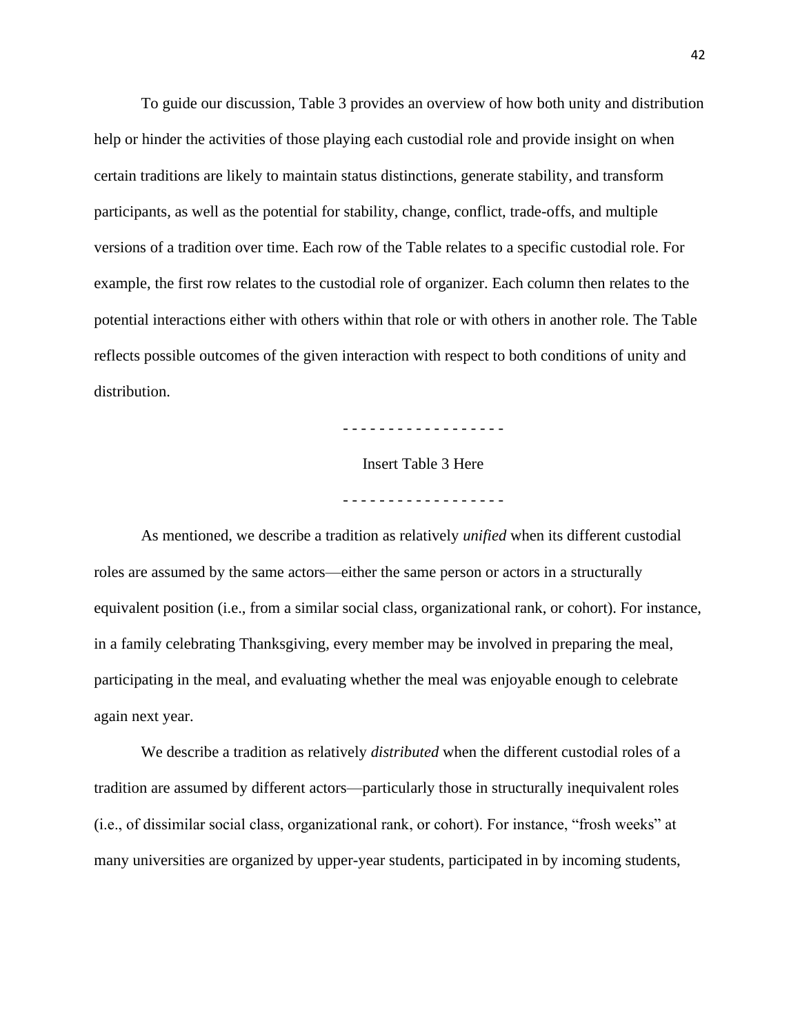To guide our discussion, Table 3 provides an overview of how both unity and distribution help or hinder the activities of those playing each custodial role and provide insight on when certain traditions are likely to maintain status distinctions, generate stability, and transform participants, as well as the potential for stability, change, conflict, trade-offs, and multiple versions of a tradition over time. Each row of the Table relates to a specific custodial role. For example, the first row relates to the custodial role of organizer. Each column then relates to the potential interactions either with others within that role or with others in another role. The Table reflects possible outcomes of the given interaction with respect to both conditions of unity and distribution.

- - - - - - - - - - - - - - - - - -

Insert Table 3 Here

- - - - - - - - - - - - - - - - - -

As mentioned, we describe a tradition as relatively *unified* when its different custodial roles are assumed by the same actors—either the same person or actors in a structurally equivalent position (i.e., from a similar social class, organizational rank, or cohort). For instance, in a family celebrating Thanksgiving, every member may be involved in preparing the meal, participating in the meal, and evaluating whether the meal was enjoyable enough to celebrate again next year.

We describe a tradition as relatively *distributed* when the different custodial roles of a tradition are assumed by different actors—particularly those in structurally inequivalent roles (i.e., of dissimilar social class, organizational rank, or cohort). For instance, "frosh weeks" at many universities are organized by upper-year students, participated in by incoming students,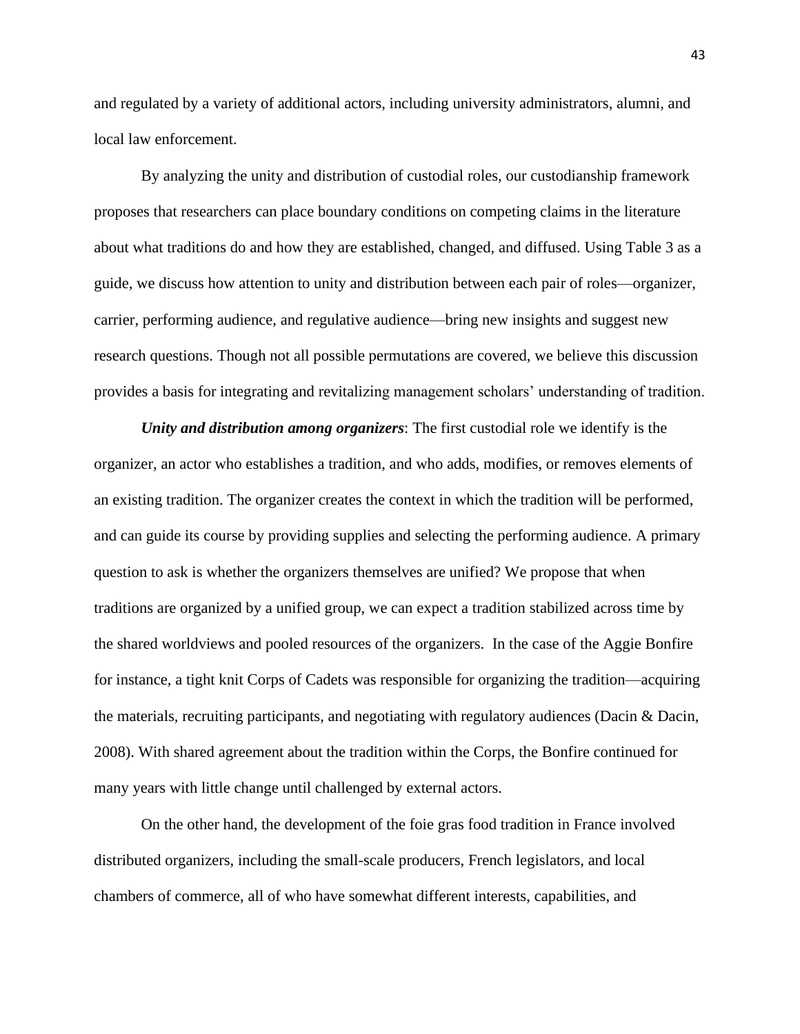and regulated by a variety of additional actors, including university administrators, alumni, and local law enforcement.

By analyzing the unity and distribution of custodial roles, our custodianship framework proposes that researchers can place boundary conditions on competing claims in the literature about what traditions do and how they are established, changed, and diffused. Using Table 3 as a guide, we discuss how attention to unity and distribution between each pair of roles—organizer, carrier, performing audience, and regulative audience—bring new insights and suggest new research questions. Though not all possible permutations are covered, we believe this discussion provides a basis for integrating and revitalizing management scholars' understanding of tradition.

*Unity and distribution among organizers*: The first custodial role we identify is the organizer, an actor who establishes a tradition, and who adds, modifies, or removes elements of an existing tradition. The organizer creates the context in which the tradition will be performed, and can guide its course by providing supplies and selecting the performing audience. A primary question to ask is whether the organizers themselves are unified? We propose that when traditions are organized by a unified group, we can expect a tradition stabilized across time by the shared worldviews and pooled resources of the organizers. In the case of the Aggie Bonfire for instance, a tight knit Corps of Cadets was responsible for organizing the tradition—acquiring the materials, recruiting participants, and negotiating with regulatory audiences (Dacin & Dacin, 2008). With shared agreement about the tradition within the Corps, the Bonfire continued for many years with little change until challenged by external actors.

On the other hand, the development of the foie gras food tradition in France involved distributed organizers, including the small-scale producers, French legislators, and local chambers of commerce, all of who have somewhat different interests, capabilities, and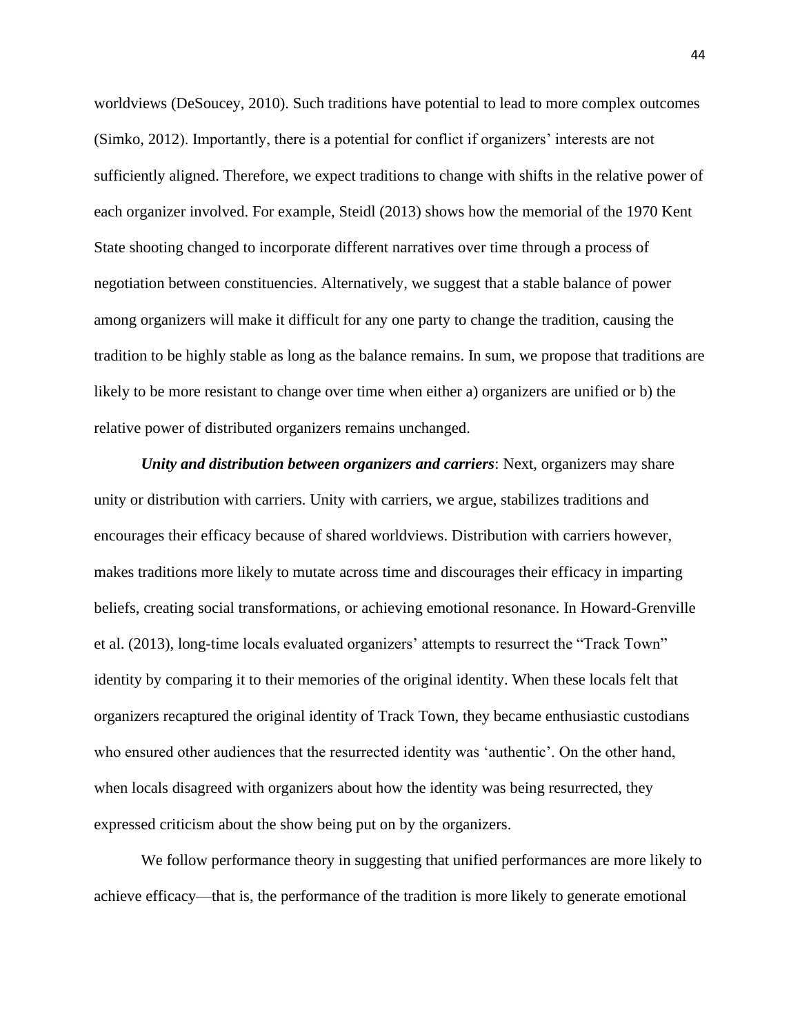worldviews (DeSoucey, 2010). Such traditions have potential to lead to more complex outcomes (Simko, 2012). Importantly, there is a potential for conflict if organizers' interests are not sufficiently aligned. Therefore, we expect traditions to change with shifts in the relative power of each organizer involved. For example, Steidl (2013) shows how the memorial of the 1970 Kent State shooting changed to incorporate different narratives over time through a process of negotiation between constituencies. Alternatively, we suggest that a stable balance of power among organizers will make it difficult for any one party to change the tradition, causing the tradition to be highly stable as long as the balance remains. In sum, we propose that traditions are likely to be more resistant to change over time when either a) organizers are unified or b) the relative power of distributed organizers remains unchanged.

*Unity and distribution between organizers and carriers*: Next, organizers may share unity or distribution with carriers. Unity with carriers, we argue, stabilizes traditions and encourages their efficacy because of shared worldviews. Distribution with carriers however, makes traditions more likely to mutate across time and discourages their efficacy in imparting beliefs, creating social transformations, or achieving emotional resonance. In Howard-Grenville et al. (2013), long-time locals evaluated organizers' attempts to resurrect the "Track Town" identity by comparing it to their memories of the original identity. When these locals felt that organizers recaptured the original identity of Track Town, they became enthusiastic custodians who ensured other audiences that the resurrected identity was 'authentic'. On the other hand, when locals disagreed with organizers about how the identity was being resurrected, they expressed criticism about the show being put on by the organizers.

We follow performance theory in suggesting that unified performances are more likely to achieve efficacy—that is, the performance of the tradition is more likely to generate emotional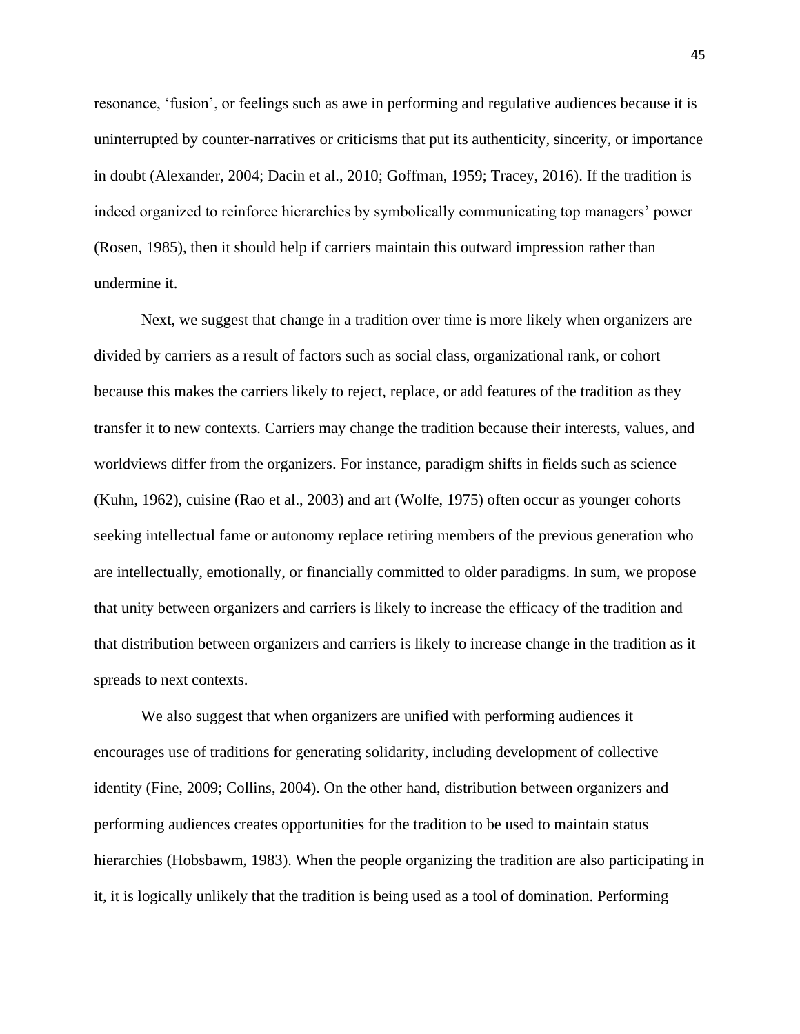resonance, 'fusion', or feelings such as awe in performing and regulative audiences because it is uninterrupted by counter-narratives or criticisms that put its authenticity, sincerity, or importance in doubt (Alexander, 2004; Dacin et al., 2010; Goffman, 1959; Tracey, 2016). If the tradition is indeed organized to reinforce hierarchies by symbolically communicating top managers' power (Rosen, 1985), then it should help if carriers maintain this outward impression rather than undermine it.

Next, we suggest that change in a tradition over time is more likely when organizers are divided by carriers as a result of factors such as social class, organizational rank, or cohort because this makes the carriers likely to reject, replace, or add features of the tradition as they transfer it to new contexts. Carriers may change the tradition because their interests, values, and worldviews differ from the organizers. For instance, paradigm shifts in fields such as science (Kuhn, 1962), cuisine (Rao et al., 2003) and art (Wolfe, 1975) often occur as younger cohorts seeking intellectual fame or autonomy replace retiring members of the previous generation who are intellectually, emotionally, or financially committed to older paradigms. In sum, we propose that unity between organizers and carriers is likely to increase the efficacy of the tradition and that distribution between organizers and carriers is likely to increase change in the tradition as it spreads to next contexts.

We also suggest that when organizers are unified with performing audiences it encourages use of traditions for generating solidarity, including development of collective identity (Fine, 2009; Collins, 2004). On the other hand, distribution between organizers and performing audiences creates opportunities for the tradition to be used to maintain status hierarchies (Hobsbawm, 1983). When the people organizing the tradition are also participating in it, it is logically unlikely that the tradition is being used as a tool of domination. Performing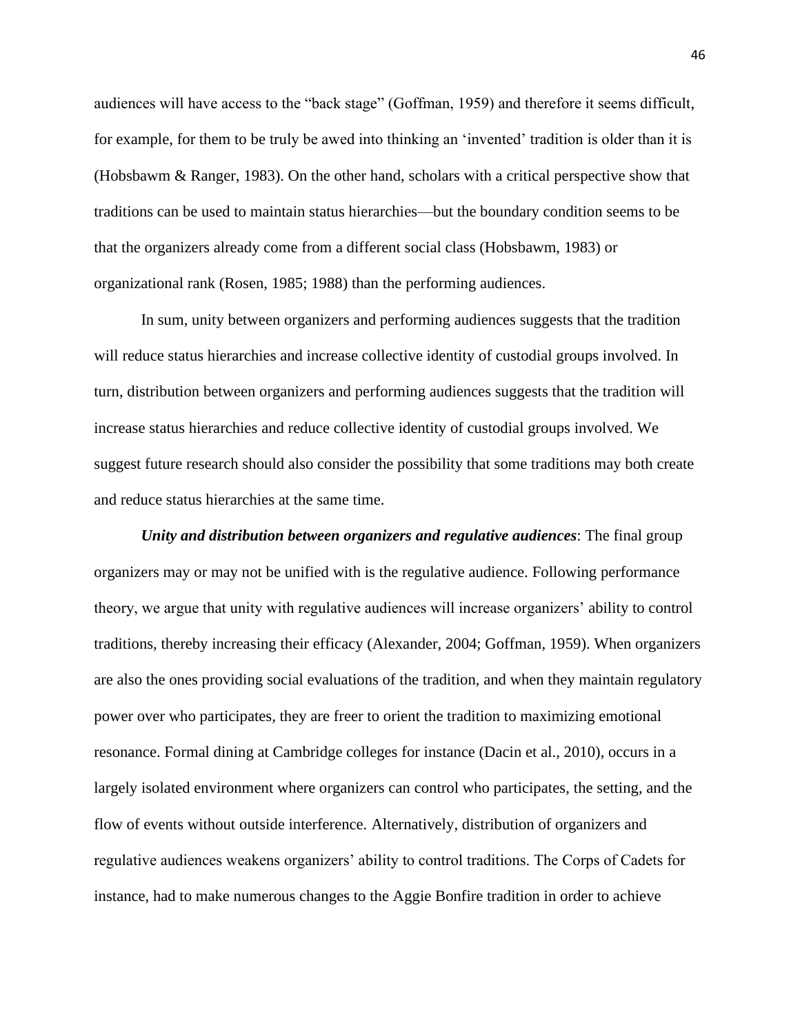audiences will have access to the "back stage" (Goffman, 1959) and therefore it seems difficult, for example, for them to be truly be awed into thinking an 'invented' tradition is older than it is (Hobsbawm & Ranger, 1983). On the other hand, scholars with a critical perspective show that traditions can be used to maintain status hierarchies—but the boundary condition seems to be that the organizers already come from a different social class (Hobsbawm, 1983) or organizational rank (Rosen, 1985; 1988) than the performing audiences.

In sum, unity between organizers and performing audiences suggests that the tradition will reduce status hierarchies and increase collective identity of custodial groups involved. In turn, distribution between organizers and performing audiences suggests that the tradition will increase status hierarchies and reduce collective identity of custodial groups involved. We suggest future research should also consider the possibility that some traditions may both create and reduce status hierarchies at the same time.

*Unity and distribution between organizers and regulative audiences*: The final group organizers may or may not be unified with is the regulative audience. Following performance theory, we argue that unity with regulative audiences will increase organizers' ability to control traditions, thereby increasing their efficacy (Alexander, 2004; Goffman, 1959). When organizers are also the ones providing social evaluations of the tradition, and when they maintain regulatory power over who participates, they are freer to orient the tradition to maximizing emotional resonance. Formal dining at Cambridge colleges for instance (Dacin et al., 2010), occurs in a largely isolated environment where organizers can control who participates, the setting, and the flow of events without outside interference. Alternatively, distribution of organizers and regulative audiences weakens organizers' ability to control traditions. The Corps of Cadets for instance, had to make numerous changes to the Aggie Bonfire tradition in order to achieve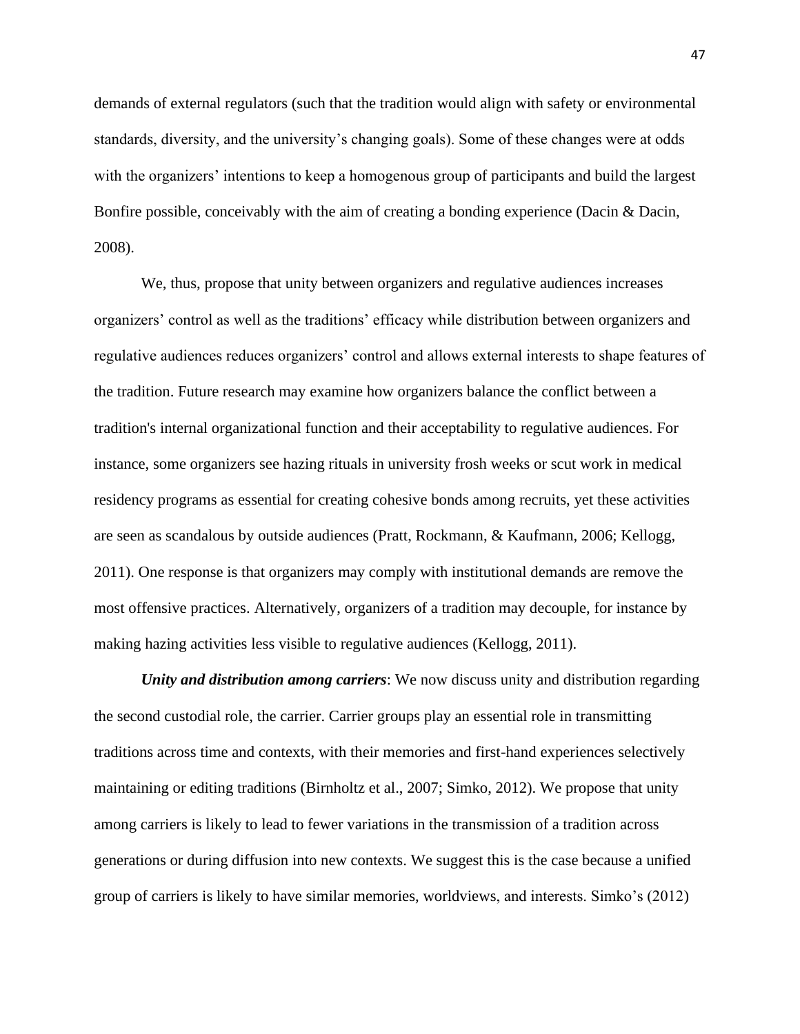demands of external regulators (such that the tradition would align with safety or environmental standards, diversity, and the university's changing goals). Some of these changes were at odds with the organizers' intentions to keep a homogenous group of participants and build the largest Bonfire possible, conceivably with the aim of creating a bonding experience (Dacin & Dacin, 2008).

We, thus, propose that unity between organizers and regulative audiences increases organizers' control as well as the traditions' efficacy while distribution between organizers and regulative audiences reduces organizers' control and allows external interests to shape features of the tradition. Future research may examine how organizers balance the conflict between a tradition's internal organizational function and their acceptability to regulative audiences. For instance, some organizers see hazing rituals in university frosh weeks or scut work in medical residency programs as essential for creating cohesive bonds among recruits, yet these activities are seen as scandalous by outside audiences (Pratt, Rockmann, & Kaufmann, 2006; Kellogg, 2011). One response is that organizers may comply with institutional demands are remove the most offensive practices. Alternatively, organizers of a tradition may decouple, for instance by making hazing activities less visible to regulative audiences (Kellogg, 2011).

*Unity and distribution among carriers*: We now discuss unity and distribution regarding the second custodial role, the carrier. Carrier groups play an essential role in transmitting traditions across time and contexts, with their memories and first-hand experiences selectively maintaining or editing traditions (Birnholtz et al., 2007; Simko, 2012). We propose that unity among carriers is likely to lead to fewer variations in the transmission of a tradition across generations or during diffusion into new contexts. We suggest this is the case because a unified group of carriers is likely to have similar memories, worldviews, and interests. Simko's (2012)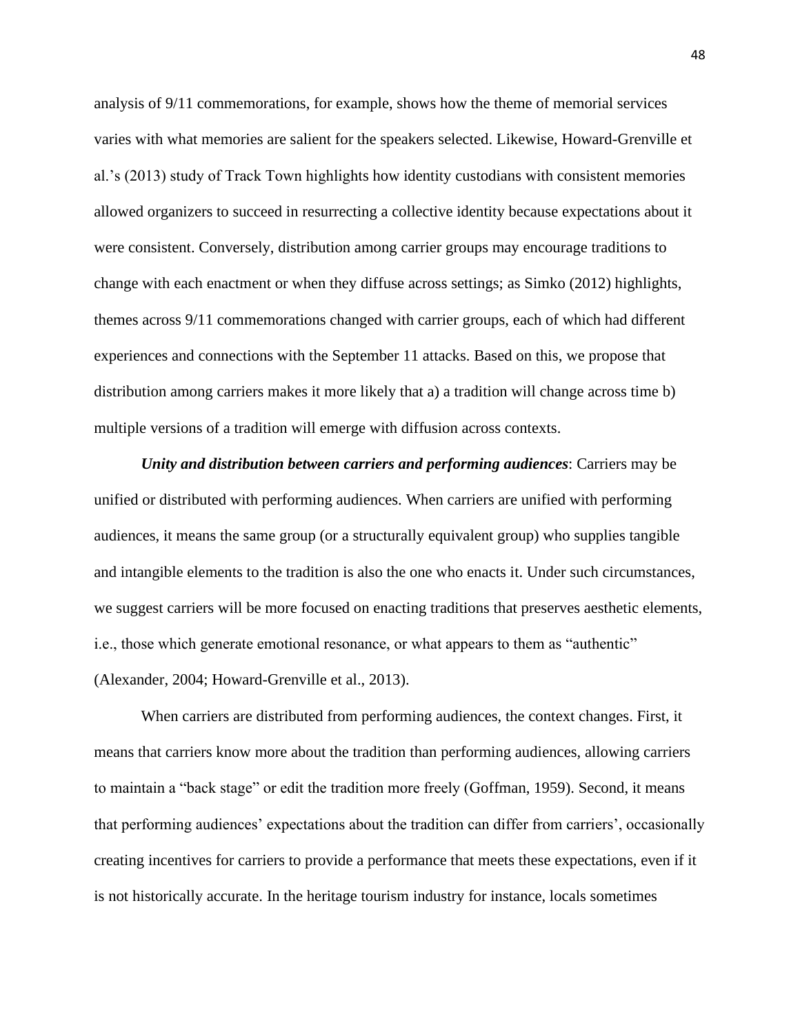analysis of 9/11 commemorations, for example, shows how the theme of memorial services varies with what memories are salient for the speakers selected. Likewise, Howard-Grenville et al.'s (2013) study of Track Town highlights how identity custodians with consistent memories allowed organizers to succeed in resurrecting a collective identity because expectations about it were consistent. Conversely, distribution among carrier groups may encourage traditions to change with each enactment or when they diffuse across settings; as Simko (2012) highlights, themes across 9/11 commemorations changed with carrier groups, each of which had different experiences and connections with the September 11 attacks. Based on this, we propose that distribution among carriers makes it more likely that a) a tradition will change across time b) multiple versions of a tradition will emerge with diffusion across contexts.

*Unity and distribution between carriers and performing audiences*: Carriers may be unified or distributed with performing audiences. When carriers are unified with performing audiences, it means the same group (or a structurally equivalent group) who supplies tangible and intangible elements to the tradition is also the one who enacts it. Under such circumstances, we suggest carriers will be more focused on enacting traditions that preserves aesthetic elements, i.e., those which generate emotional resonance, or what appears to them as "authentic" (Alexander, 2004; Howard-Grenville et al., 2013).

When carriers are distributed from performing audiences, the context changes. First, it means that carriers know more about the tradition than performing audiences, allowing carriers to maintain a "back stage" or edit the tradition more freely (Goffman, 1959). Second, it means that performing audiences' expectations about the tradition can differ from carriers', occasionally creating incentives for carriers to provide a performance that meets these expectations, even if it is not historically accurate. In the heritage tourism industry for instance, locals sometimes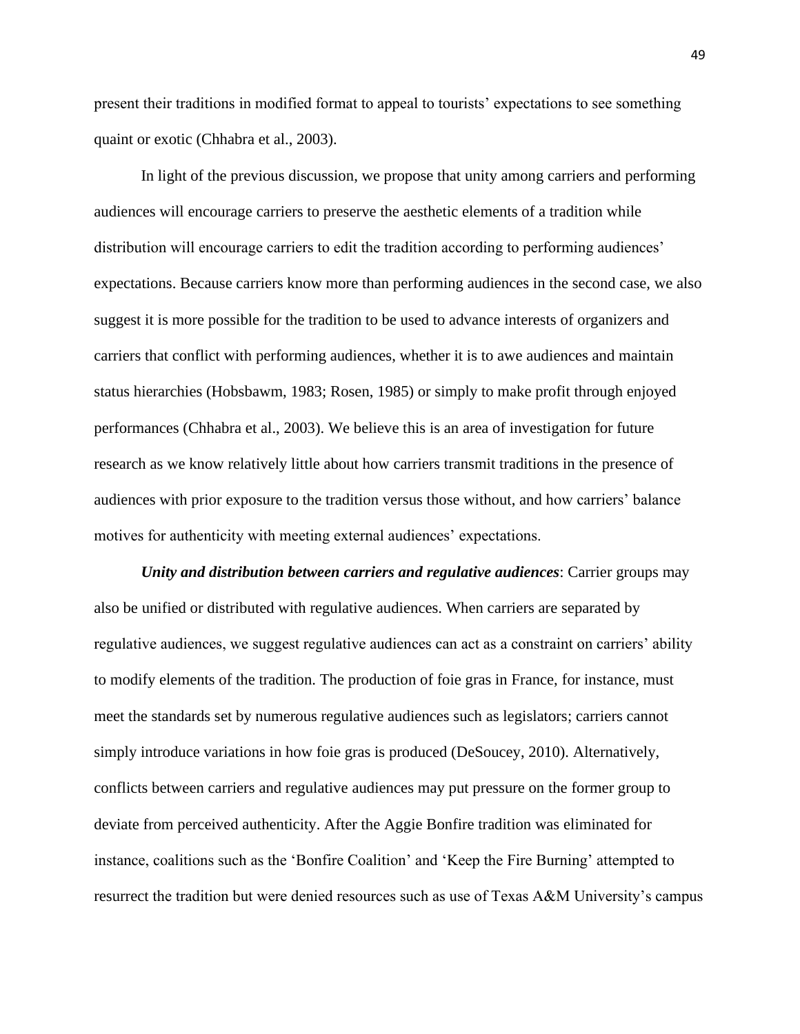present their traditions in modified format to appeal to tourists' expectations to see something quaint or exotic (Chhabra et al., 2003).

In light of the previous discussion, we propose that unity among carriers and performing audiences will encourage carriers to preserve the aesthetic elements of a tradition while distribution will encourage carriers to edit the tradition according to performing audiences' expectations. Because carriers know more than performing audiences in the second case, we also suggest it is more possible for the tradition to be used to advance interests of organizers and carriers that conflict with performing audiences, whether it is to awe audiences and maintain status hierarchies (Hobsbawm, 1983; Rosen, 1985) or simply to make profit through enjoyed performances (Chhabra et al., 2003). We believe this is an area of investigation for future research as we know relatively little about how carriers transmit traditions in the presence of audiences with prior exposure to the tradition versus those without, and how carriers' balance motives for authenticity with meeting external audiences' expectations.

*Unity and distribution between carriers and regulative audiences*: Carrier groups may also be unified or distributed with regulative audiences. When carriers are separated by regulative audiences, we suggest regulative audiences can act as a constraint on carriers' ability to modify elements of the tradition. The production of foie gras in France, for instance, must meet the standards set by numerous regulative audiences such as legislators; carriers cannot simply introduce variations in how foie gras is produced (DeSoucey, 2010). Alternatively, conflicts between carriers and regulative audiences may put pressure on the former group to deviate from perceived authenticity. After the Aggie Bonfire tradition was eliminated for instance, coalitions such as the 'Bonfire Coalition' and 'Keep the Fire Burning' attempted to resurrect the tradition but were denied resources such as use of Texas A&M University's campus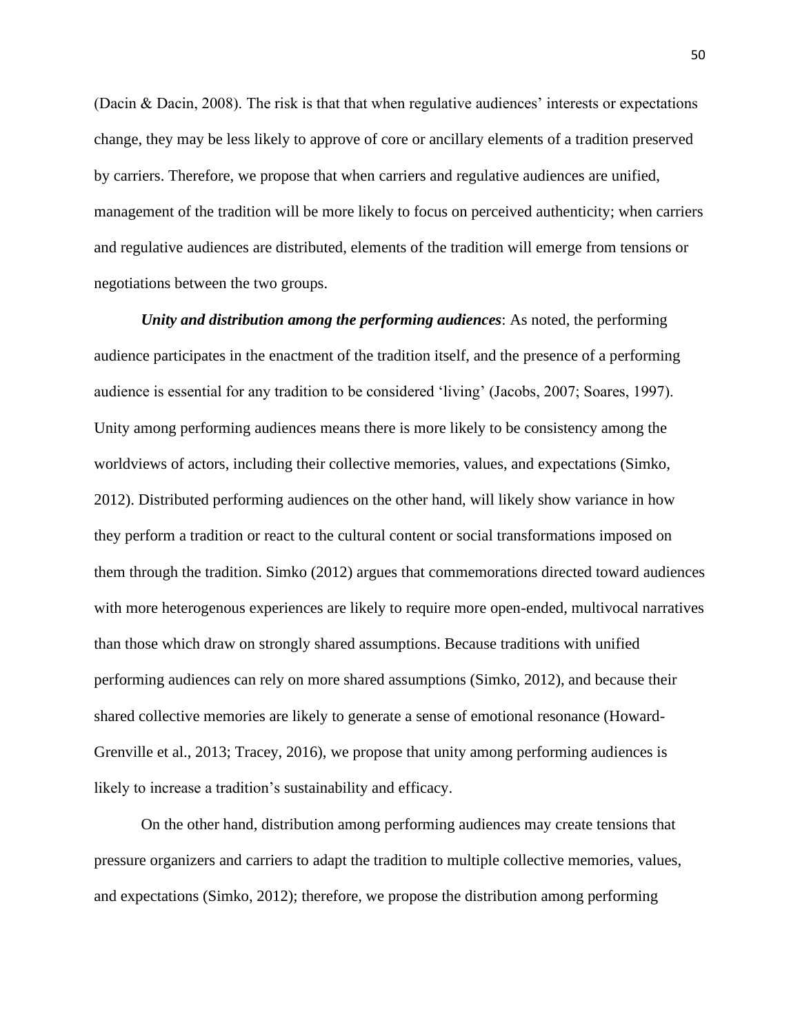(Dacin & Dacin, 2008). The risk is that that when regulative audiences' interests or expectations change, they may be less likely to approve of core or ancillary elements of a tradition preserved by carriers. Therefore, we propose that when carriers and regulative audiences are unified, management of the tradition will be more likely to focus on perceived authenticity; when carriers and regulative audiences are distributed, elements of the tradition will emerge from tensions or negotiations between the two groups.

*Unity and distribution among the performing audiences*: As noted, the performing audience participates in the enactment of the tradition itself, and the presence of a performing audience is essential for any tradition to be considered 'living' (Jacobs, 2007; Soares, 1997). Unity among performing audiences means there is more likely to be consistency among the worldviews of actors, including their collective memories, values, and expectations (Simko, 2012). Distributed performing audiences on the other hand, will likely show variance in how they perform a tradition or react to the cultural content or social transformations imposed on them through the tradition. Simko (2012) argues that commemorations directed toward audiences with more heterogenous experiences are likely to require more open-ended, multivocal narratives than those which draw on strongly shared assumptions. Because traditions with unified performing audiences can rely on more shared assumptions (Simko, 2012), and because their shared collective memories are likely to generate a sense of emotional resonance (Howard-Grenville et al., 2013; Tracey, 2016), we propose that unity among performing audiences is likely to increase a tradition's sustainability and efficacy.

On the other hand, distribution among performing audiences may create tensions that pressure organizers and carriers to adapt the tradition to multiple collective memories, values, and expectations (Simko, 2012); therefore, we propose the distribution among performing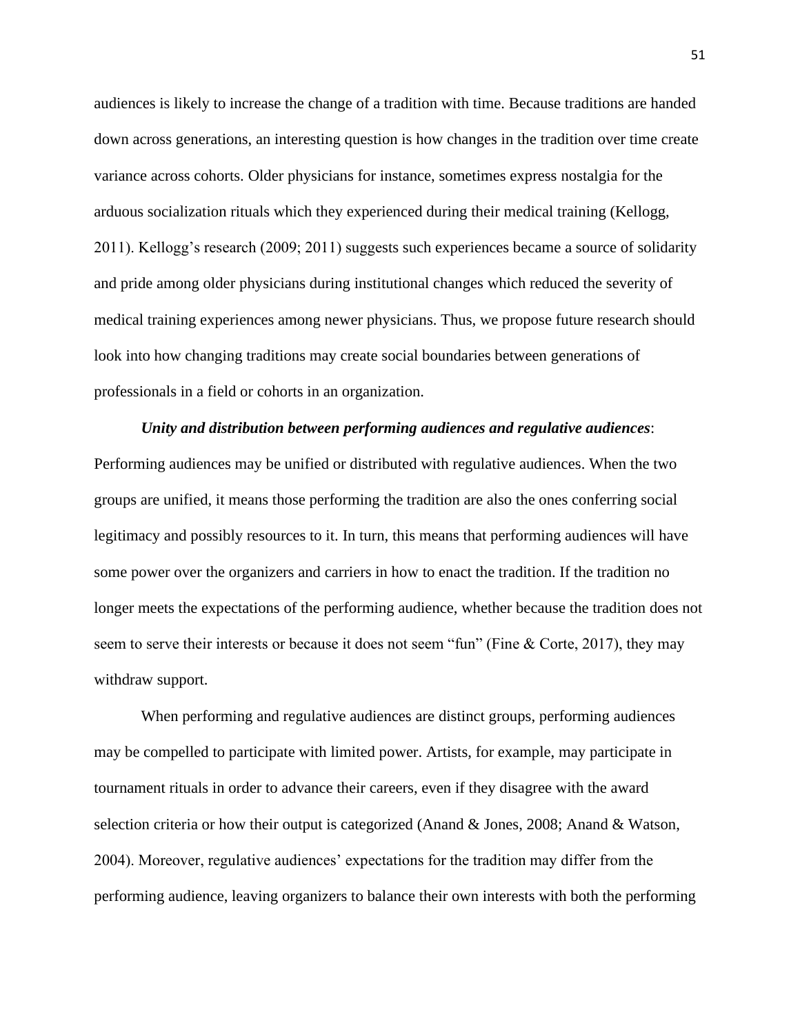audiences is likely to increase the change of a tradition with time. Because traditions are handed down across generations, an interesting question is how changes in the tradition over time create variance across cohorts. Older physicians for instance, sometimes express nostalgia for the arduous socialization rituals which they experienced during their medical training (Kellogg, 2011). Kellogg's research (2009; 2011) suggests such experiences became a source of solidarity and pride among older physicians during institutional changes which reduced the severity of medical training experiences among newer physicians. Thus, we propose future research should look into how changing traditions may create social boundaries between generations of professionals in a field or cohorts in an organization.

# *Unity and distribution between performing audiences and regulative audiences*: Performing audiences may be unified or distributed with regulative audiences. When the two groups are unified, it means those performing the tradition are also the ones conferring social legitimacy and possibly resources to it. In turn, this means that performing audiences will have some power over the organizers and carriers in how to enact the tradition. If the tradition no longer meets the expectations of the performing audience, whether because the tradition does not seem to serve their interests or because it does not seem "fun" (Fine & Corte, 2017), they may withdraw support.

When performing and regulative audiences are distinct groups, performing audiences may be compelled to participate with limited power. Artists, for example, may participate in tournament rituals in order to advance their careers, even if they disagree with the award selection criteria or how their output is categorized (Anand & Jones, 2008; Anand & Watson, 2004). Moreover, regulative audiences' expectations for the tradition may differ from the performing audience, leaving organizers to balance their own interests with both the performing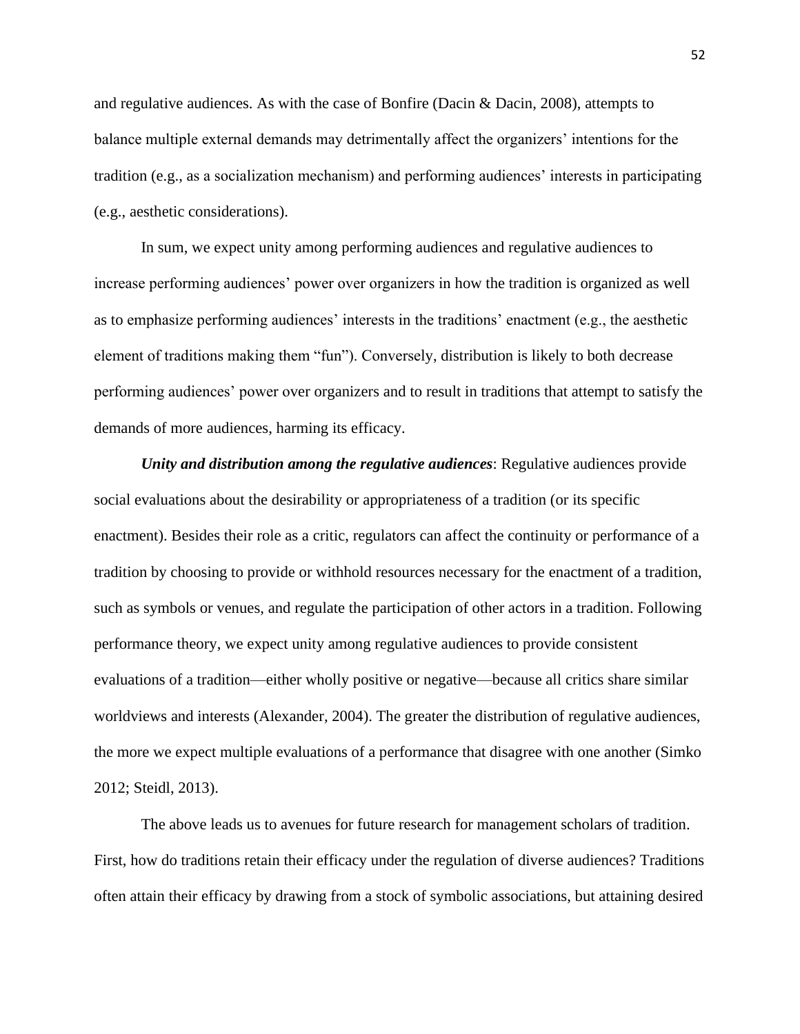and regulative audiences. As with the case of Bonfire (Dacin & Dacin, 2008), attempts to balance multiple external demands may detrimentally affect the organizers' intentions for the tradition (e.g., as a socialization mechanism) and performing audiences' interests in participating (e.g., aesthetic considerations).

In sum, we expect unity among performing audiences and regulative audiences to increase performing audiences' power over organizers in how the tradition is organized as well as to emphasize performing audiences' interests in the traditions' enactment (e.g., the aesthetic element of traditions making them "fun"). Conversely, distribution is likely to both decrease performing audiences' power over organizers and to result in traditions that attempt to satisfy the demands of more audiences, harming its efficacy.

*Unity and distribution among the regulative audiences*: Regulative audiences provide social evaluations about the desirability or appropriateness of a tradition (or its specific enactment). Besides their role as a critic, regulators can affect the continuity or performance of a tradition by choosing to provide or withhold resources necessary for the enactment of a tradition, such as symbols or venues, and regulate the participation of other actors in a tradition. Following performance theory, we expect unity among regulative audiences to provide consistent evaluations of a tradition—either wholly positive or negative—because all critics share similar worldviews and interests (Alexander, 2004). The greater the distribution of regulative audiences, the more we expect multiple evaluations of a performance that disagree with one another (Simko 2012; Steidl, 2013).

The above leads us to avenues for future research for management scholars of tradition. First, how do traditions retain their efficacy under the regulation of diverse audiences? Traditions often attain their efficacy by drawing from a stock of symbolic associations, but attaining desired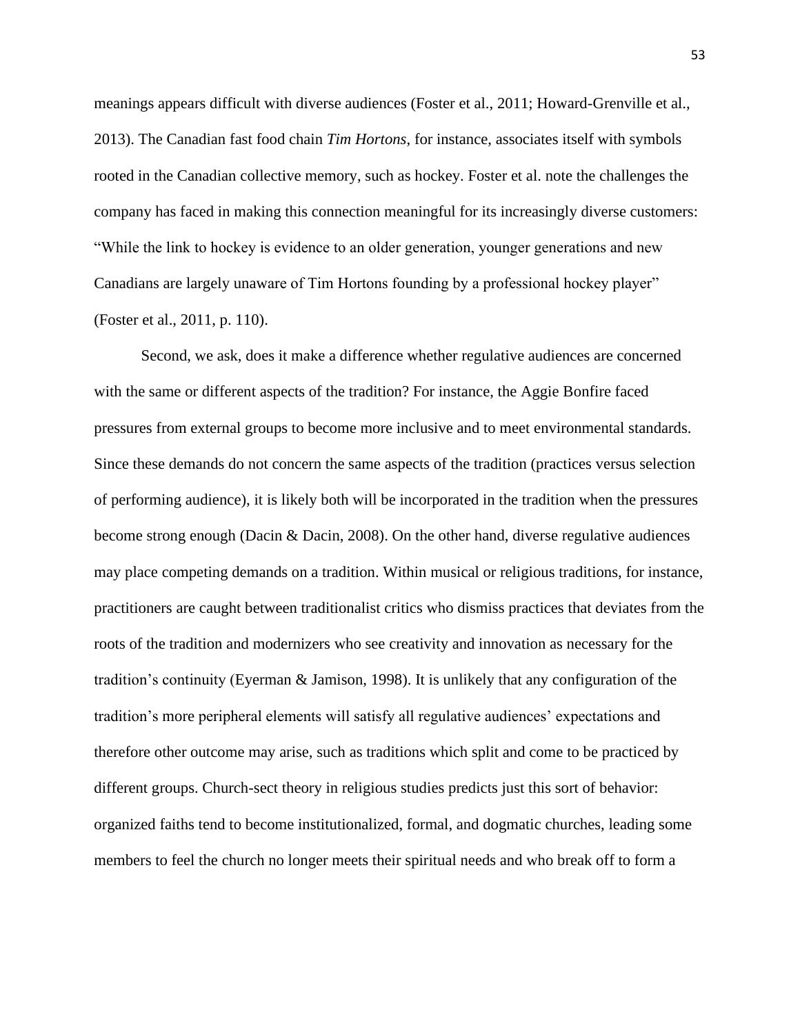meanings appears difficult with diverse audiences (Foster et al., 2011; Howard-Grenville et al., 2013). The Canadian fast food chain *Tim Hortons*, for instance, associates itself with symbols rooted in the Canadian collective memory, such as hockey. Foster et al. note the challenges the company has faced in making this connection meaningful for its increasingly diverse customers: "While the link to hockey is evidence to an older generation, younger generations and new Canadians are largely unaware of Tim Hortons founding by a professional hockey player" (Foster et al., 2011, p. 110).

Second, we ask, does it make a difference whether regulative audiences are concerned with the same or different aspects of the tradition? For instance, the Aggie Bonfire faced pressures from external groups to become more inclusive and to meet environmental standards. Since these demands do not concern the same aspects of the tradition (practices versus selection of performing audience), it is likely both will be incorporated in the tradition when the pressures become strong enough (Dacin & Dacin, 2008). On the other hand, diverse regulative audiences may place competing demands on a tradition. Within musical or religious traditions, for instance, practitioners are caught between traditionalist critics who dismiss practices that deviates from the roots of the tradition and modernizers who see creativity and innovation as necessary for the tradition's continuity (Eyerman & Jamison, 1998). It is unlikely that any configuration of the tradition's more peripheral elements will satisfy all regulative audiences' expectations and therefore other outcome may arise, such as traditions which split and come to be practiced by different groups. Church-sect theory in religious studies predicts just this sort of behavior: organized faiths tend to become institutionalized, formal, and dogmatic churches, leading some members to feel the church no longer meets their spiritual needs and who break off to form a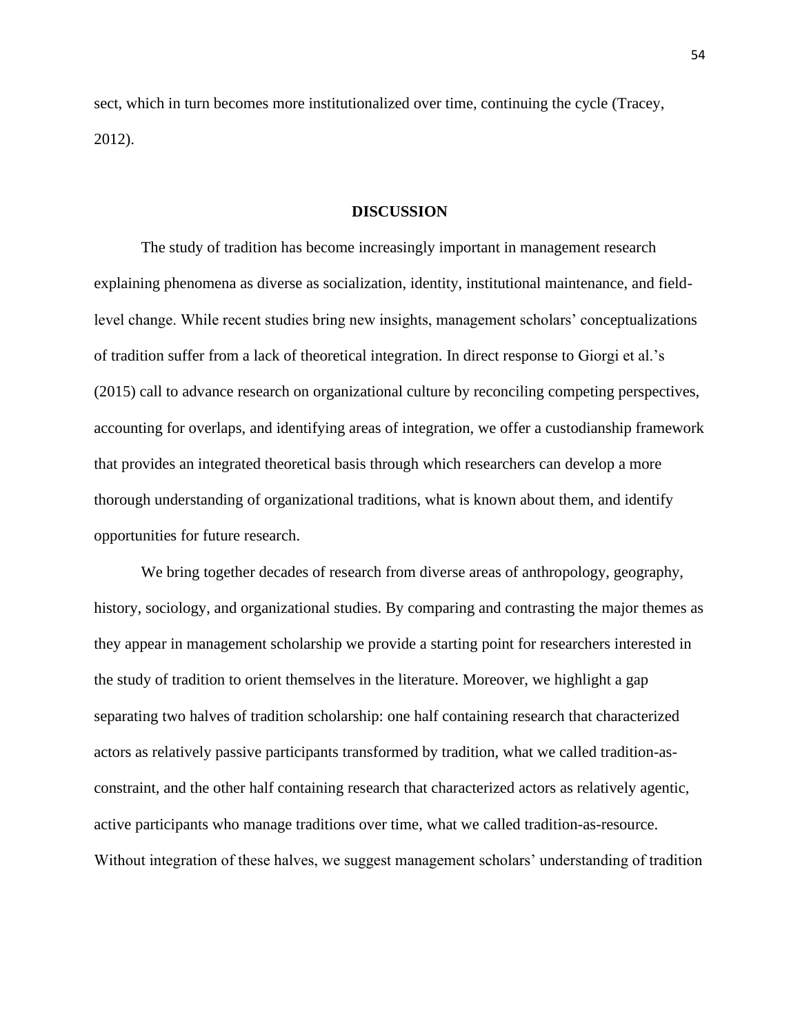sect, which in turn becomes more institutionalized over time, continuing the cycle (Tracey, 2012).

### **DISCUSSION**

The study of tradition has become increasingly important in management research explaining phenomena as diverse as socialization, identity, institutional maintenance, and fieldlevel change. While recent studies bring new insights, management scholars' conceptualizations of tradition suffer from a lack of theoretical integration. In direct response to Giorgi et al.'s (2015) call to advance research on organizational culture by reconciling competing perspectives, accounting for overlaps, and identifying areas of integration, we offer a custodianship framework that provides an integrated theoretical basis through which researchers can develop a more thorough understanding of organizational traditions, what is known about them, and identify opportunities for future research.

We bring together decades of research from diverse areas of anthropology, geography, history, sociology, and organizational studies. By comparing and contrasting the major themes as they appear in management scholarship we provide a starting point for researchers interested in the study of tradition to orient themselves in the literature. Moreover, we highlight a gap separating two halves of tradition scholarship: one half containing research that characterized actors as relatively passive participants transformed by tradition, what we called tradition-asconstraint, and the other half containing research that characterized actors as relatively agentic, active participants who manage traditions over time, what we called tradition-as-resource. Without integration of these halves, we suggest management scholars' understanding of tradition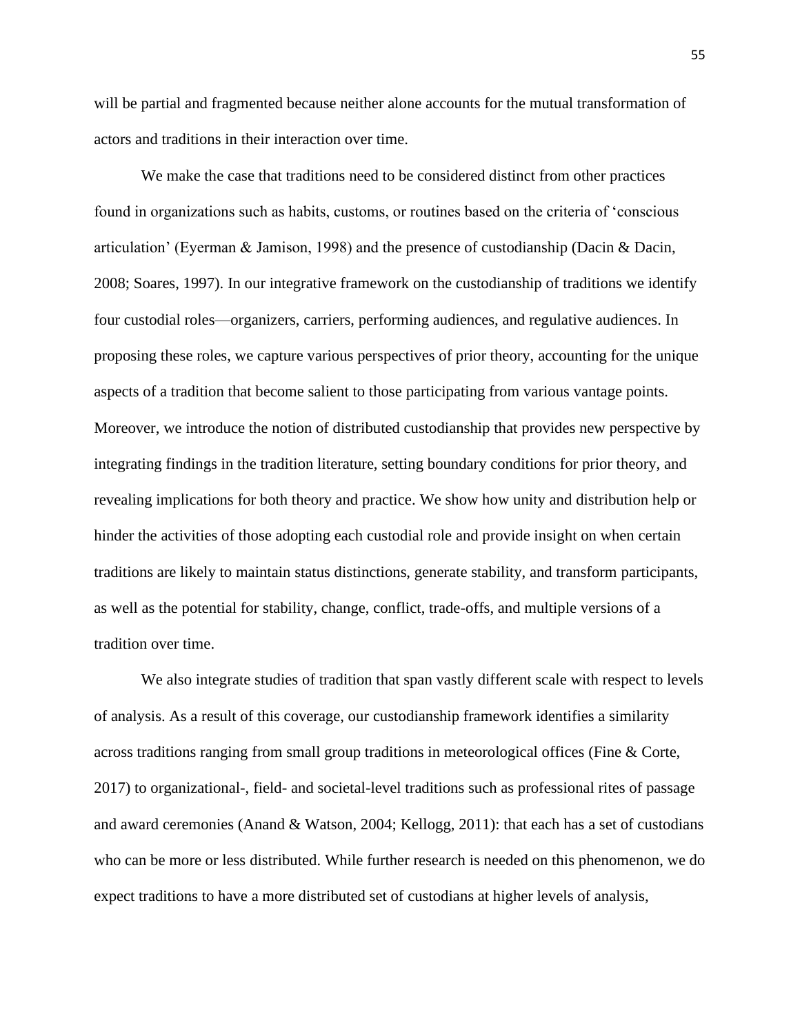will be partial and fragmented because neither alone accounts for the mutual transformation of actors and traditions in their interaction over time.

We make the case that traditions need to be considered distinct from other practices found in organizations such as habits, customs, or routines based on the criteria of 'conscious articulation' (Eyerman & Jamison, 1998) and the presence of custodianship (Dacin & Dacin, 2008; Soares, 1997). In our integrative framework on the custodianship of traditions we identify four custodial roles—organizers, carriers, performing audiences, and regulative audiences. In proposing these roles, we capture various perspectives of prior theory, accounting for the unique aspects of a tradition that become salient to those participating from various vantage points. Moreover, we introduce the notion of distributed custodianship that provides new perspective by integrating findings in the tradition literature, setting boundary conditions for prior theory, and revealing implications for both theory and practice. We show how unity and distribution help or hinder the activities of those adopting each custodial role and provide insight on when certain traditions are likely to maintain status distinctions, generate stability, and transform participants, as well as the potential for stability, change, conflict, trade-offs, and multiple versions of a tradition over time.

We also integrate studies of tradition that span vastly different scale with respect to levels of analysis. As a result of this coverage, our custodianship framework identifies a similarity across traditions ranging from small group traditions in meteorological offices (Fine & Corte, 2017) to organizational-, field- and societal-level traditions such as professional rites of passage and award ceremonies (Anand & Watson, 2004; Kellogg, 2011): that each has a set of custodians who can be more or less distributed. While further research is needed on this phenomenon, we do expect traditions to have a more distributed set of custodians at higher levels of analysis,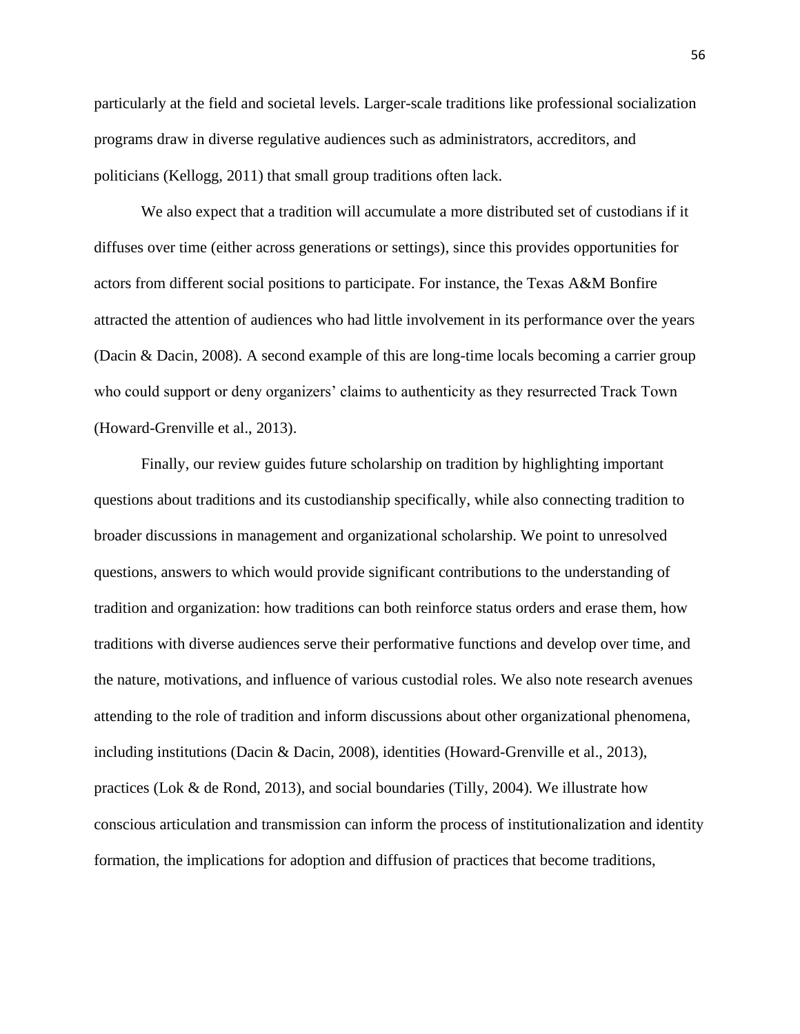particularly at the field and societal levels. Larger-scale traditions like professional socialization programs draw in diverse regulative audiences such as administrators, accreditors, and politicians (Kellogg, 2011) that small group traditions often lack.

We also expect that a tradition will accumulate a more distributed set of custodians if it diffuses over time (either across generations or settings), since this provides opportunities for actors from different social positions to participate. For instance, the Texas A&M Bonfire attracted the attention of audiences who had little involvement in its performance over the years (Dacin & Dacin, 2008). A second example of this are long-time locals becoming a carrier group who could support or deny organizers' claims to authenticity as they resurrected Track Town (Howard-Grenville et al., 2013).

Finally, our review guides future scholarship on tradition by highlighting important questions about traditions and its custodianship specifically, while also connecting tradition to broader discussions in management and organizational scholarship. We point to unresolved questions, answers to which would provide significant contributions to the understanding of tradition and organization: how traditions can both reinforce status orders and erase them, how traditions with diverse audiences serve their performative functions and develop over time, and the nature, motivations, and influence of various custodial roles. We also note research avenues attending to the role of tradition and inform discussions about other organizational phenomena, including institutions (Dacin & Dacin, 2008), identities (Howard-Grenville et al., 2013), practices (Lok & de Rond, 2013), and social boundaries (Tilly, 2004). We illustrate how conscious articulation and transmission can inform the process of institutionalization and identity formation, the implications for adoption and diffusion of practices that become traditions,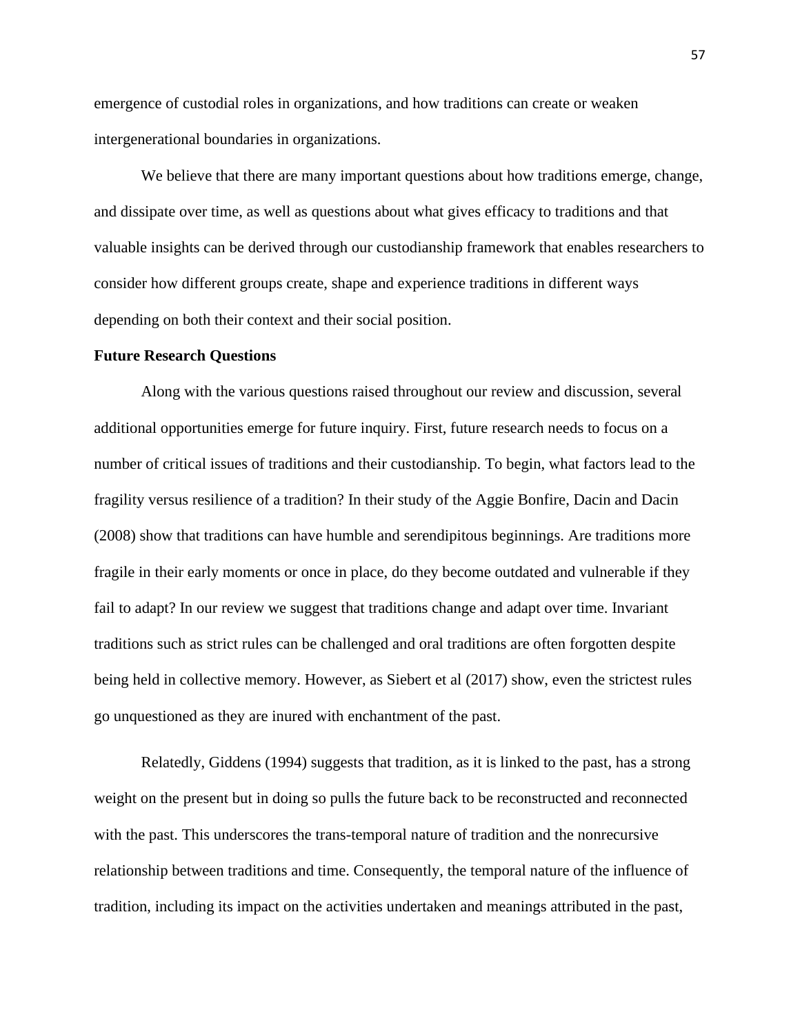emergence of custodial roles in organizations, and how traditions can create or weaken intergenerational boundaries in organizations.

We believe that there are many important questions about how traditions emerge, change, and dissipate over time, as well as questions about what gives efficacy to traditions and that valuable insights can be derived through our custodianship framework that enables researchers to consider how different groups create, shape and experience traditions in different ways depending on both their context and their social position.

#### **Future Research Questions**

Along with the various questions raised throughout our review and discussion, several additional opportunities emerge for future inquiry. First, future research needs to focus on a number of critical issues of traditions and their custodianship. To begin, what factors lead to the fragility versus resilience of a tradition? In their study of the Aggie Bonfire, Dacin and Dacin (2008) show that traditions can have humble and serendipitous beginnings. Are traditions more fragile in their early moments or once in place, do they become outdated and vulnerable if they fail to adapt? In our review we suggest that traditions change and adapt over time. Invariant traditions such as strict rules can be challenged and oral traditions are often forgotten despite being held in collective memory. However, as Siebert et al (2017) show, even the strictest rules go unquestioned as they are inured with enchantment of the past.

Relatedly, Giddens (1994) suggests that tradition, as it is linked to the past, has a strong weight on the present but in doing so pulls the future back to be reconstructed and reconnected with the past. This underscores the trans-temporal nature of tradition and the nonrecursive relationship between traditions and time. Consequently, the temporal nature of the influence of tradition, including its impact on the activities undertaken and meanings attributed in the past,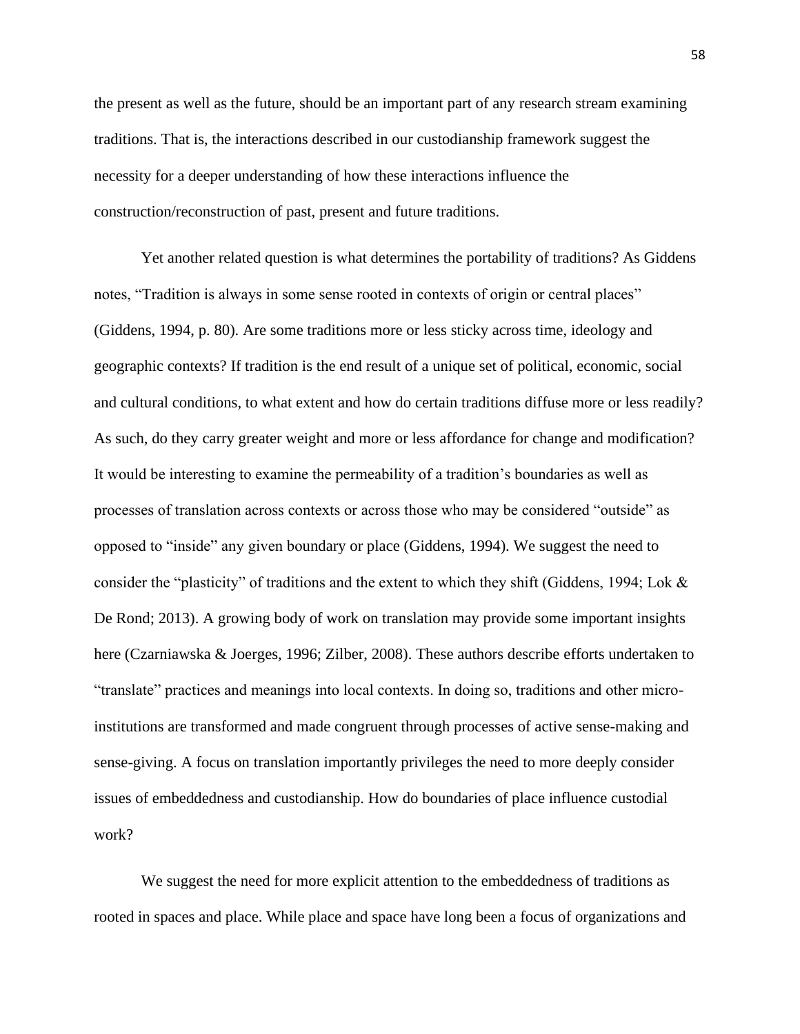the present as well as the future, should be an important part of any research stream examining traditions. That is, the interactions described in our custodianship framework suggest the necessity for a deeper understanding of how these interactions influence the construction/reconstruction of past, present and future traditions.

Yet another related question is what determines the portability of traditions? As Giddens notes, "Tradition is always in some sense rooted in contexts of origin or central places" (Giddens, 1994, p. 80). Are some traditions more or less sticky across time, ideology and geographic contexts? If tradition is the end result of a unique set of political, economic, social and cultural conditions, to what extent and how do certain traditions diffuse more or less readily? As such, do they carry greater weight and more or less affordance for change and modification? It would be interesting to examine the permeability of a tradition's boundaries as well as processes of translation across contexts or across those who may be considered "outside" as opposed to "inside" any given boundary or place (Giddens, 1994). We suggest the need to consider the "plasticity" of traditions and the extent to which they shift (Giddens, 1994; Lok & De Rond; 2013). A growing body of work on translation may provide some important insights here (Czarniawska & Joerges, 1996; Zilber, 2008). These authors describe efforts undertaken to "translate" practices and meanings into local contexts. In doing so, traditions and other microinstitutions are transformed and made congruent through processes of active sense-making and sense-giving. A focus on translation importantly privileges the need to more deeply consider issues of embeddedness and custodianship. How do boundaries of place influence custodial work?

We suggest the need for more explicit attention to the embeddedness of traditions as rooted in spaces and place. While place and space have long been a focus of organizations and

58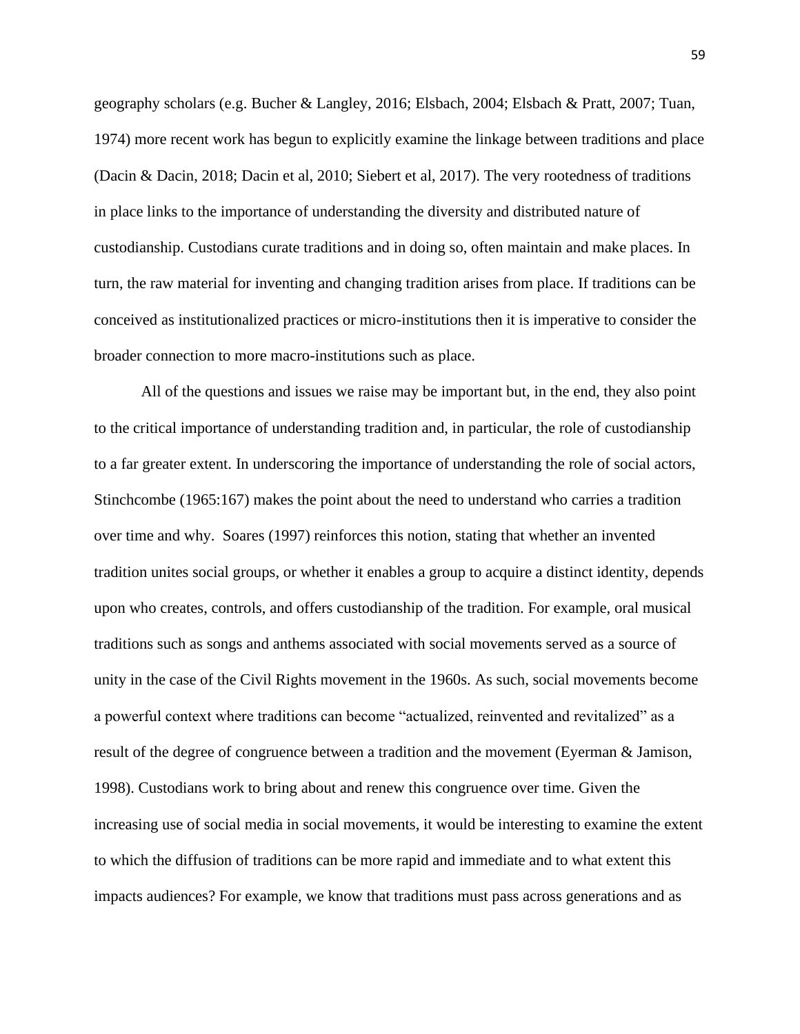geography scholars (e.g. Bucher & Langley, 2016; Elsbach, 2004; Elsbach & Pratt, 2007; Tuan, 1974) more recent work has begun to explicitly examine the linkage between traditions and place (Dacin & Dacin, 2018; Dacin et al, 2010; Siebert et al, 2017). The very rootedness of traditions in place links to the importance of understanding the diversity and distributed nature of custodianship. Custodians curate traditions and in doing so, often maintain and make places. In turn, the raw material for inventing and changing tradition arises from place. If traditions can be conceived as institutionalized practices or micro-institutions then it is imperative to consider the broader connection to more macro-institutions such as place.

All of the questions and issues we raise may be important but, in the end, they also point to the critical importance of understanding tradition and, in particular, the role of custodianship to a far greater extent. In underscoring the importance of understanding the role of social actors, Stinchcombe (1965:167) makes the point about the need to understand who carries a tradition over time and why. Soares (1997) reinforces this notion, stating that whether an invented tradition unites social groups, or whether it enables a group to acquire a distinct identity, depends upon who creates, controls, and offers custodianship of the tradition. For example, oral musical traditions such as songs and anthems associated with social movements served as a source of unity in the case of the Civil Rights movement in the 1960s. As such, social movements become a powerful context where traditions can become "actualized, reinvented and revitalized" as a result of the degree of congruence between a tradition and the movement (Eyerman & Jamison, 1998). Custodians work to bring about and renew this congruence over time. Given the increasing use of social media in social movements, it would be interesting to examine the extent to which the diffusion of traditions can be more rapid and immediate and to what extent this impacts audiences? For example, we know that traditions must pass across generations and as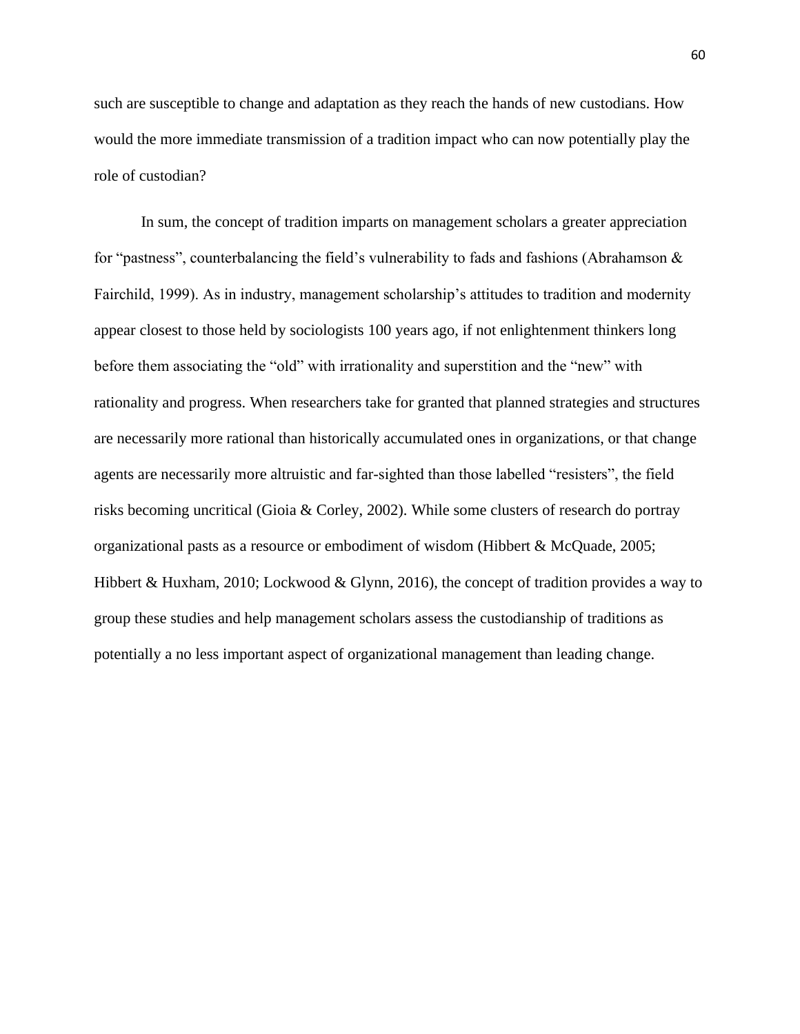such are susceptible to change and adaptation as they reach the hands of new custodians. How would the more immediate transmission of a tradition impact who can now potentially play the role of custodian?

In sum, the concept of tradition imparts on management scholars a greater appreciation for "pastness", counterbalancing the field's vulnerability to fads and fashions (Abrahamson & Fairchild, 1999). As in industry, management scholarship's attitudes to tradition and modernity appear closest to those held by sociologists 100 years ago, if not enlightenment thinkers long before them associating the "old" with irrationality and superstition and the "new" with rationality and progress. When researchers take for granted that planned strategies and structures are necessarily more rational than historically accumulated ones in organizations, or that change agents are necessarily more altruistic and far-sighted than those labelled "resisters", the field risks becoming uncritical (Gioia & Corley, 2002). While some clusters of research do portray organizational pasts as a resource or embodiment of wisdom (Hibbert & McQuade, 2005; Hibbert & Huxham, 2010; Lockwood & Glynn, 2016), the concept of tradition provides a way to group these studies and help management scholars assess the custodianship of traditions as potentially a no less important aspect of organizational management than leading change.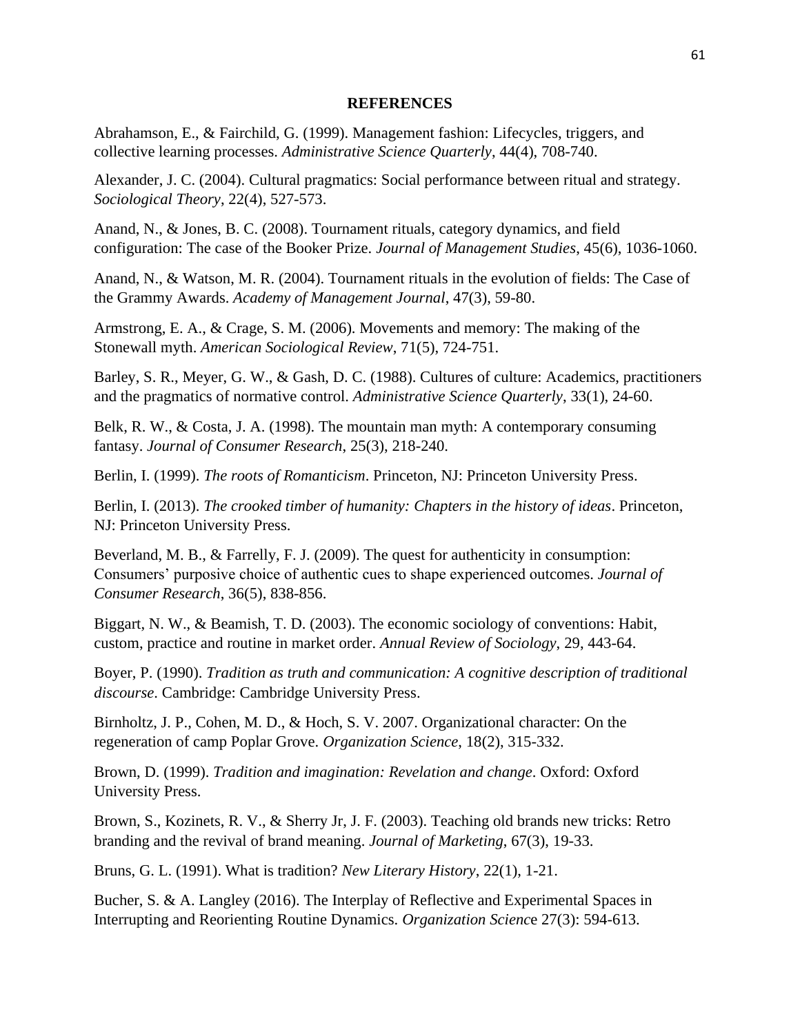#### **REFERENCES**

Abrahamson, E., & Fairchild, G. (1999). Management fashion: Lifecycles, triggers, and collective learning processes. *Administrative Science Quarterly*, 44(4), 708-740.

Alexander, J. C. (2004). Cultural pragmatics: Social performance between ritual and strategy. *Sociological Theory*, 22(4), 527-573.

Anand, N., & Jones, B. C. (2008). Tournament rituals, category dynamics, and field configuration: The case of the Booker Prize. *Journal of Management Studies*, 45(6), 1036-1060.

Anand, N., & Watson, M. R. (2004). Tournament rituals in the evolution of fields: The Case of the Grammy Awards. *Academy of Management Journal*, 47(3), 59-80.

Armstrong, E. A., & Crage, S. M. (2006). Movements and memory: The making of the Stonewall myth. *American Sociological Review*, 71(5), 724-751.

Barley, S. R., Meyer, G. W., & Gash, D. C. (1988). Cultures of culture: Academics, practitioners and the pragmatics of normative control. *Administrative Science Quarterly*, 33(1), 24-60.

Belk, R. W., & Costa, J. A. (1998). The mountain man myth: A contemporary consuming fantasy. *Journal of Consumer Research*, 25(3), 218-240.

Berlin, I. (1999). *The roots of Romanticism*. Princeton, NJ: Princeton University Press.

Berlin, I. (2013). *The crooked timber of humanity: Chapters in the history of ideas*. Princeton, NJ: Princeton University Press.

Beverland, M. B., & Farrelly, F. J. (2009). The quest for authenticity in consumption: Consumers' purposive choice of authentic cues to shape experienced outcomes. *Journal of Consumer Research*, 36(5), 838-856.

Biggart, N. W., & Beamish, T. D. (2003). The economic sociology of conventions: Habit, custom, practice and routine in market order. *Annual Review of Sociology*, 29, 443-64.

Boyer, P. (1990). *Tradition as truth and communication: A cognitive description of traditional discourse*. Cambridge: Cambridge University Press.

Birnholtz, J. P., Cohen, M. D., & Hoch, S. V. 2007. Organizational character: On the regeneration of camp Poplar Grove. *Organization Science*, 18(2), 315-332.

Brown, D. (1999). *Tradition and imagination: Revelation and change*. Oxford: Oxford University Press.

Brown, S., Kozinets, R. V., & Sherry Jr, J. F. (2003). Teaching old brands new tricks: Retro branding and the revival of brand meaning. *Journal of Marketing*, 67(3), 19-33.

Bruns, G. L. (1991). What is tradition? *New Literary History*, 22(1), 1-21.

Bucher, S. & A. Langley (2016). The Interplay of Reflective and Experimental Spaces in Interrupting and Reorienting Routine Dynamics. *Organization Scienc*e 27(3): 594-613.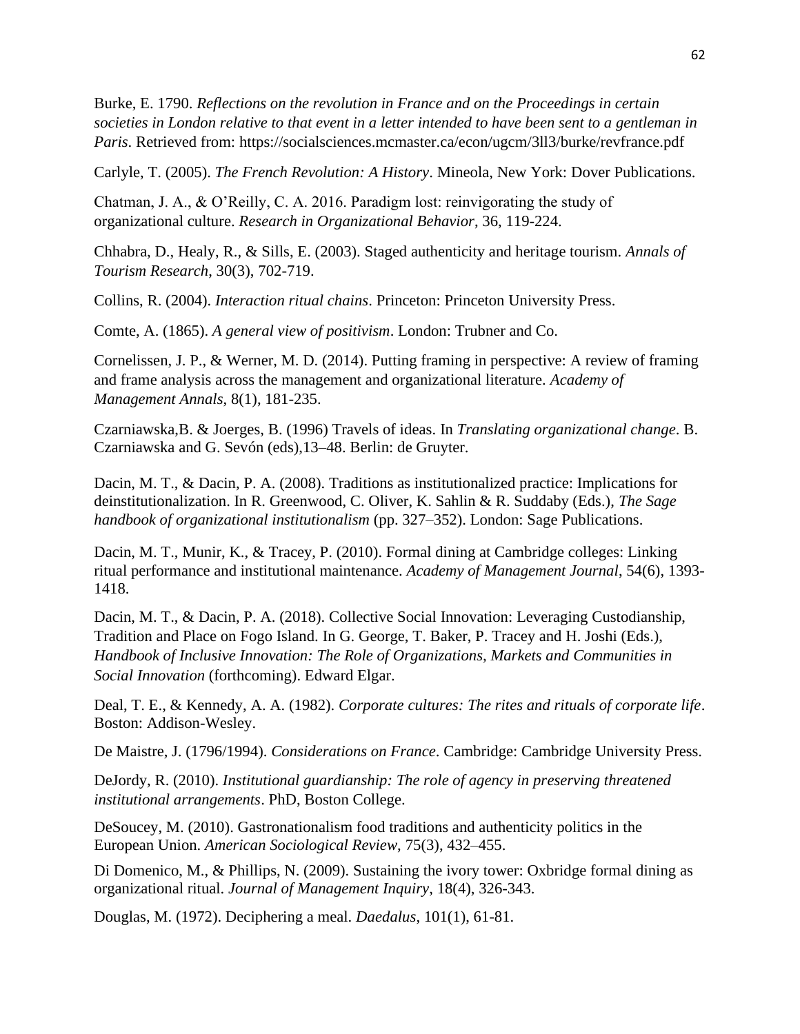Burke, E. 1790. *Reflections on the revolution in France and on the Proceedings in certain societies in London relative to that event in a letter intended to have been sent to a gentleman in Paris*. Retrieved from: https://socialsciences.mcmaster.ca/econ/ugcm/3ll3/burke/revfrance.pdf

Carlyle, T. (2005). *The French Revolution: A History*. Mineola, New York: Dover Publications.

Chatman, J. A., & O'Reilly, C. A. 2016. Paradigm lost: reinvigorating the study of organizational culture. *Research in Organizational Behavior*, 36, 119-224.

Chhabra, D., Healy, R., & Sills, E. (2003). Staged authenticity and heritage tourism. *Annals of Tourism Research*, 30(3), 702-719.

Collins, R. (2004). *Interaction ritual chains*. Princeton: Princeton University Press.

Comte, A. (1865). *A general view of positivism*. London: Trubner and Co.

Cornelissen, J. P., & Werner, M. D. (2014). Putting framing in perspective: A review of framing and frame analysis across the management and organizational literature. *Academy of Management Annals*, 8(1), 181-235.

Czarniawska,B. & Joerges, B. (1996) Travels of ideas. In *Translating organizational change*. B. Czarniawska and G. Sevón (eds),13–48. Berlin: de Gruyter.

Dacin, M. T., & Dacin, P. A. (2008). Traditions as institutionalized practice: Implications for deinstitutionalization. In R. Greenwood, C. Oliver, K. Sahlin & R. Suddaby (Eds.), *The Sage handbook of organizational institutionalism* (pp. 327–352). London: Sage Publications.

Dacin, M. T., Munir, K., & Tracey, P. (2010). Formal dining at Cambridge colleges: Linking ritual performance and institutional maintenance. *Academy of Management Journal*, 54(6), 1393- 1418.

Dacin, M. T., & Dacin, P. A. (2018). Collective Social Innovation: Leveraging Custodianship, Tradition and Place on Fogo Island. In G. George, T. Baker, P. Tracey and H. Joshi (Eds.), *Handbook of Inclusive Innovation: The Role of Organizations, Markets and Communities in Social Innovation* (forthcoming). Edward Elgar.

Deal, T. E., & Kennedy, A. A. (1982). *Corporate cultures: The rites and rituals of corporate life*. Boston: Addison-Wesley.

De Maistre, J. (1796/1994). *Considerations on France*. Cambridge: Cambridge University Press.

DeJordy, R. (2010). *Institutional guardianship: The role of agency in preserving threatened institutional arrangements*. PhD, Boston College.

DeSoucey, M. (2010). Gastronationalism food traditions and authenticity politics in the European Union. *American Sociological Review*, 75(3), 432–455.

Di Domenico, M., & Phillips, N. (2009). Sustaining the ivory tower: Oxbridge formal dining as organizational ritual. *Journal of Management Inquiry*, 18(4), 326-343.

Douglas, M. (1972). Deciphering a meal. *Daedalus*, 101(1), 61-81.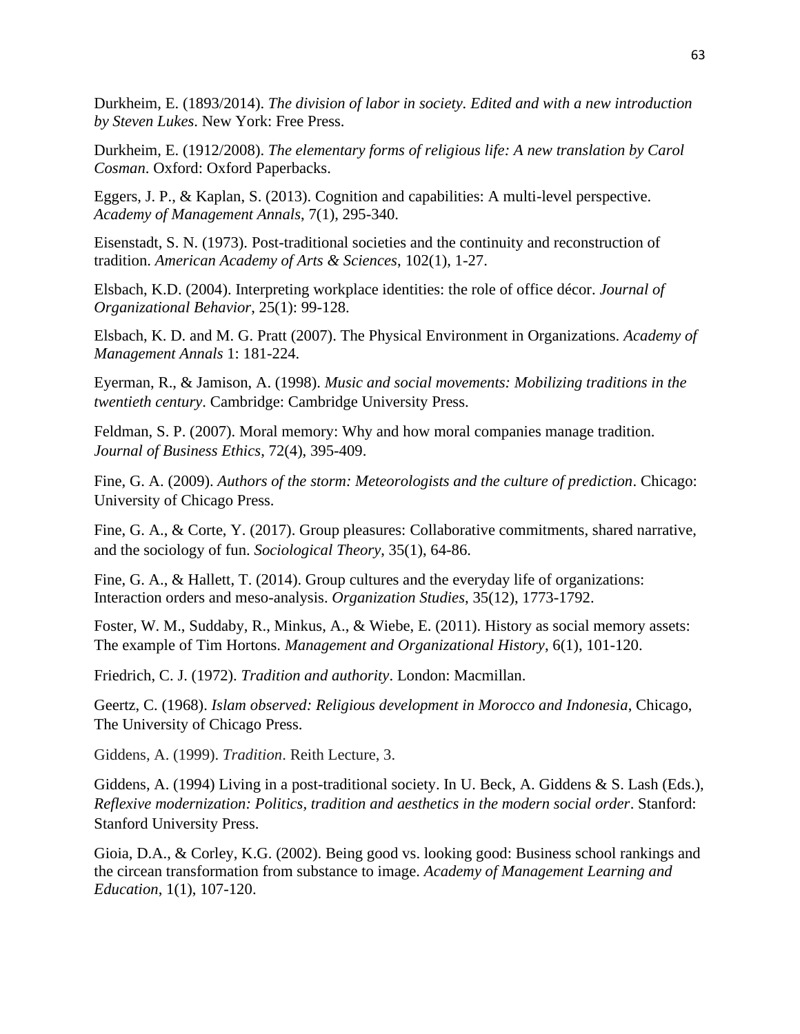Durkheim, E. (1893/2014). *The division of labor in society. Edited and with a new introduction by Steven Lukes*. New York: Free Press.

Durkheim, E. (1912/2008). *The elementary forms of religious life: A new translation by Carol Cosman*. Oxford: Oxford Paperbacks.

Eggers, J. P., & Kaplan, S. (2013). Cognition and capabilities: A multi-level perspective. *Academy of Management Annals*, 7(1), 295-340.

Eisenstadt, S. N. (1973). Post-traditional societies and the continuity and reconstruction of tradition. *American Academy of Arts & Sciences*, 102(1), 1-27.

Elsbach, K.D. (2004). Interpreting workplace identities: the role of office décor. *Journal of Organizational Behavior*, 25(1): 99-128.

Elsbach, K. D. and M. G. Pratt (2007). The Physical Environment in Organizations. *Academy of Management Annals* 1: 181-224.

Eyerman, R., & Jamison, A. (1998). *Music and social movements: Mobilizing traditions in the twentieth century*. Cambridge: Cambridge University Press.

Feldman, S. P. (2007). Moral memory: Why and how moral companies manage tradition. *Journal of Business Ethics*, 72(4), 395-409.

Fine, G. A. (2009). *Authors of the storm: Meteorologists and the culture of prediction*. Chicago: University of Chicago Press.

Fine, G. A., & Corte, Y. (2017). Group pleasures: Collaborative commitments, shared narrative, and the sociology of fun. *Sociological Theory*, 35(1), 64-86.

Fine, G. A., & Hallett, T. (2014). Group cultures and the everyday life of organizations: Interaction orders and meso-analysis. *Organization Studies*, 35(12), 1773-1792.

Foster, W. M., Suddaby, R., Minkus, A., & Wiebe, E. (2011). History as social memory assets: The example of Tim Hortons. *Management and Organizational History*, 6(1), 101-120.

Friedrich, C. J. (1972). *Tradition and authority*. London: Macmillan.

Geertz, C. (1968). *Islam observed: Religious development in Morocco and Indonesia*, Chicago, The University of Chicago Press.

Giddens, A. (1999). *Tradition*. Reith Lecture, 3.

Giddens, A. (1994) Living in a post-traditional society. In U. Beck, A. Giddens & S. Lash (Eds.), *Reflexive modernization: Politics, tradition and aesthetics in the modern social order*. Stanford: Stanford University Press.

Gioia, D.A., & Corley, K.G. (2002). Being good vs. looking good: Business school rankings and the circean transformation from substance to image. *Academy of Management Learning and Education*, 1(1), 107-120.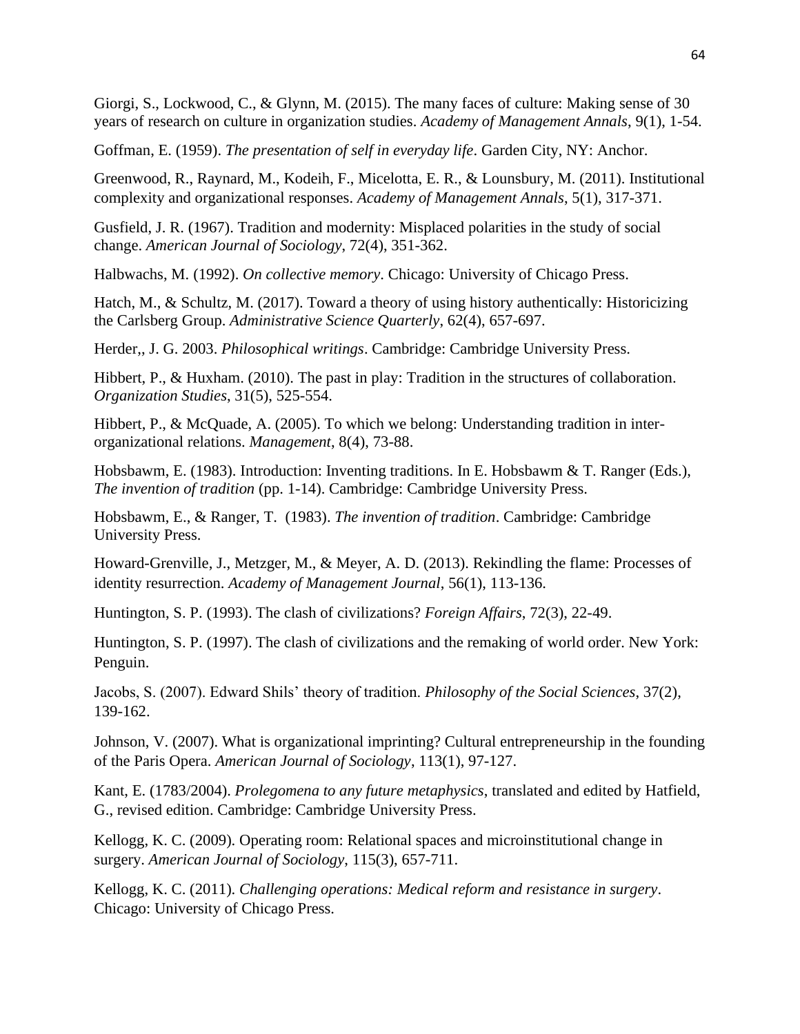Giorgi, S., Lockwood, C., & Glynn, M. (2015). The many faces of culture: Making sense of 30 years of research on culture in organization studies. *Academy of Management Annals*, 9(1), 1-54.

Goffman, E. (1959). *The presentation of self in everyday life*. Garden City, NY: Anchor.

Greenwood, R., Raynard, M., Kodeih, F., Micelotta, E. R., & Lounsbury, M. (2011). Institutional complexity and organizational responses. *Academy of Management Annals*, 5(1), 317-371.

Gusfield, J. R. (1967). Tradition and modernity: Misplaced polarities in the study of social change. *American Journal of Sociology*, 72(4), 351-362.

Halbwachs, M. (1992). *On collective memory*. Chicago: University of Chicago Press.

Hatch, M., & Schultz, M. (2017). Toward a theory of using history authentically: Historicizing the Carlsberg Group. *Administrative Science Quarterly*, 62(4), 657-697.

Herder,, J. G. 2003. *Philosophical writings*. Cambridge: Cambridge University Press.

Hibbert, P., & Huxham. (2010). The past in play: Tradition in the structures of collaboration. *Organization Studies*, 31(5), 525-554.

Hibbert, P., & McQuade, A. (2005). To which we belong: Understanding tradition in interorganizational relations. *Management*, 8(4), 73-88.

Hobsbawm, E. (1983). Introduction: Inventing traditions. In E. Hobsbawm & T. Ranger (Eds.), *The invention of tradition* (pp. 1-14). Cambridge: Cambridge University Press.

Hobsbawm, E., & Ranger, T. (1983). *The invention of tradition*. Cambridge: Cambridge University Press.

Howard-Grenville, J., Metzger, M., & Meyer, A. D. (2013). Rekindling the flame: Processes of identity resurrection. *Academy of Management Journal*, 56(1), 113-136.

Huntington, S. P. (1993). The clash of civilizations? *Foreign Affairs*, 72(3), 22-49.

Huntington, S. P. (1997). The clash of civilizations and the remaking of world order. New York: Penguin.

Jacobs, S. (2007). Edward Shils' theory of tradition. *Philosophy of the Social Sciences*, 37(2), 139-162.

Johnson, V. (2007). What is organizational imprinting? Cultural entrepreneurship in the founding of the Paris Opera. *American Journal of Sociology*, 113(1), 97-127.

Kant, E. (1783/2004). *Prolegomena to any future metaphysics*, translated and edited by Hatfield, G., revised edition. Cambridge: Cambridge University Press.

Kellogg, K. C. (2009). Operating room: Relational spaces and microinstitutional change in surgery. *American Journal of Sociology*, 115(3), 657-711.

Kellogg, K. C. (2011). *Challenging operations: Medical reform and resistance in surgery*. Chicago: University of Chicago Press.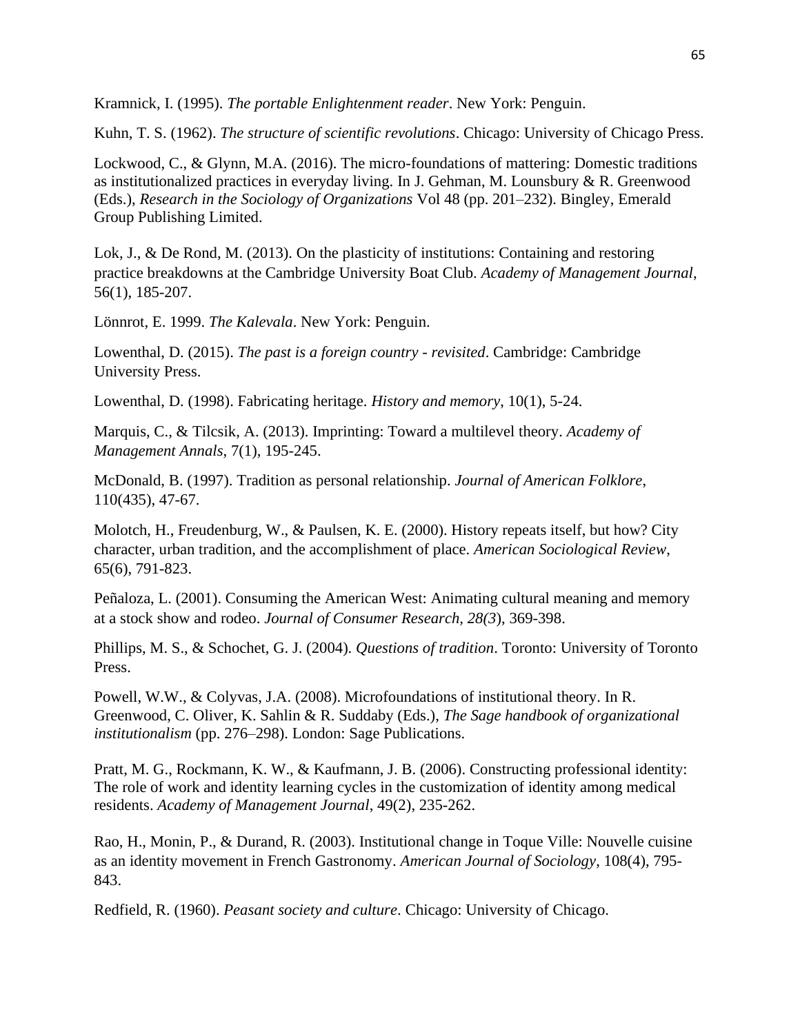Kramnick, I. (1995). *The portable Enlightenment reader*. New York: Penguin.

Kuhn, T. S. (1962). *The structure of scientific revolutions*. Chicago: University of Chicago Press.

Lockwood, C., & Glynn, M.A. (2016). The micro-foundations of mattering: Domestic traditions as institutionalized practices in everyday living. In J. Gehman, M. Lounsbury & R. Greenwood (Eds.), *Research in the Sociology of Organizations* Vol 48 (pp. 201–232). Bingley, Emerald Group Publishing Limited.

Lok, J., & De Rond, M. (2013). On the plasticity of institutions: Containing and restoring practice breakdowns at the Cambridge University Boat Club. *Academy of Management Journal*, 56(1), 185-207.

Lönnrot, E. 1999. *The Kalevala*. New York: Penguin.

Lowenthal, D. (2015). *The past is a foreign country - revisited*. Cambridge: Cambridge University Press.

Lowenthal, D. (1998). Fabricating heritage. *History and memory*, 10(1), 5-24.

Marquis, C., & Tilcsik, A. (2013). Imprinting: Toward a multilevel theory. *Academy of Management Annals*, 7(1), 195-245.

McDonald, B. (1997). Tradition as personal relationship. *Journal of American Folklore*, 110(435), 47-67.

Molotch, H., Freudenburg, W., & Paulsen, K. E. (2000). History repeats itself, but how? City character, urban tradition, and the accomplishment of place. *American Sociological Review*, 65(6), 791-823.

Peñaloza, L. (2001). Consuming the American West: Animating cultural meaning and memory at a stock show and rodeo. *Journal of Consumer Research, 28(3*), 369-398.

Phillips, M. S., & Schochet, G. J. (2004). *Questions of tradition*. Toronto: University of Toronto Press.

Powell, W.W., & Colyvas, J.A. (2008). Microfoundations of institutional theory. In R. Greenwood, C. Oliver, K. Sahlin & R. Suddaby (Eds.), *The Sage handbook of organizational institutionalism* (pp. 276–298). London: Sage Publications.

Pratt, M. G., Rockmann, K. W., & Kaufmann, J. B. (2006). Constructing professional identity: The role of work and identity learning cycles in the customization of identity among medical residents. *Academy of Management Journal*, 49(2), 235-262.

Rao, H., Monin, P., & Durand, R. (2003). Institutional change in Toque Ville: Nouvelle cuisine as an identity movement in French Gastronomy. *American Journal of Sociology*, 108(4), 795- 843.

Redfield, R. (1960). *Peasant society and culture*. Chicago: University of Chicago.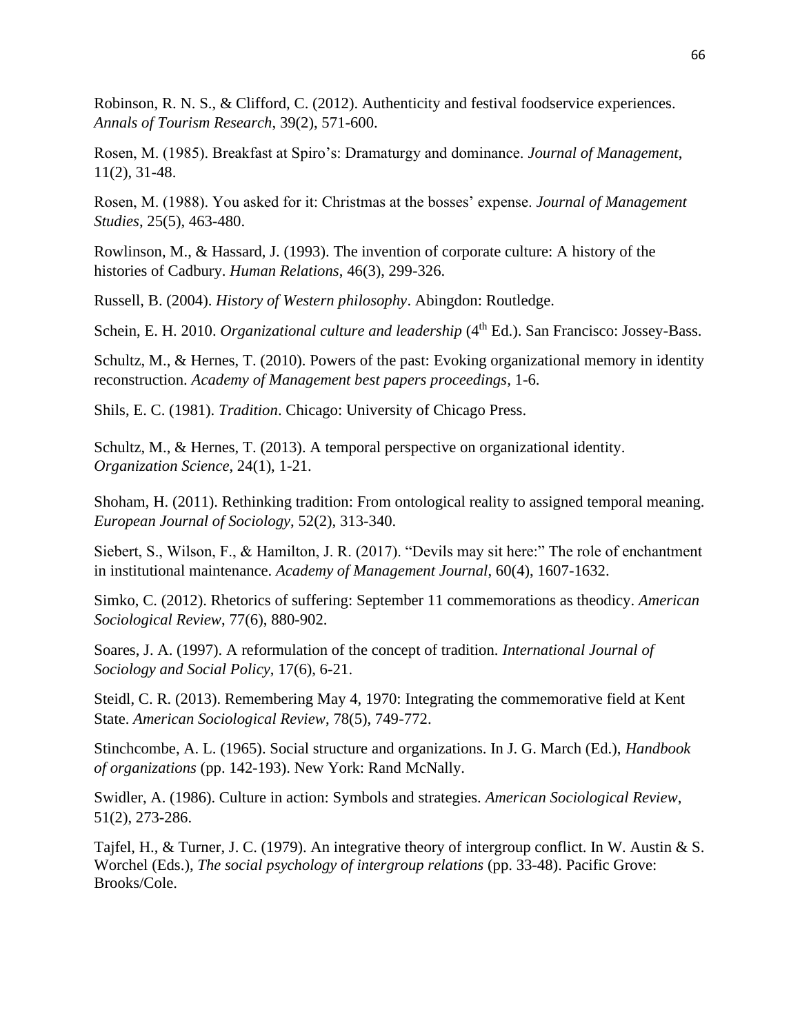Robinson, R. N. S., & Clifford, C. (2012). Authenticity and festival foodservice experiences. *Annals of Tourism Research*, 39(2), 571-600.

Rosen, M. (1985). Breakfast at Spiro's: Dramaturgy and dominance. *Journal of Management*, 11(2), 31-48.

Rosen, M. (1988). You asked for it: Christmas at the bosses' expense. *Journal of Management Studies*, 25(5), 463-480.

Rowlinson, M., & Hassard, J. (1993). The invention of corporate culture: A history of the histories of Cadbury. *Human Relations*, 46(3), 299-326.

Russell, B. (2004). *History of Western philosophy*. Abingdon: Routledge.

Schein, E. H. 2010. *Organizational culture and leadership* (4<sup>th</sup> Ed.). San Francisco: Jossey-Bass.

Schultz, M., & Hernes, T. (2010). Powers of the past: Evoking organizational memory in identity reconstruction. *Academy of Management best papers proceedings,* 1-6.

Shils, E. C. (1981). *Tradition*. Chicago: University of Chicago Press.

Schultz, M., & Hernes, T. (2013). A temporal perspective on organizational identity. *Organization Science*, 24(1), 1-21.

Shoham, H. (2011). Rethinking tradition: From ontological reality to assigned temporal meaning. *European Journal of Sociology*, 52(2), 313-340.

Siebert, S., Wilson, F., & Hamilton, J. R. (2017). "Devils may sit here:" The role of enchantment in institutional maintenance. *Academy of Management Journal*, 60(4), 1607-1632.

Simko, C. (2012). Rhetorics of suffering: September 11 commemorations as theodicy. *American Sociological Review*, 77(6), 880-902.

Soares, J. A. (1997). A reformulation of the concept of tradition. *International Journal of Sociology and Social Policy*, 17(6), 6-21.

Steidl, C. R. (2013). Remembering May 4, 1970: Integrating the commemorative field at Kent State. *American Sociological Review*, 78(5), 749-772.

Stinchcombe, A. L. (1965). Social structure and organizations. In J. G. March (Ed.), *Handbook of organizations* (pp. 142-193). New York: Rand McNally.

Swidler, A. (1986). Culture in action: Symbols and strategies. *American Sociological Review*, 51(2), 273-286.

Tajfel, H., & Turner, J. C. (1979). An integrative theory of intergroup conflict. In W. Austin & S. Worchel (Eds.), *The social psychology of intergroup relations* (pp. 33-48). Pacific Grove: Brooks/Cole.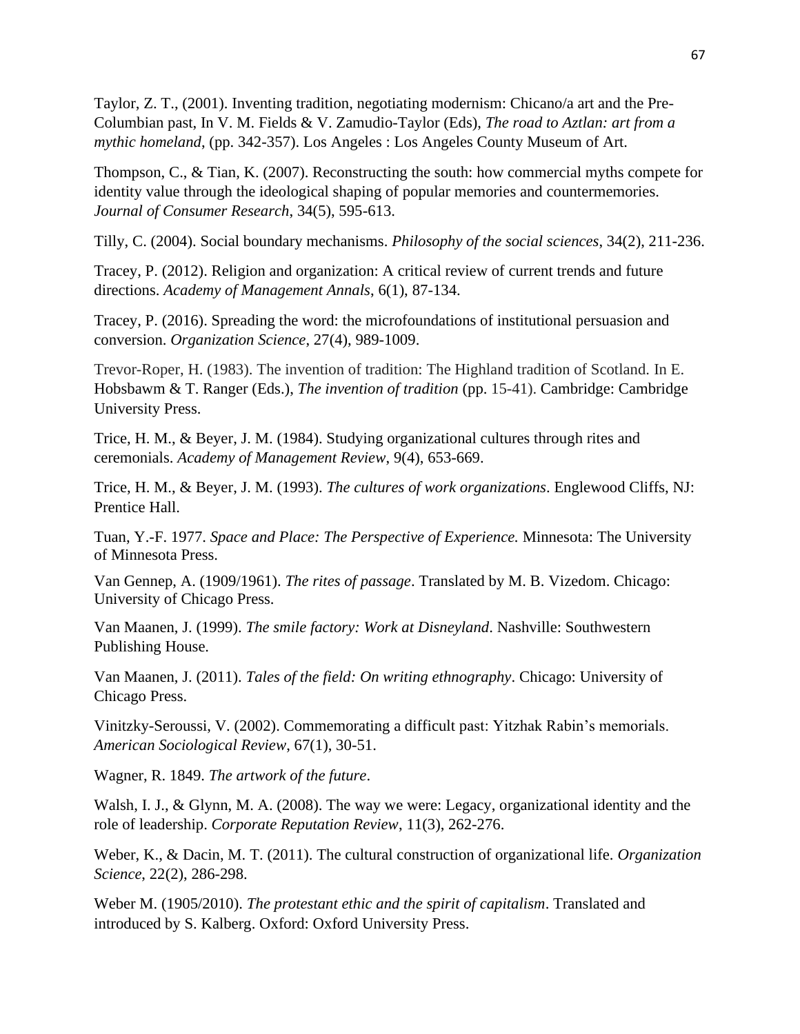Taylor, Z. T., (2001). Inventing tradition, negotiating modernism: Chicano/a art and the Pre-Columbian past, In V. M. Fields & V. Zamudio-Taylor (Eds), *The road to Aztlan: art from a mythic homeland*, (pp. 342-357). Los Angeles : Los Angeles County Museum of Art.

Thompson, C., & Tian, K. (2007). Reconstructing the south: how commercial myths compete for identity value through the ideological shaping of popular memories and countermemories. *Journal of Consumer Research*, 34(5), 595-613.

Tilly, C. (2004). Social boundary mechanisms. *Philosophy of the social sciences*, 34(2), 211-236.

Tracey, P. (2012). Religion and organization: A critical review of current trends and future directions. *Academy of Management Annals*, 6(1), 87-134.

Tracey, P. (2016). Spreading the word: the microfoundations of institutional persuasion and conversion. *Organization Science*, 27(4), 989-1009.

Trevor-Roper, H. (1983). The invention of tradition: The Highland tradition of Scotland. In E. Hobsbawm & T. Ranger (Eds.), *The invention of tradition* (pp. 15-41). Cambridge: Cambridge University Press.

Trice, H. M., & Beyer, J. M. (1984). Studying organizational cultures through rites and ceremonials. *Academy of Management Review*, 9(4), 653-669.

Trice, H. M., & Beyer, J. M. (1993). *The cultures of work organizations*. Englewood Cliffs, NJ: Prentice Hall.

Tuan, Y.-F. 1977. *Space and Place: The Perspective of Experience.* Minnesota: The University of Minnesota Press.

Van Gennep, A. (1909/1961). *The rites of passage*. Translated by M. B. Vizedom. Chicago: University of Chicago Press.

Van Maanen, J. (1999). *The smile factory: Work at Disneyland*. Nashville: Southwestern Publishing House.

Van Maanen, J. (2011). *Tales of the field: On writing ethnography*. Chicago: University of Chicago Press.

Vinitzky-Seroussi, V. (2002). Commemorating a difficult past: Yitzhak Rabin's memorials. *American Sociological Review*, 67(1), 30-51.

Wagner, R. 1849. *The artwork of the future*.

Walsh, I. J., & Glynn, M. A. (2008). The way we were: Legacy, organizational identity and the role of leadership. *Corporate Reputation Review*, 11(3), 262-276.

Weber, K., & Dacin, M. T. (2011). The cultural construction of organizational life. *Organization Science*, 22(2), 286-298.

Weber M. (1905/2010). *The protestant ethic and the spirit of capitalism*. Translated and introduced by S. Kalberg. Oxford: Oxford University Press.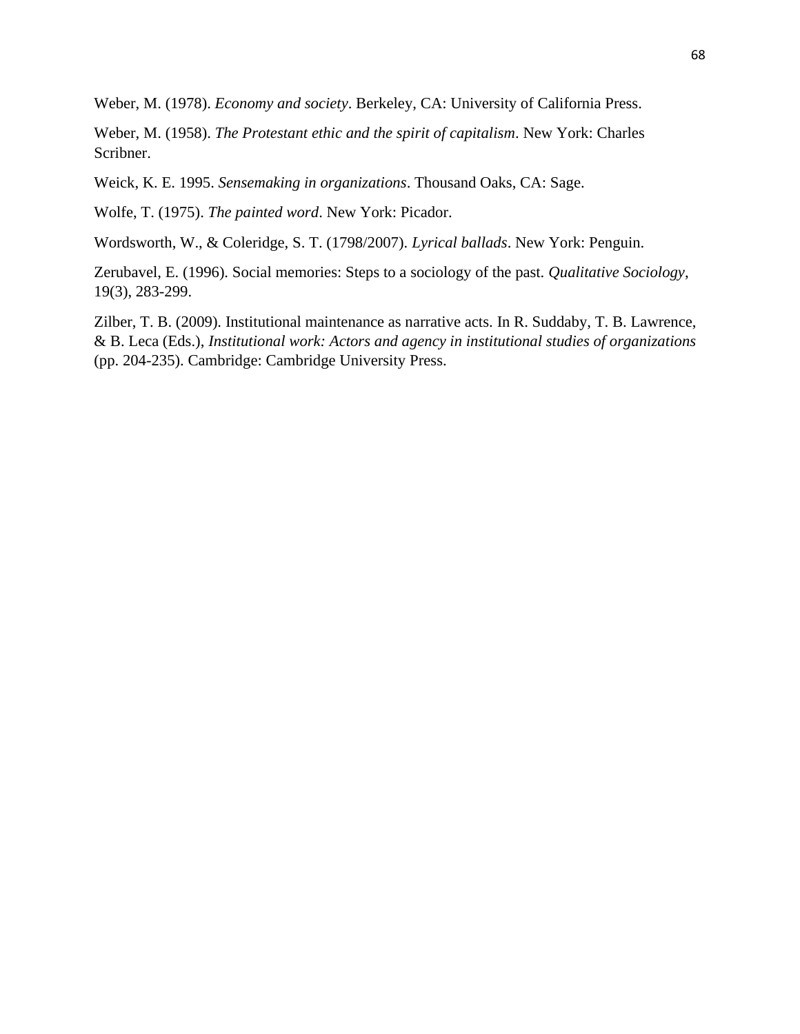Weber, M. (1978). *Economy and society*. Berkeley, CA: University of California Press.

Weber, M. (1958). *The Protestant ethic and the spirit of capitalism*. New York: Charles Scribner.

Weick, K. E. 1995. *Sensemaking in organizations*. Thousand Oaks, CA: Sage.

Wolfe, T. (1975). *The painted word*. New York: Picador.

Wordsworth, W., & Coleridge, S. T. (1798/2007). *Lyrical ballads*. New York: Penguin.

Zerubavel, E. (1996). Social memories: Steps to a sociology of the past. *Qualitative Sociology*, 19(3), 283-299.

Zilber, T. B. (2009). Institutional maintenance as narrative acts. In R. Suddaby, T. B. Lawrence, & B. Leca (Eds.), *Institutional work: Actors and agency in institutional studies of organizations* (pp. 204-235). Cambridge: Cambridge University Press.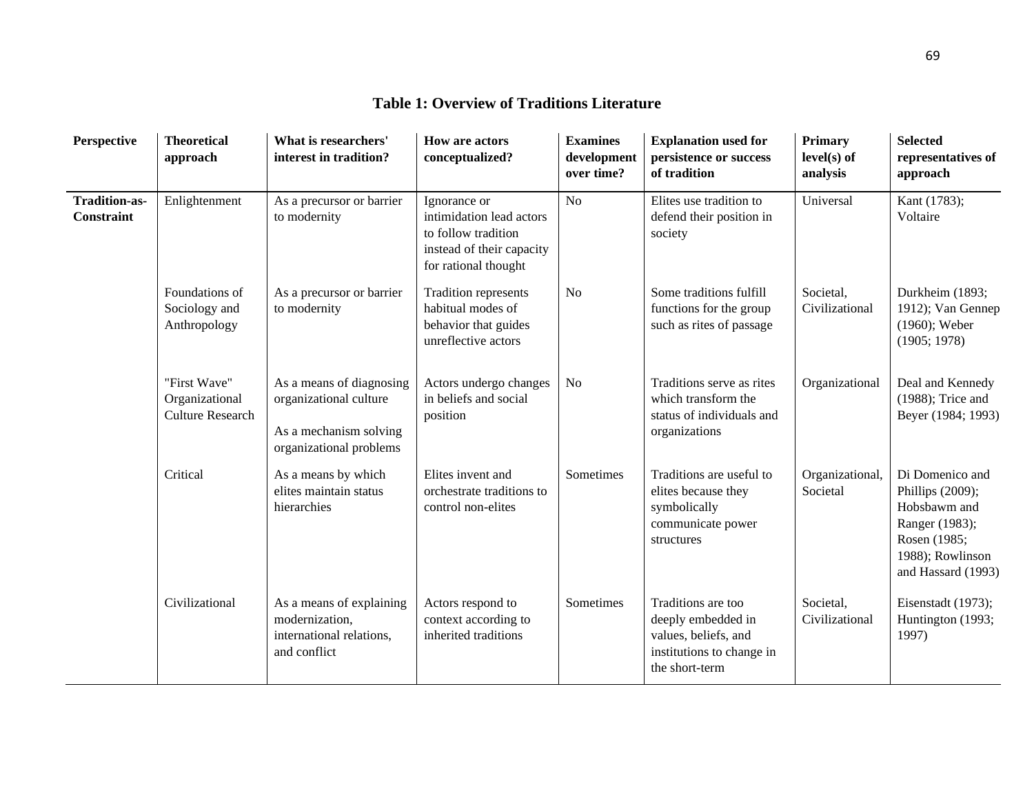#### **Perspective Theoretical approach What is researchers' interest in tradition? How are actors conceptualized? Examines development over time? Explanation used for persistence or success of tradition Primary level(s) of analysis Selected representatives of approach Tradition-as-Constraint** Enlightenment As a precursor or barrier to modernity Ignorance or intimidation lead actors to follow tradition instead of their capacity for rational thought No Elites use tradition to defend their position in society Universal Kant (1783); Voltaire Foundations of Sociology and Anthropology As a precursor or barrier to modernity Tradition represents habitual modes of behavior that guides unreflective actors No Some traditions fulfill functions for the group such as rites of passage Societal, Civilizational Durkheim (1893; 1912); Van Gennep (1960); Weber (1905; 1978) "First Wave" Organizational Culture Research As a means of diagnosing organizational culture As a mechanism solving organizational problems Actors undergo changes in beliefs and social position No **Traditions** serve as rites which transform the status of individuals and organizations Organizational Deal and Kennedy (1988); Trice and Beyer (1984; 1993) Critical As a means by which elites maintain status hierarchies Elites invent and orchestrate traditions to control non-elites Sometimes Traditions are useful to elites because they symbolically communicate power structures Organizational, Societal Di Domenico and Phillips (2009); Hobsbawm and Ranger (1983); Rosen (1985; 1988); Rowlinson and Hassard (1993) Civilizational As a means of explaining modernization, international relations, and conflict Actors respond to context according to inherited traditions Sometimes Traditions are too deeply embedded in values, beliefs, and institutions to change in the short-term Societal, Civilizational Eisenstadt (1973); Huntington (1993; 1997)

## **Table 1: Overview of Traditions Literature**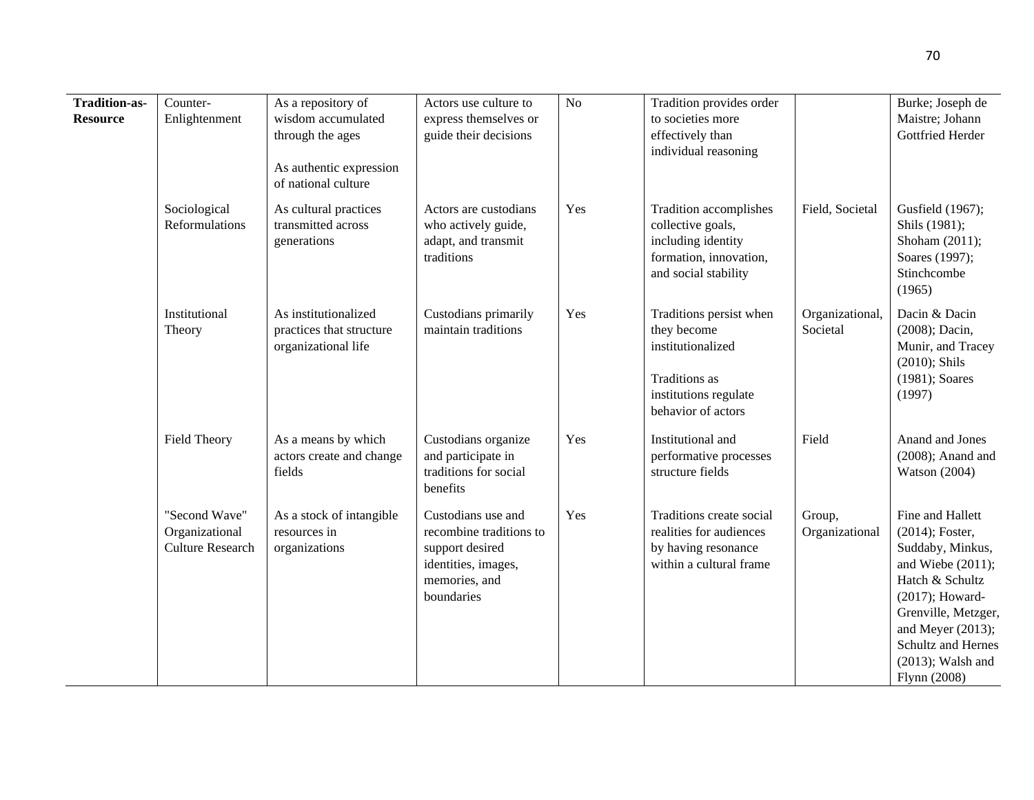| <b>Tradition-as-</b><br><b>Resource</b> | Counter-<br>Enlightenment                                  | As a repository of<br>wisdom accumulated<br>through the ages<br>As authentic expression<br>of national culture | Actors use culture to<br>express themselves or<br>guide their decisions                                                | No  | Tradition provides order<br>to societies more<br>effectively than<br>individual reasoning                                   |                             | Burke; Joseph de<br>Maistre; Johann<br>Gottfried Herder                                                                                                                                                                            |
|-----------------------------------------|------------------------------------------------------------|----------------------------------------------------------------------------------------------------------------|------------------------------------------------------------------------------------------------------------------------|-----|-----------------------------------------------------------------------------------------------------------------------------|-----------------------------|------------------------------------------------------------------------------------------------------------------------------------------------------------------------------------------------------------------------------------|
|                                         | Sociological<br>Reformulations                             | As cultural practices<br>transmitted across<br>generations                                                     | Actors are custodians<br>who actively guide,<br>adapt, and transmit<br>traditions                                      | Yes | Tradition accomplishes<br>collective goals,<br>including identity<br>formation, innovation,<br>and social stability         | Field, Societal             | Gusfield (1967);<br>Shils (1981);<br>Shoham (2011);<br>Soares (1997);<br>Stinchcombe<br>(1965)                                                                                                                                     |
|                                         | Institutional<br>Theory                                    | As institutionalized<br>practices that structure<br>organizational life                                        | Custodians primarily<br>maintain traditions                                                                            | Yes | Traditions persist when<br>they become<br>institutionalized<br>Traditions as<br>institutions regulate<br>behavior of actors | Organizational,<br>Societal | Dacin & Dacin<br>(2008); Dacin,<br>Munir, and Tracey<br>$(2010)$ ; Shils<br>(1981); Soares<br>(1997)                                                                                                                               |
|                                         | Field Theory                                               | As a means by which<br>actors create and change<br>fields                                                      | Custodians organize<br>and participate in<br>traditions for social<br>benefits                                         | Yes | Institutional and<br>performative processes<br>structure fields                                                             | Field                       | Anand and Jones<br>$(2008)$ ; Anand and<br><b>Watson</b> (2004)                                                                                                                                                                    |
|                                         | "Second Wave"<br>Organizational<br><b>Culture Research</b> | As a stock of intangible<br>resources in<br>organizations                                                      | Custodians use and<br>recombine traditions to<br>support desired<br>identities, images,<br>memories, and<br>boundaries | Yes | Traditions create social<br>realities for audiences<br>by having resonance<br>within a cultural frame                       | Group,<br>Organizational    | Fine and Hallett<br>(2014); Foster,<br>Suddaby, Minkus,<br>and Wiebe $(2011)$ ;<br>Hatch & Schultz<br>(2017); Howard-<br>Grenville, Metzger,<br>and Meyer $(2013)$ ;<br>Schultz and Hernes<br>$(2013)$ ; Walsh and<br>Flynn (2008) |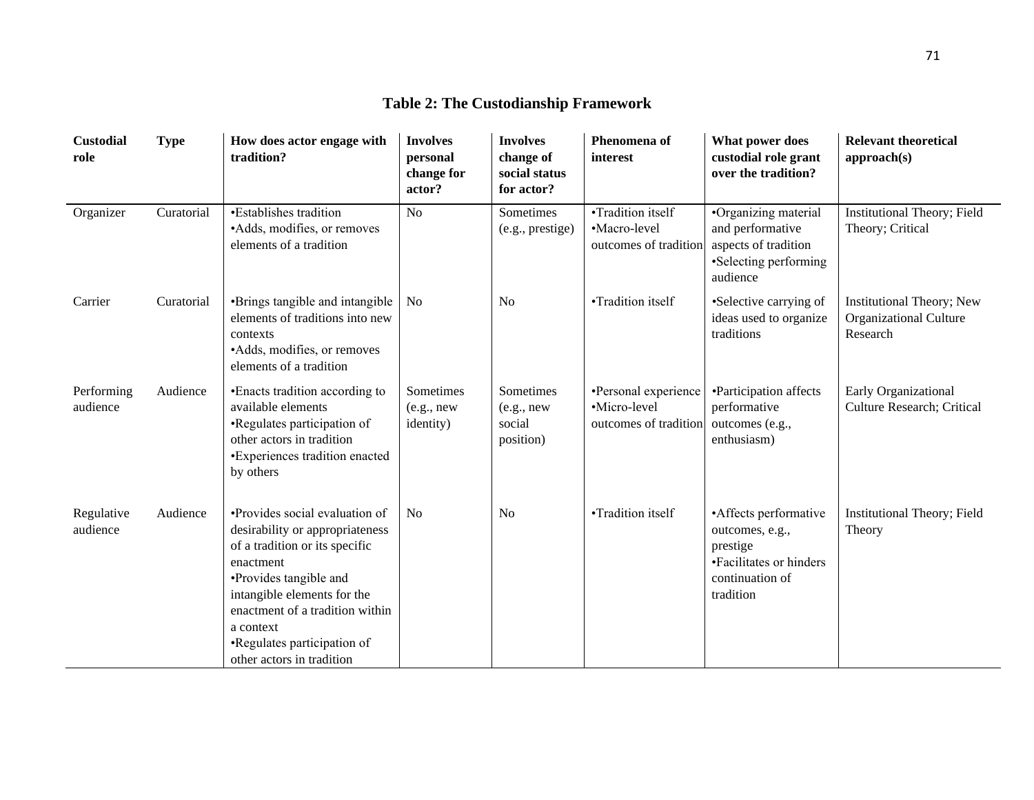| <b>Custodial</b><br>role | <b>Type</b> | How does actor engage with<br>tradition?                                                                                                                                                                                                                                              | <b>Involves</b><br>personal<br>change for<br>actor? | <b>Involves</b><br>change of<br>social status<br>for actor? | Phenomena of<br>interest                                      | What power does<br>custodial role grant<br>over the tradition?                                                   | <b>Relevant theoretical</b><br>approach(s)                      |
|--------------------------|-------------|---------------------------------------------------------------------------------------------------------------------------------------------------------------------------------------------------------------------------------------------------------------------------------------|-----------------------------------------------------|-------------------------------------------------------------|---------------------------------------------------------------|------------------------------------------------------------------------------------------------------------------|-----------------------------------------------------------------|
| Organizer                | Curatorial  | •Establishes tradition<br>•Adds, modifies, or removes<br>elements of a tradition                                                                                                                                                                                                      | N <sub>o</sub>                                      | Sometimes<br>(e.g., prestige)                               | •Tradition itself<br>•Macro-level<br>outcomes of tradition    | •Organizing material<br>and performative<br>aspects of tradition<br>•Selecting performing<br>audience            | Institutional Theory; Field<br>Theory; Critical                 |
| Carrier                  | Curatorial  | •Brings tangible and intangible<br>elements of traditions into new<br>contexts<br>•Adds, modifies, or removes<br>elements of a tradition                                                                                                                                              | N <sub>0</sub>                                      | No                                                          | •Tradition itself                                             | •Selective carrying of<br>ideas used to organize<br>traditions                                                   | Institutional Theory; New<br>Organizational Culture<br>Research |
| Performing<br>audience   | Audience    | • Enacts tradition according to<br>available elements<br>•Regulates participation of<br>other actors in tradition<br>•Experiences tradition enacted<br>by others                                                                                                                      | Sometimes<br>(e.g., new)<br>identity)               | Sometimes<br>(e.g., new)<br>social<br>position)             | •Personal experience<br>·Micro-level<br>outcomes of tradition | •Participation affects<br>performative<br>outcomes (e.g.,<br>enthusiasm)                                         | Early Organizational<br>Culture Research; Critical              |
| Regulative<br>audience   | Audience    | •Provides social evaluation of<br>desirability or appropriateness<br>of a tradition or its specific<br>enactment<br>•Provides tangible and<br>intangible elements for the<br>enactment of a tradition within<br>a context<br>•Regulates participation of<br>other actors in tradition | N <sub>o</sub>                                      | N <sub>o</sub>                                              | •Tradition itself                                             | • Affects performative<br>outcomes, e.g.,<br>prestige<br>•Facilitates or hinders<br>continuation of<br>tradition | Institutional Theory; Field<br>Theory                           |

## **Table 2: The Custodianship Framework**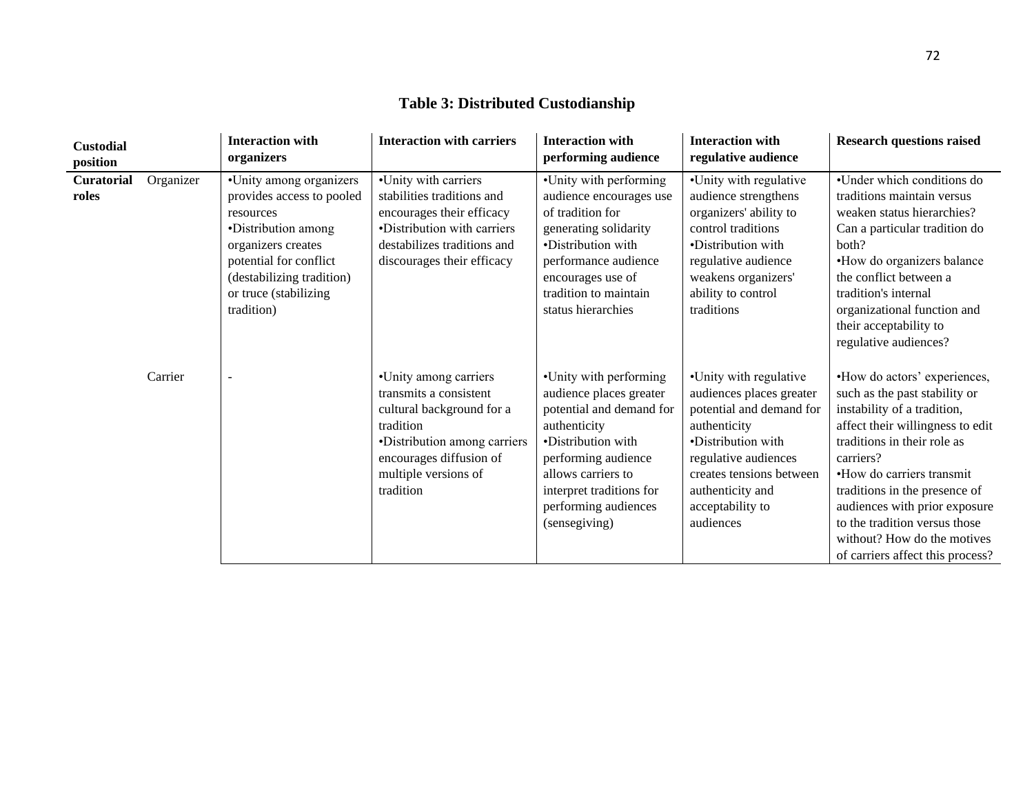| <b>Custodial</b><br>position |           | <b>Interaction with</b><br>organizers                                                                                                                                                                        | <b>Interaction with carriers</b>                                                                                                                                                          | <b>Interaction with</b><br>performing audience                                                                                                                                                                                        | <b>Interaction with</b><br>regulative audience                                                                                                                                                                                | <b>Research questions raised</b>                                                                                                                                                                                                                                                                                                                                                |
|------------------------------|-----------|--------------------------------------------------------------------------------------------------------------------------------------------------------------------------------------------------------------|-------------------------------------------------------------------------------------------------------------------------------------------------------------------------------------------|---------------------------------------------------------------------------------------------------------------------------------------------------------------------------------------------------------------------------------------|-------------------------------------------------------------------------------------------------------------------------------------------------------------------------------------------------------------------------------|---------------------------------------------------------------------------------------------------------------------------------------------------------------------------------------------------------------------------------------------------------------------------------------------------------------------------------------------------------------------------------|
| Curatorial<br>roles          | Organizer | •Unity among organizers<br>provides access to pooled<br>resources<br>•Distribution among<br>organizers creates<br>potential for conflict<br>(destabilizing tradition)<br>or truce (stabilizing<br>tradition) | •Unity with carriers<br>stabilities traditions and<br>encourages their efficacy<br>•Distribution with carriers<br>destabilizes traditions and<br>discourages their efficacy               | •Unity with performing<br>audience encourages use<br>of tradition for<br>generating solidarity<br>•Distribution with<br>performance audience<br>encourages use of<br>tradition to maintain<br>status hierarchies                      | •Unity with regulative<br>audience strengthens<br>organizers' ability to<br>control traditions<br>•Distribution with<br>regulative audience<br>weakens organizers'<br>ability to control<br>traditions                        | •Under which conditions do<br>traditions maintain versus<br>weaken status hierarchies?<br>Can a particular tradition do<br>both?<br>•How do organizers balance<br>the conflict between a<br>tradition's internal<br>organizational function and<br>their acceptability to<br>regulative audiences?                                                                              |
|                              | Carrier   | $\overline{\phantom{a}}$                                                                                                                                                                                     | •Unity among carriers<br>transmits a consistent<br>cultural background for a<br>tradition<br>•Distribution among carriers<br>encourages diffusion of<br>multiple versions of<br>tradition | •Unity with performing<br>audience places greater<br>potential and demand for<br>authenticity<br>·Distribution with<br>performing audience<br>allows carriers to<br>interpret traditions for<br>performing audiences<br>(sensegiving) | •Unity with regulative<br>audiences places greater<br>potential and demand for<br>authenticity<br>•Distribution with<br>regulative audiences<br>creates tensions between<br>authenticity and<br>acceptability to<br>audiences | •How do actors' experiences,<br>such as the past stability or<br>instability of a tradition,<br>affect their willingness to edit<br>traditions in their role as<br>carriers?<br>•How do carriers transmit<br>traditions in the presence of<br>audiences with prior exposure<br>to the tradition versus those<br>without? How do the motives<br>of carriers affect this process? |

## **Table 3: Distributed Custodianship**